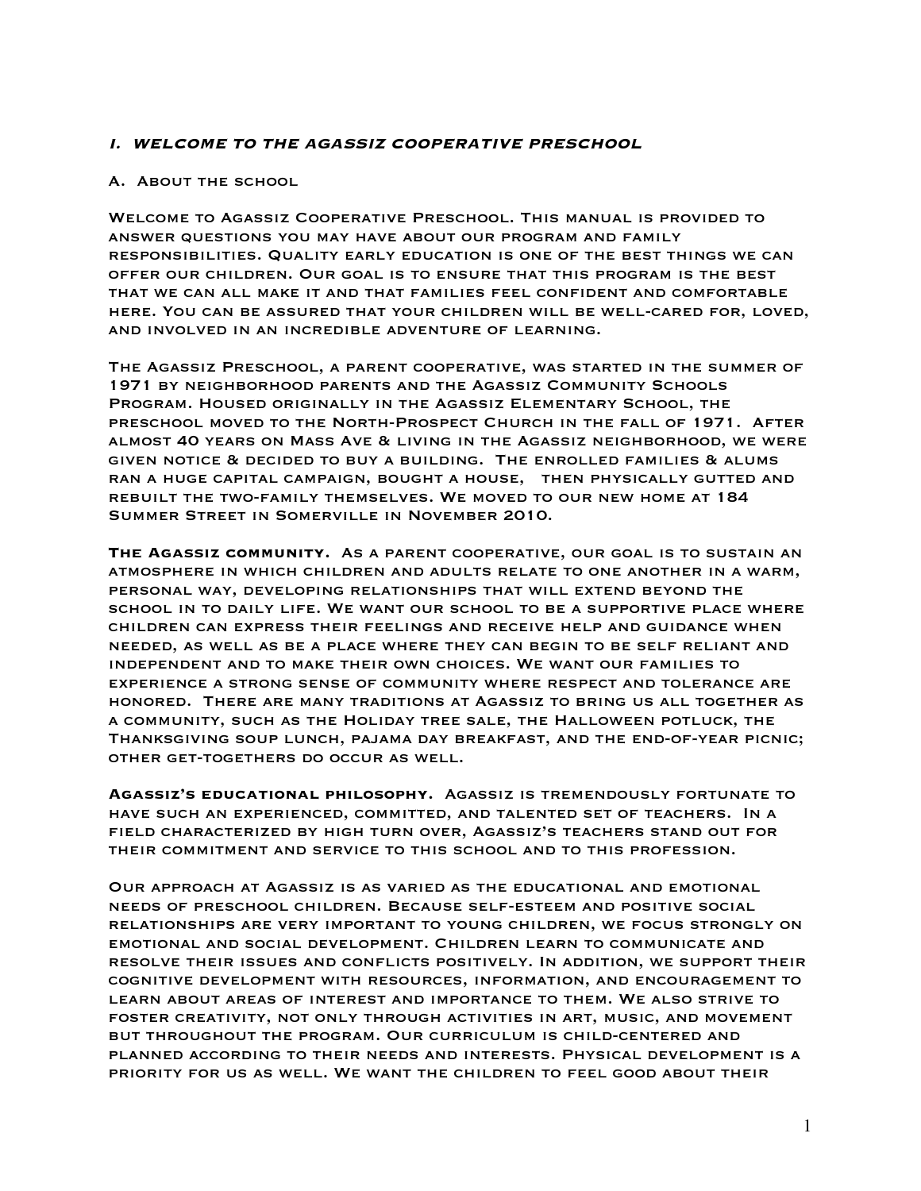# **I. WELCOME TO THE AGASSIZ COOPERATIVE PRESCHOOL**

#### A. About the school

Welcome to Agassiz Cooperative Preschool. This manual is provided to answer questions you may have about our program and family responsibilities. Quality early education is one of the best things we can offer our children. Our goal is to ensure that this program is the best that we can all make it and that families feel confident and comfortable here. You can be assured that your children will be well-cared for, loved, and involved in an incredible adventure of learning.

The Agassiz Preschool, a parent cooperative, was started in the summer of 1971 by neighborhood parents and the Agassiz Community Schools Program. Housed originally in the Agassiz Elementary School, the preschool moved to the North-Prospect Church in the fall of 1971. After almost 40 years on Mass Ave & living in the Agassiz neighborhood, we were given notice & decided to buy a building. The enrolled families & alums ran a huge capital campaign, bought a house, then physically gutted and rebuilt the two-family themselves. We moved to our new home at 184 Summer Street in Somerville in November 2010.

**The Agassiz community.** As a parent cooperative, our goal is to sustain an atmosphere in which children and adults relate to one another in a warm, personal way, developing relationships that will extend beyond the school in to daily life. We want our school to be a supportive place where children can express their feelings and receive help and guidance when needed, as well as be a place where they can begin to be self reliant and independent and to make their own choices. We want our families to experience a strong sense of community where respect and tolerance are honored. There are many traditions at Agassiz to bring us all together as a community, such as the Holiday tree sale, the Halloween potluck, the Thanksgiving soup lunch, pajama day breakfast, and the end-of-year picnic; other get-togethers do occur as well.

**Agassiz's educational philosophy.** Agassiz is tremendously fortunate to have such an experienced, committed, and talented set of teachers. In a field characterized by high turn over, Agassiz's teachers stand out for their commitment and service to this school and to this profession.

Our approach at Agassiz is as varied as the educational and emotional needs of preschool children. Because self-esteem and positive social relationships are very important to young children, we focus strongly on emotional and social development. Children learn to communicate and resolve their issues and conflicts positively. In addition, we support their cognitive development with resources, information, and encouragement to learn about areas of interest and importance to them. We also strive to foster creativity, not only through activities in art, music, and movement but throughout the program. Our curriculum is child-centered and planned according to their needs and interests. Physical development is a priority for us as well. We want the children to feel good about their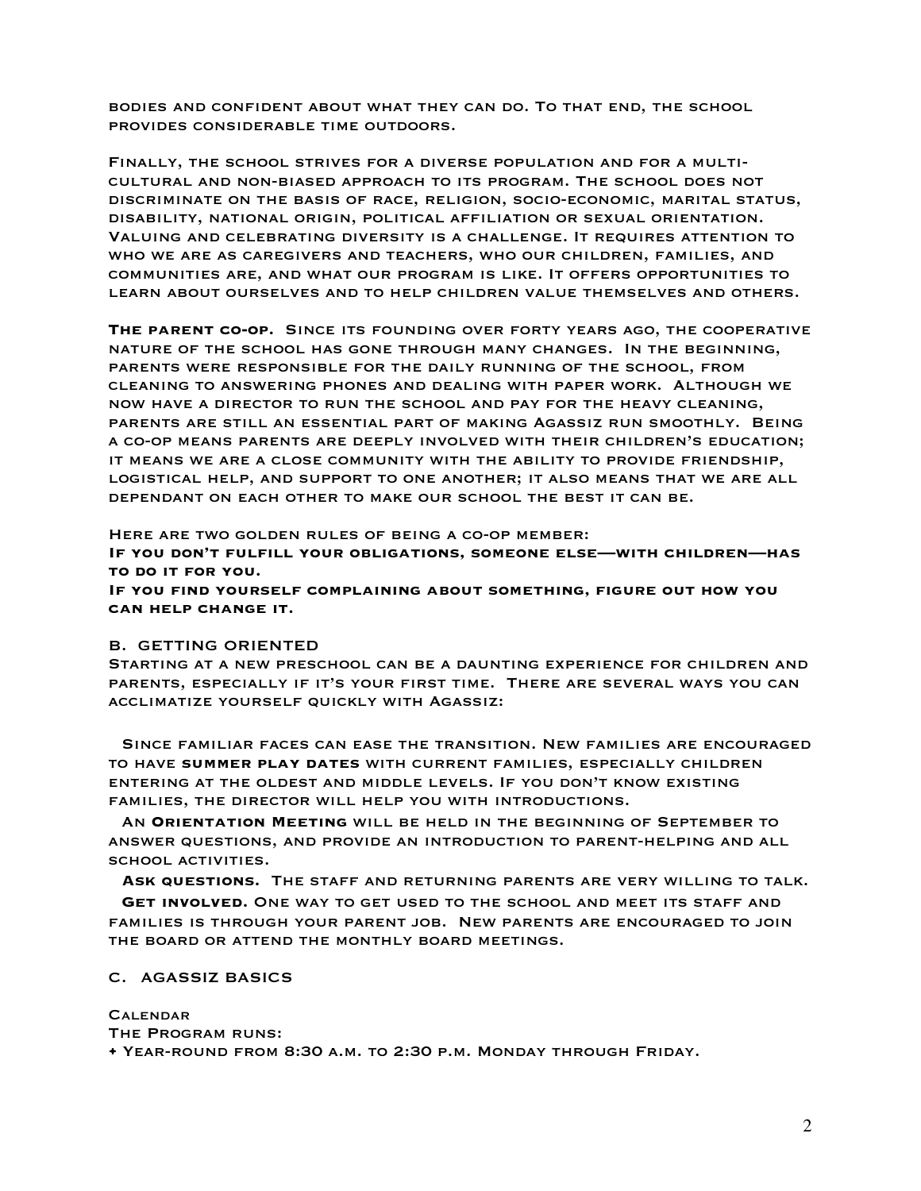bodies and confident about what they can do. To that end, the school provides considerable time outdoors.

Finally, the school strives for a diverse population and for a multicultural and non-biased approach to its program. The school does not discriminate on the basis of race, religion, socio-economic, marital status, disability, national origin, political affiliation or sexual orientation. Valuing and celebrating diversity is a challenge. It requires attention to who we are as caregivers and teachers, who our children, families, and communities are, and what our program is like. It offers opportunities to learn about ourselves and to help children value themselves and others.

**The parent co-op.** Since its founding over forty years ago, the cooperative nature of the school has gone through many changes. In the beginning, parents were responsible for the daily running of the school, from cleaning to answering phones and dealing with paper work. Although we now have a director to run the school and pay for the heavy cleaning, parents are still an essential part of making Agassiz run smoothly. Being a co-op means parents are deeply involved with their children's education; it means we are a close community with the ability to provide friendship, logistical help, and support to one another; it also means that we are all dependant on each other to make our school the best it can be.

Here are two golden rules of being a co-op member: **If you don't fulfill your obligations, someone else—with children—has to do it for you.**

**If you find yourself complaining about something, figure out how you can help change it.**

#### B. GETTING ORIENTED

Starting at a new preschool can be a daunting experience for children and parents, especially if it's your first time. There are several ways you can acclimatize yourself quickly with Agassiz:

Since familiar faces can ease the transition. New families are encouraged to have **summer play dates** with current families, especially children entering at the oldest and middle levels. If you don't know existing families, the director will help you with introductions.

An **Orientation Meeting** will be held in the beginning of September to answer questions, and provide an introduction to parent-helping and all SCHOOL ACTIVITIES.

**Ask questions.** The staff and returning parents are very willing to talk.

**Get involved.** One way to get used to the school and meet its staff and families is through your parent job. New parents are encouraged to join the board or attend the monthly board meetings.

#### C. AGASSIZ BASICS

#### **CALENDAR**

The Program runs: • Year-round from 8:30 a.m. to 2:30 p.m. Monday through Friday.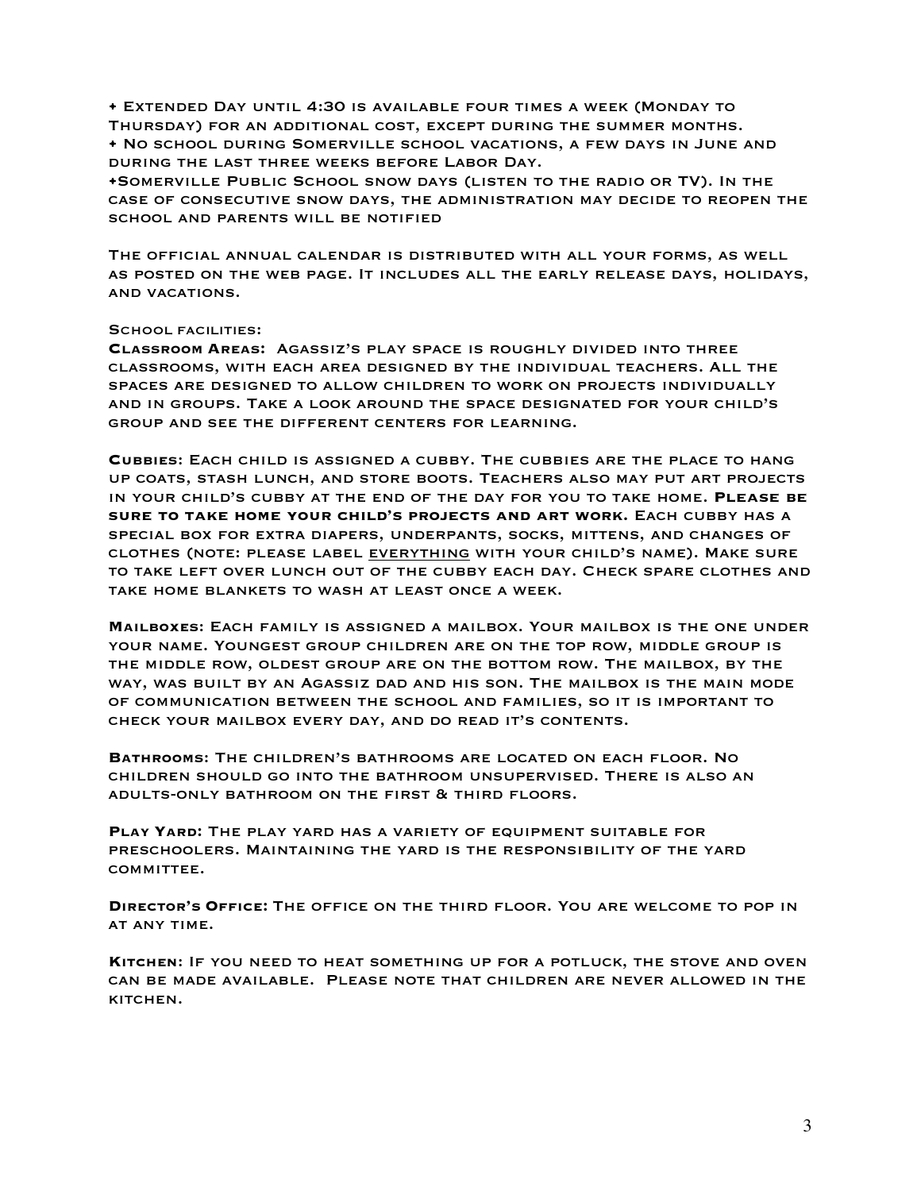• Extended Day until 4:30 is available four times a week (Monday to Thursday) for an additional cost, except during the summer months. • No school during Somerville school vacations, a few days in June and during the last three weeks before Labor Day.

•Somerville Public School snow days (listen to the radio or TV). In the case of consecutive snow days, the administration may decide to reopen the school and parents will be notified

The official annual calendar is distributed with all your forms, as well as posted on the web page. It includes all the early release days, holidays, and vacations.

#### SCHOOL FACILITIES:

**CLASSROOM AREAS:** Agassiz's play space is roughly divided into three classrooms, with each area designed by the individual teachers. All the spaces are designed to allow children to work on projects individually and in groups. Take a look around the space designated for your child's group and see the different centers for learning.

**CUBBIES**: Each child is assigned a cubby. The cubbies are the place to hang up coats, stash lunch, and store boots. Teachers also may put art projects in your child's cubby at the end of the day for you to take home. **Please be sure to take home your child's projects and art work.** Each cubby has a special box for extra diapers, underpants, socks, mittens, and changes of clothes (note: please label everything with your child's name). Make sure to take left over lunch out of the cubby each day. Check spare clothes and take home blankets to wash at least once a week.

**MAILBOXES**: Each family is assigned a mailbox. Your mailbox is the one under your name. Youngest group children are on the top row, middle group is the middle row, oldest group are on the bottom row. The mailbox, by the way, was built by an Agassiz dad and his son. The mailbox is the main mode of communication between the school and families, so it is important to check your mailbox every day, and do read it's contents.

**BATHROOMS**: The children's bathrooms are located on each floor. No children should go into the bathroom unsupervised. There is also an adults-only bathroom on the first & third floors.

**PLAY YARD:** The play yard has a variety of equipment suitable for preschoolers. Maintaining the yard is the responsibility of the yard committee.

**DIRECTOR'S OFFICE:** The office on the third floor. You are welcome to pop in AT ANY TIME.

**KITCHEN**: If you need to heat something up for a potluck, the stove and oven can be made available. Please note that children are never allowed in the kitchen.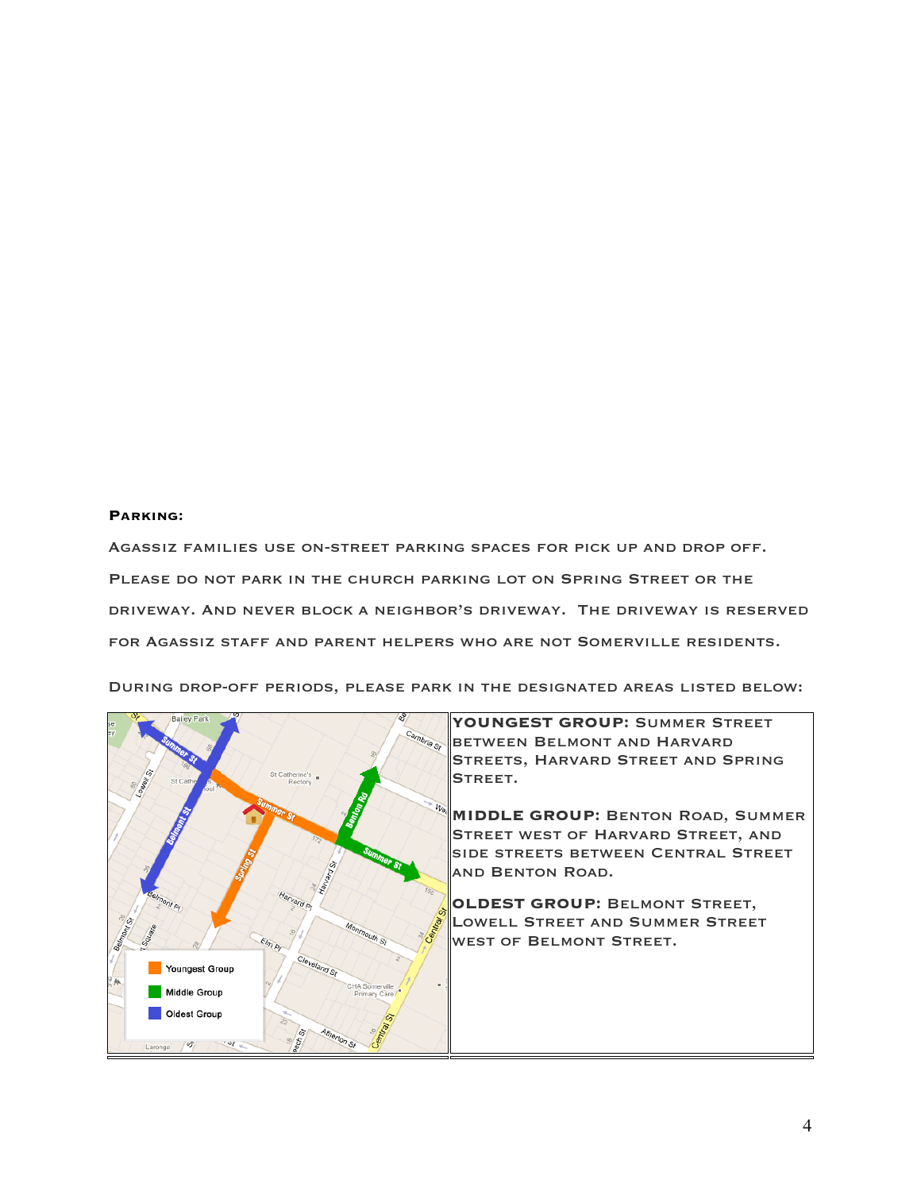#### **PARKING**:

Agassiz families use on-street parking spaces for pick up and drop off. PLEASE DO NOT PARK IN THE CHURCH PARKING LOT ON SPRING STREET OR THE driveway. And never block a neighbor's driveway. The driveway is reserved for Agassiz staff and parent helpers who are not Somerville residents.



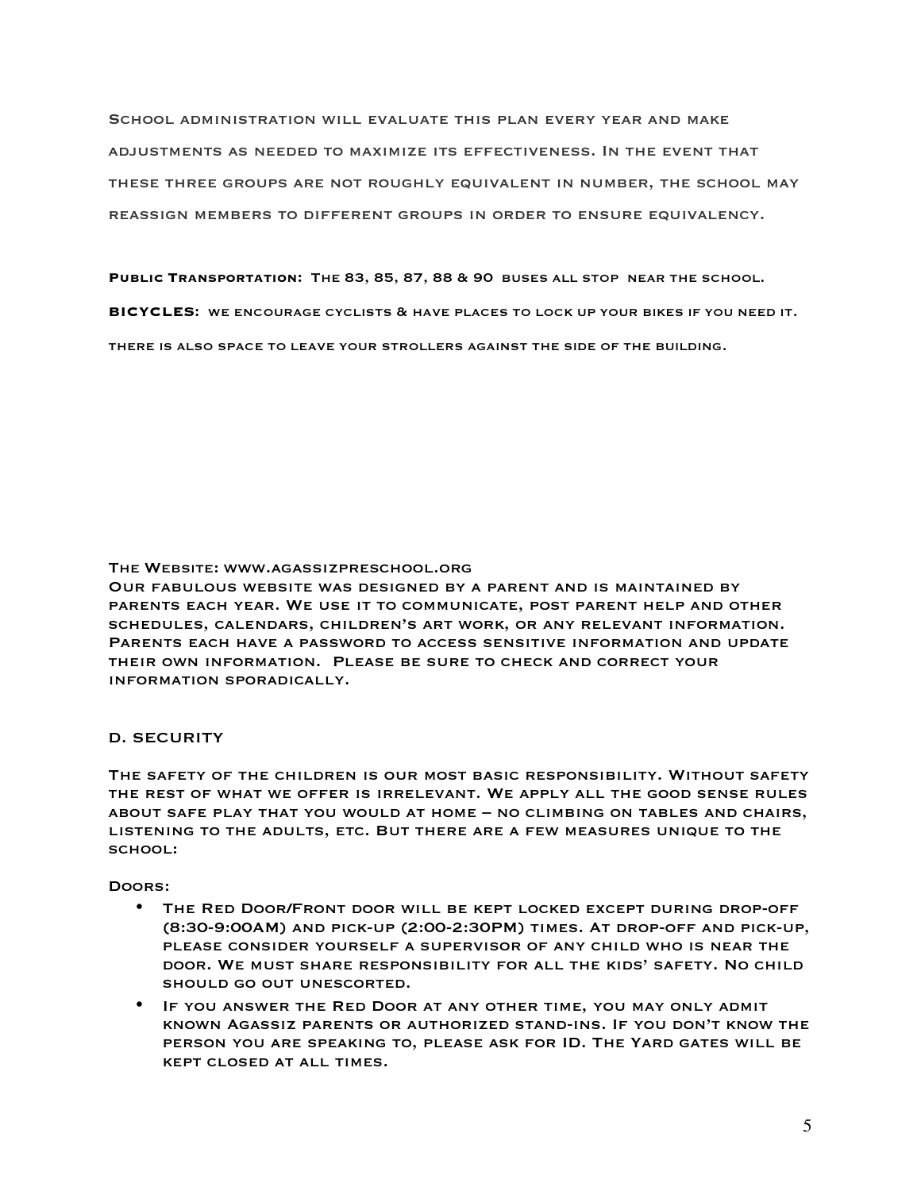School administration will evaluate this plan every year and make adjustments as needed to maximize its effectiveness. In the event that these three groups are not roughly equivalent in number, the school may reassign members to different groups in order to ensure equivalency.

**PUBLIC TRANSPORTATION:** THE 83, 85, 87, 88 & 90 BUSES ALL STOP NEAR THE SCHOOL.

**BICYCLES:** WE ENCOURAGE CYCLISTS & HAVE PLACES TO LOCK UP YOUR BIKES IF YOU NEED IT.

THERE IS ALSO SPACE TO LEAVE YOUR STROLLERS AGAINST THE SIDE OF THE BUILDING.

THE WEBSITE: www.agassizpreschool.org

Our fabulous website was designed by a parent and is maintained by parents each year. We use it to communicate, post parent help and other schedules, calendars, children's art work, or any relevant information. Parents each have a password to access sensitive information and update their own information. Please be sure to check and correct your information sporadically.

### D. SECURITY

The safety of the children is our most basic responsibility. Without safety the rest of what we offer is irrelevant. We apply all the good sense rules about safe play that you would at home – no climbing on tables and chairs, listening to the adults, etc. But there are a few measures unique to the school:

Doors:

- The Red Door/Front door will be kept locked except during drop-off (8:30-9:00AM) and pick-up (2:00-2:30PM) times. At drop-off and pick-up, please consider yourself a supervisor of any child who is near the door. We must share responsibility for all the kids' safety. No child should go out unescorted.
- If you answer the Red Door at any other time, you may only admit known Agassiz parents or authorized stand-ins. If you don't know the person you are speaking to, please ask for ID. The Yard gates will be kept closed at all times.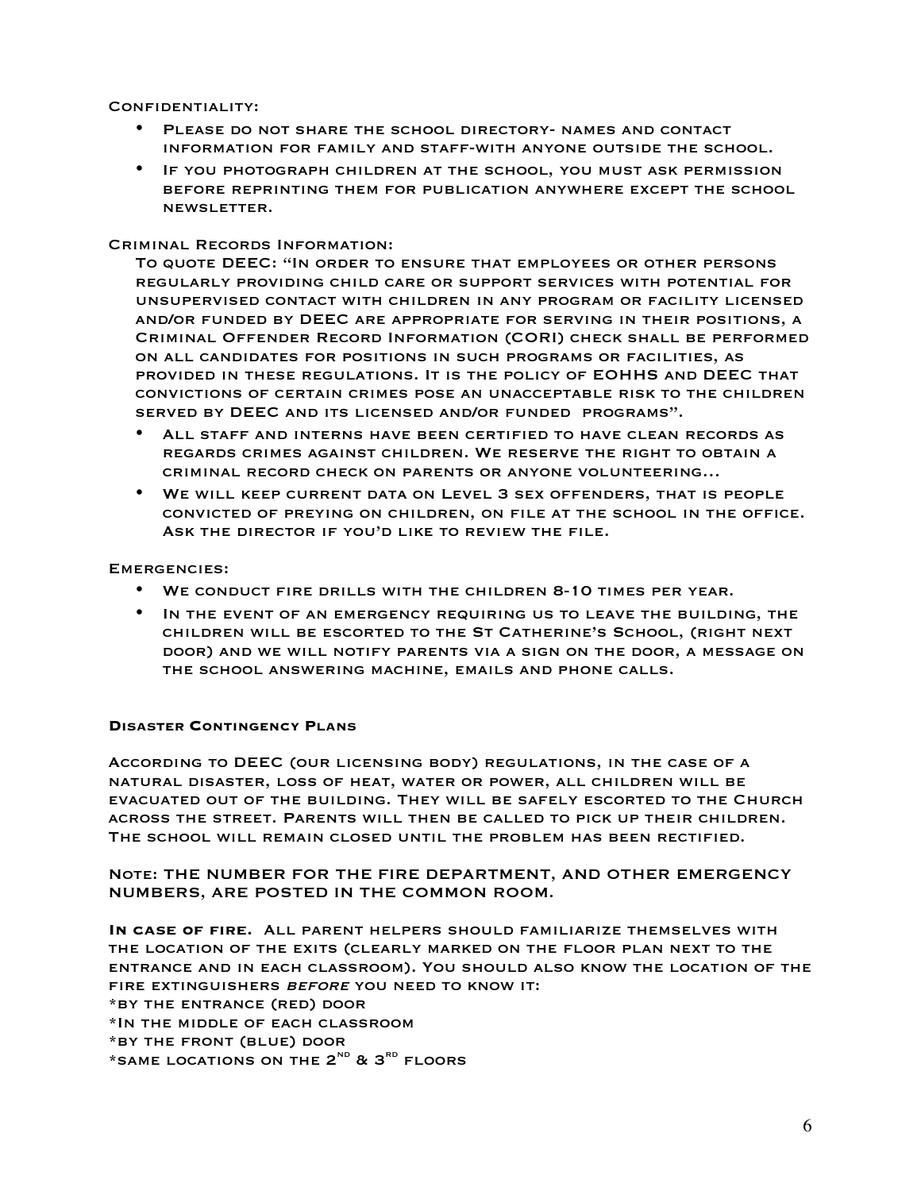Confidentiality:

- PLEASE DO NOT SHARE THE SCHOOL DIRECTORY- NAMES AND CONTACT information for family and staff-with anyone outside the school.
- If you photograph children at the school, you must ask permission before reprinting them for publication anywhere except the school newsletter.

### Criminal Records Information:

To quote DEEC: "In order to ensure that employees or other persons regularly providing child care or support services with potential for unsupervised contact with children in any program or facility licensed and/or funded by DEEC are appropriate for serving in their positions, a Criminal Offender Record Information (CORI) check shall be performed on all candidates for positions in such programs or facilities, as provided in these regulations. It is the policy of EOHHS and DEEC that convictions of certain crimes pose an unacceptable risk to the children served by DEEC and its licensed and/or funded programs".

- All staff and interns have been certified to have clean records as regards crimes against children. We reserve the right to obtain a criminal record check on parents or anyone volunteering…
- WE WILL KEEP CURRENT DATA ON LEVEL 3 SEX OFFENDERS, THAT IS PEOPLE convicted of preying on children, on file at the school in the office. Ask the director if you'd like to review the file.

### Emergencies:

- We conduct fire drills with the children 8-10 times per year.
- In the event of an emergency requiring us to leave the building, the children will be escorted to the St Catherine's School, (right next door) and we will notify parents via a sign on the door, a message on the school answering machine, emails and phone calls.

### **DISASTER CONTINGENCY PLANS**

According to DEEC (our licensing body) regulations, in the case of a natural disaster, loss of heat, water or power, all children will be evacuated out of the building. They will be safely escorted to the Church across the street. Parents will then be called to pick up their children. The school will remain closed until the problem has been rectified.

Note: THE NUMBER FOR THE FIRE DEPARTMENT, AND OTHER EMERGENCY NUMBERS, ARE POSTED IN THE COMMON ROOM.

**In case of fire.** All parent helpers should familiarize themselves with the location of the exits (clearly marked on the floor plan next to the entrance and in each classroom). You should also know the location of the fire extinguishers before you need to know it: \*by the entrance (red) door \*In the middle of each classroom \*by the front (blue) door \*SAME LOCATIONS ON THE  $2^{ND}$  &  $3^{RD}$  FLOORS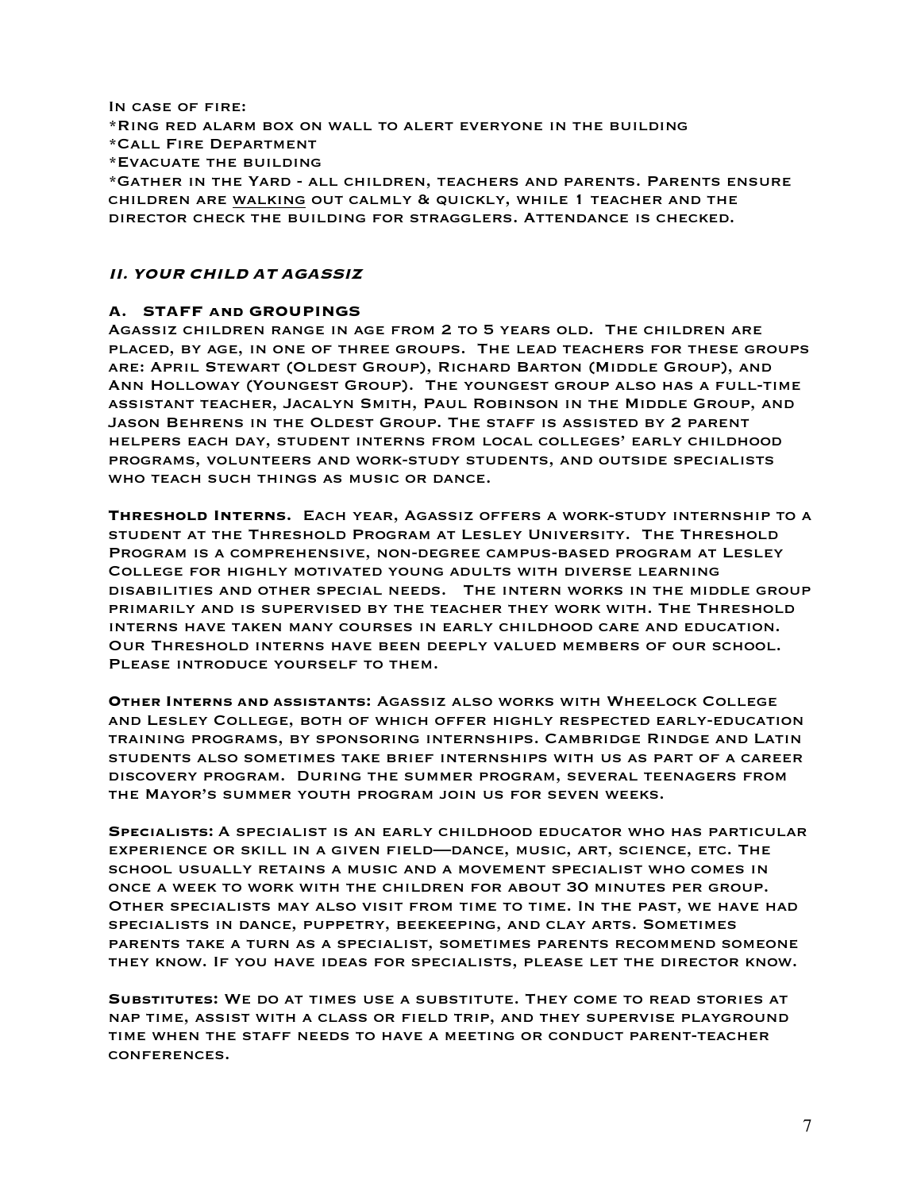In case of fire: \*Ring red alarm box on wall to alert everyone in the building \*Call Fire Department \*Evacuate the building \*Gather in the Yard - all children, teachers and parents. Parents ensure children are walking out calmly & quickly, while 1 teacher and the director check the building for stragglers. Attendance is checked.

# **II. YOUR CHILD AT AGASSIZ**

### **A. STAFF and GROUPINGS**

Agassiz children range in age from 2 to 5 years old. The children are placed, by age, in one of three groups. The lead teachers for these groups are: April Stewart (Oldest Group), Richard Barton (Middle Group), and Ann Holloway (Youngest Group). The youngest group also has a full-time assistant teacher, Jacalyn Smith, Paul Robinson in the Middle Group, and Jason Behrens in the Oldest Group. The staff is assisted by 2 parent helpers each day, student interns from local colleges' early childhood programs, volunteers and work-study students, and outside specialists WHO TEACH SUCH THINGS AS MUSIC OR DANCE.

**Threshold Interns.** Each year, Agassiz offers a work-study internship to a student at the Threshold Program at Lesley University. The Threshold Program is a comprehensive, non-degree campus-based program at Lesley College for highly motivated young adults with diverse learning disabilities and other special needs. The intern works in the middle group primarily and is supervised by the teacher they work with. The Threshold interns have taken many courses in early childhood care and education. Our Threshold interns have been deeply valued members of our school. PLEASE INTRODUCE YOURSELF TO THEM.

**OTHER INTERNS AND ASSISTANTS:** Agassiz also works with Wheelock College and Lesley College, both of which offer highly respected early-education training programs, by sponsoring internships. Cambridge Rindge and Latin students also sometimes take brief internships with us as part of a career discovery program. During the summer program, several teenagers from the Mayor's summer youth program join us for seven weeks.

**SPECIALISTS:** A specialist is an early childhood educator who has particular experience or skill in a given field—dance, music, art, science, etc. The school usually retains a music and a movement specialist who comes in once a week to work with the children for about 30 minutes per group. Other specialists may also visit from time to time. In the past, we have had specialists in dance, puppetry, beekeeping, and clay arts. Sometimes parents take a turn as a specialist, sometimes parents recommend someone they know. If you have ideas for specialists, please let the director know.

**SUBSTITUTES:** We do at times use a substitute. They come to read stories at nap time, assist with a class or field trip, and they supervise playground time when the staff needs to have a meeting or conduct parent-teacher conferences.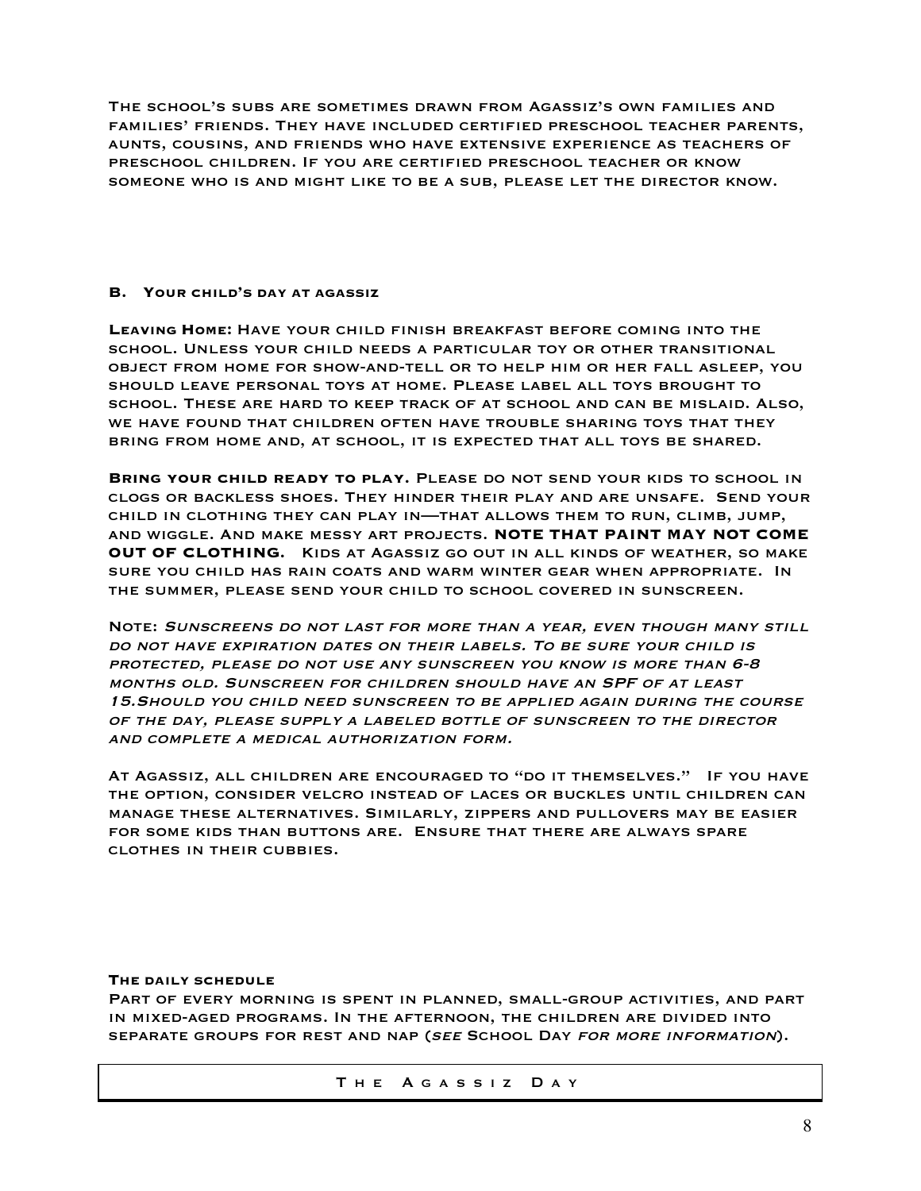The school's subs are sometimes drawn from Agassiz's own families and families' friends. They have included certified preschool teacher parents, aunts, cousins, and friends who have extensive experience as teachers of preschool children. If you are certified preschool teacher or know someone who is and might like to be a sub, please let the director know.

### **B. YOUR CHILD'S DAY AT AGASSIZ**

**LEAVING HOME:** Have your child finish breakfast before coming into the school. Unless your child needs a particular toy or other transitional object from home for show-and-tell or to help him or her fall asleep, you should leave personal toys at home. Please label all toys brought to school. These are hard to keep track of at school and can be mislaid. Also, we have found that children often have trouble sharing toys that they bring from home and, at school, it is expected that all toys be shared.

**Bring your child ready to play.** Please do not send your kids to school in clogs or backless shoes. They hinder their play and are unsafe. Send your child in clothing they can play in—that allows them to run, climb, jump, and wiggle. And make messy art projects. **NOTE THAT PAINT MAY NOT COME OUT OF CLOTHING.** Kids at Agassiz go out in all kinds of weather, so make sure you child has rain coats and warm winter gear when appropriate. In the summer, please send your child to school covered in sunscreen.

Note: Sunscreens do not last for more than a year, even though many still do not have expiration dates on their labels. To be sure your child is protected, please do not use any sunscreen you know is more than 6-8 months old. Sunscreen for children should have an SPF of at least 15.Should you child need sunscreen to be applied again during the course of the day, please supply a labeled bottle of sunscreen to the director and complete a medical authorization form.

At Agassiz, all children are encouraged to "do it themselves." If you have the option, consider velcro instead of laces or buckles until children can manage these alternatives. Similarly, zippers and pullovers may be easier for some kids than buttons are. Ensure that there are always spare clothes in their cubbies.

# **THE DAILY SCHEDULE**

Part of every morning is spent in planned, small-group activities, and part in mixed-aged programs. In the afternoon, the children are divided into separate groups for rest and nap (see School Day for more information).

#### THE AGASSIZ DAY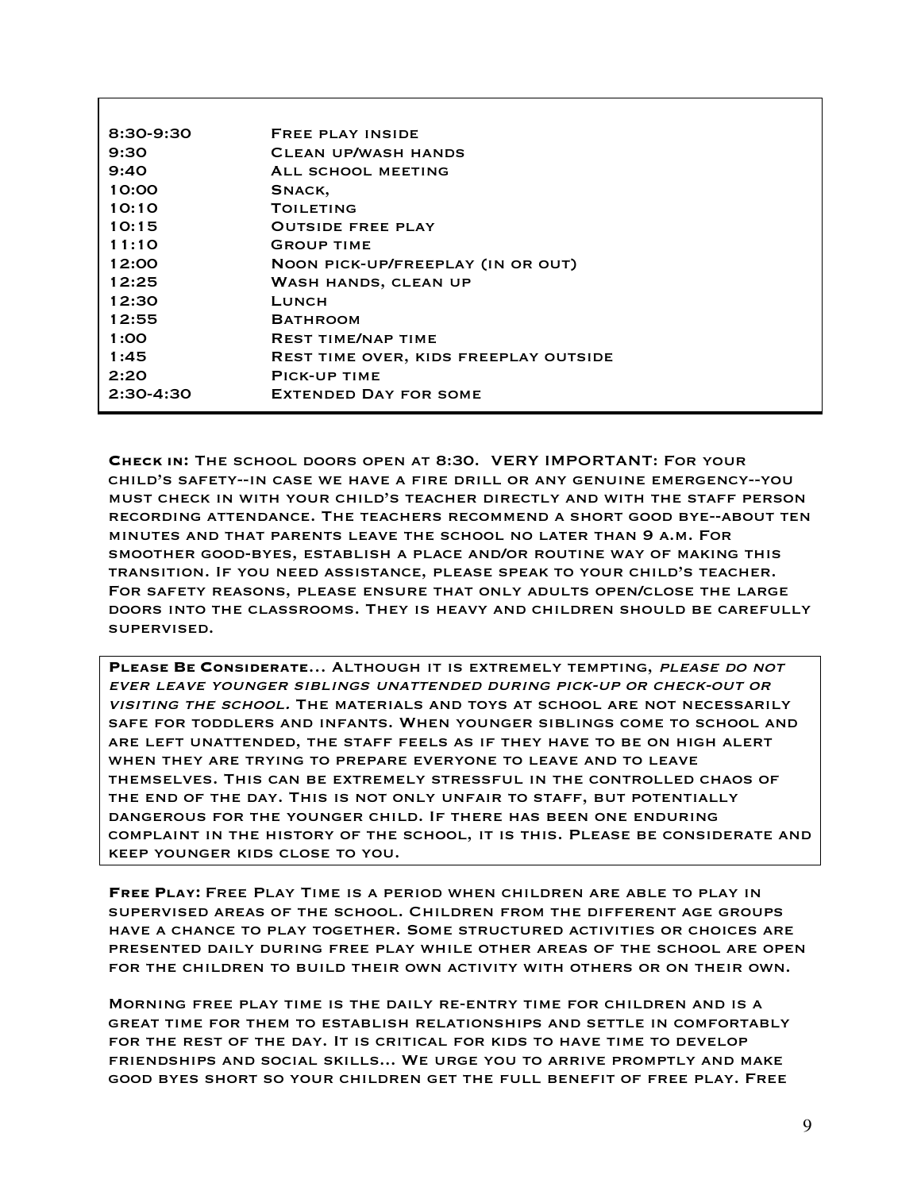| $8:30-9:30$ | <b>FREE PLAY INSIDE</b>                      |
|-------------|----------------------------------------------|
| 9:30        | <b>CLEAN UP/WASH HANDS</b>                   |
| 9:40        | ALL SCHOOL MEETING                           |
| 10:00       | SNACK,                                       |
| 10:10       | <b>TOILETING</b>                             |
| 10:15       | <b>OUTSIDE FREE PLAY</b>                     |
| 11:10       | <b>GROUP TIME</b>                            |
| 12:00       | NOON PICK-UP/FREEPLAY (IN OR OUT)            |
| 12:25       | WASH HANDS, CLEAN UP                         |
| 12:30       | LUNCH                                        |
| 12:55       | <b>BATHROOM</b>                              |
| 1:00        | <b>REST TIME/NAP TIME</b>                    |
| 1:45        | <b>REST TIME OVER, KIDS FREEPLAY OUTSIDE</b> |
| 2:20        | PICK-UP TIME                                 |
| $2:30-4:30$ | <b>EXTENDED DAY FOR SOME</b>                 |
|             |                                              |

**CHECK IN:** The school doors open at 8:30. VERY IMPORTANT: For your child's safety--in case we have a fire drill or any genuine emergency--you must check in with your child's teacher directly and with the staff person recording attendance. The teachers recommend a short good bye--about ten minutes and that parents leave the school no later than 9 a.m. For smoother good-byes, establish a place and/or routine way of making this transition. If you need assistance, please speak to your child's teacher. For safety reasons, please ensure that only adults open/close the large doors into the classrooms. They is heavy and children should be carefully supervised.

PLEASE BE CONSIDERATE... ALTHOUGH IT IS EXTREMELY TEMPTING, PLEASE DO NOT ever leave younger siblings unattended during pick-up or check-out or visiting the school. The materials and toys at school are not necessarily safe for toddlers and infants. When younger siblings come to school and are left unattended, the staff feels as if they have to be on high alert when they are trying to prepare everyone to leave and to leave themselves. This can be extremely stressful in the controlled chaos of the end of the day. This is not only unfair to staff, but potentially dangerous for the younger child. If there has been one enduring complaint in the history of the school, it is this. Please be considerate and keep younger kids close to you.

**FREE PLAY:** Free Play Time is a period when children are able to play in supervised areas of the school. Children from the different age groups have a chance to play together. Some structured activities or choices are presented daily during free play while other areas of the school are open for the children to build their own activity with others or on their own.

Morning free play time is the daily re-entry time for children and is a great time for them to establish relationships and settle in comfortably for the rest of the day. It is critical for kids to have time to develop friendships and social skills... We urge you to arrive promptly and make good byes short so your children get the full benefit of free play. Free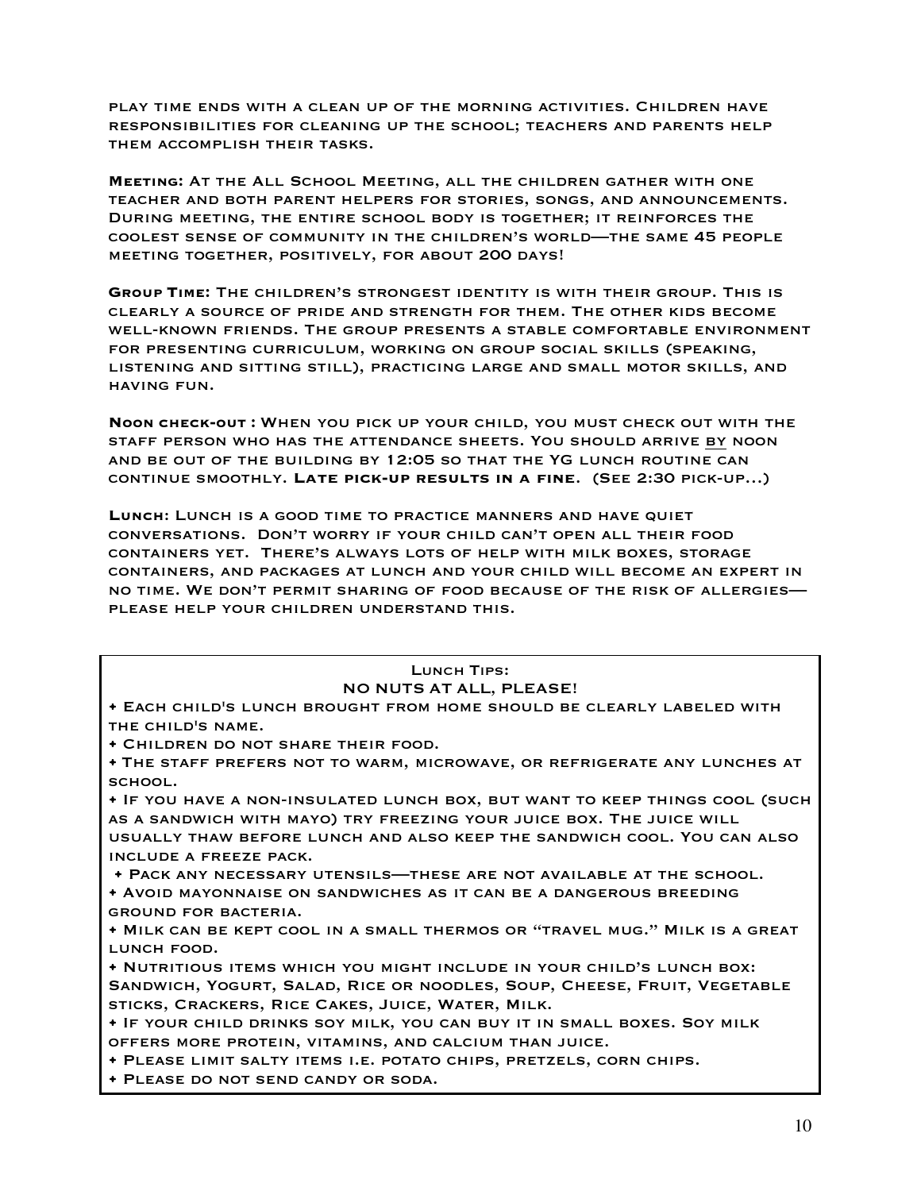play time ends with a clean up of the morning activities. Children have responsibilities for cleaning up the school; teachers and parents help them accomplish their tasks.

**MEETING:** At the All School Meeting, all the children gather with one teacher and both parent helpers for stories, songs, and announcements. During meeting, the entire school body is together; it reinforces the coolest sense of community in the children's world—the same 45 people meeting together, positively, for about 200 days!

**GROUP TIME:** The children's strongest identity is with their group. This is clearly a source of pride and strength for them. The other kids become well-known friends. The group presents a stable comfortable environment for presenting curriculum, working on group social skills (speaking, listening and sitting still), practicing large and small motor skills, and having fun.

**NOON CHECK-OUT :** When you pick up your child, you must check out with the staff person who has the attendance sheets. You should arrive by noon and be out of the building by 12:05 so that the YG lunch routine can continue smoothly. **Late pick-up results in a fine**. (See 2:30 pick-up…)

**LUNCH**: Lunch is a good time to practice manners and have quiet conversations. Don't worry if your child can't open all their food containers yet. There's always lots of help with milk boxes, storage containers, and packages at lunch and your child will become an expert in no time. We don't permit sharing of food because of the risk of allergies please help your children understand this.

# LUNCH TIPS:

### NO NUTS AT ALL, PLEASE!

• Each child's lunch brought from home should be clearly labeled with the child's name.

• Children do not share their food.

• The staff prefers not to warm, microwave, or refrigerate any lunches at school.

• If you have a non-insulated lunch box, but want to keep things cool (such as a sandwich with mayo) try freezing your juice box. The juice will usually thaw before lunch and also keep the sandwich cool. You can also include a freeze pack.

• Pack any necessary utensils—these are not available at the school. • Avoid mayonnaise on sandwiches as it can be a dangerous breeding ground for bacteria.

• Milk can be kept cool in a small thermos or "travel mug." Milk is a great LUNCH FOOD.

• Nutritious items which you might include in your child's lunch box: Sandwich, Yogurt, Salad, Rice or noodles, Soup, Cheese, Fruit, Vegetable sticks, Crackers, Rice Cakes, Juice, Water, Milk.

• If your child drinks soy milk, you can buy it in small boxes. Soy milk offers more protein, vitamins, and calcium than juice.

• Please limit salty items i.e. potato chips, pretzels, corn chips.

• Please do not send candy or soda.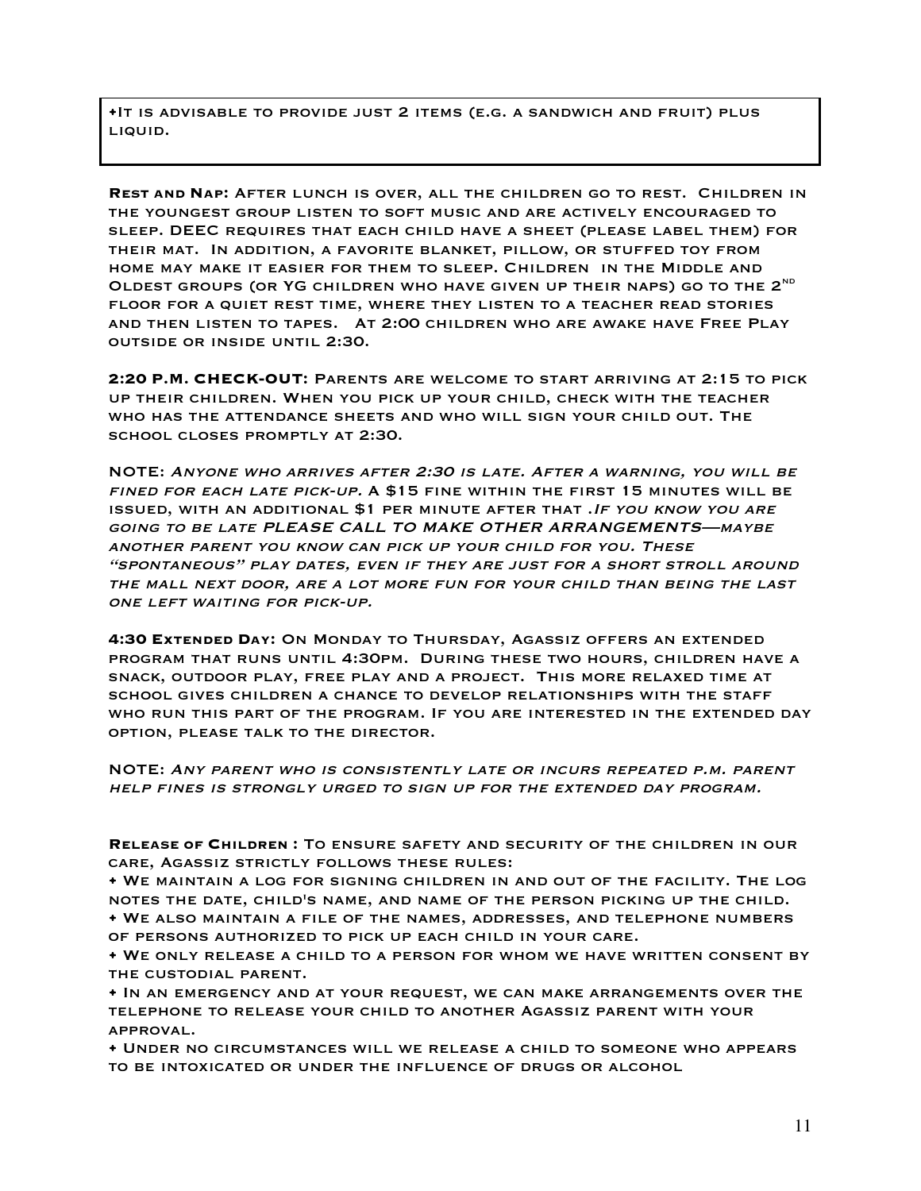•It is advisable to provide just 2 items (e.g. a sandwich and fruit) plus liquid.

**REST AND NAP:** After lunch is over, all the children go to rest. Children in the youngest group listen to soft music and are actively encouraged to sleep. DEEC requires that each child have a sheet (please label them) for their mat. In addition, a favorite blanket, pillow, or stuffed toy from home may make it easier for them to sleep. Children in the Middle and OLDEST GROUPS (OR YG CHILDREN WHO HAVE GIVEN UP THEIR NAPS) GO TO THE 2<sup>ND</sup> floor for a quiet rest time, where they listen to a teacher read stories and then listen to tapes. At 2:00 children who are awake have Free Play outside or inside until 2:30.

**2:20 P.M. CHECK-OUT:** Parents are welcome to start arriving at 2:15 to pick up their children. When you pick up your child, check with the teacher who has the attendance sheets and who will sign your child out. The school closes promptly at 2:30.

NOTE: Anyone who arrives after 2:30 is late. After a warning, you will be fined for each late pick-up. A \$15 fine within the first 15 minutes will be issued, with an additional \$1 per minute after that .If you know you are going to be late PLEASE CALL TO MAKE OTHER ARRANGEMENTS—maybe another parent you know can pick up your child for you. These "spontaneous" play dates, even if they are just for a short stroll around the mall next door, are a lot more fun for your child than being the last one left waiting for pick-up.

**4:30 EXTENDED DAY:** On Monday to Thursday, Agassiz offers an extended program that runs until 4:30pm. During these two hours, children have a snack, outdoor play, free play and a project. This more relaxed time at school gives children a chance to develop relationships with the staff who run this part of the program. If you are interested in the extended day option, please talk to the director.

NOTE: Any parent who is consistently late or incurs repeated p.m. parent help fines is strongly urged to sign up for the extended day program.

**RELEASE OF CHILDREN :** To ensure safety and security of the children in our care, Agassiz strictly follows these rules:

• We maintain a log for signing children in and out of the facility. The log notes the date, child's name, and name of the person picking up the child. • We also maintain a file of the names, addresses, and telephone numbers of persons authorized to pick up each child in your care.

• We only release a child to a person for whom we have written consent by the custodial parent.

• In an emergency and at your request, we can make arrangements over the telephone to release your child to another Agassiz parent with your approval.

• Under no circumstances will we release a child to someone who appears to be intoxicated or under the influence of drugs or alcohol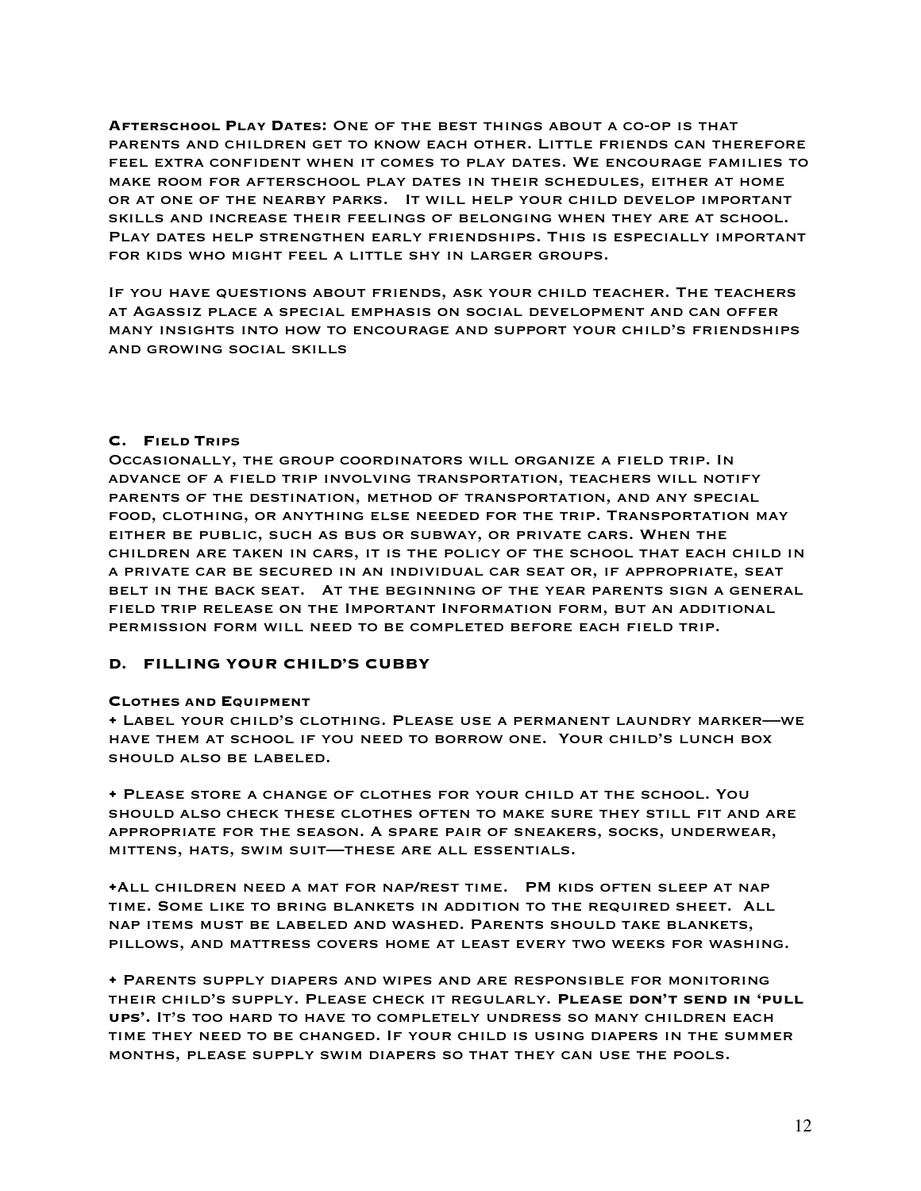**AFTERSCHOOL PLAY DATES:** One of the best things about a co-op is that parents and children get to know each other. Little friends can therefore feel extra confident when it comes to play dates. We encourage families to make room for afterschool play dates in their schedules, either at home or at one of the nearby parks. It will help your child develop important skills and increase their feelings of belonging when they are at school. Play dates help strengthen early friendships. This is especially important for kids who might feel a little shy in larger groups.

If you have questions about friends, ask your child teacher. The teachers at Agassiz place a special emphasis on social development and can offer many insights into how to encourage and support your child's friendships and growing social skills

### **C. FIELD TRIPS**

Occasionally, the group coordinators will organize a field trip. In advance of a field trip involving transportation, teachers will notify parents of the destination, method of transportation, and any special food, clothing, or anything else needed for the trip. Transportation may either be public, such as bus or subway, or private cars. When the children are taken in cars, it is the policy of the school that each child in a private car be secured in an individual car seat or, if appropriate, seat belt in the back seat. At the beginning of the year parents sign a general field trip release on the Important Information form, but an additional permission form will need to be completed before each field trip.

### **D. FILLING YOUR CHILD'S CUBBY**

### **CLOTHES AND EQUIPMENT**

• Label your child's clothing. Please use a permanent laundry marker—we have them at school if you need to borrow one. Your child's lunch box should also be labeled.

• Please store a change of clothes for your child at the school. You should also check these clothes often to make sure they still fit and are appropriate for the season. A spare pair of sneakers, socks, underwear, mittens, hats, swim suit—these are all essentials.

•All children need a mat for nap/rest time. PM kids often sleep at nap time. Some like to bring blankets in addition to the required sheet. All nap items must be labeled and washed. Parents should take blankets, pillows, and mattress covers home at least every two weeks for washing.

• Parents supply diapers and wipes and are responsible for monitoring their child's supply. Please check it regularly. **Please don't send in 'pull**  UPS'. IT'S TOO HARD TO HAVE TO COMPLETELY UNDRESS SO MANY CHILDREN EACH time they need to be changed. If your child is using diapers in the summer months, please supply swim diapers so that they can use the pools.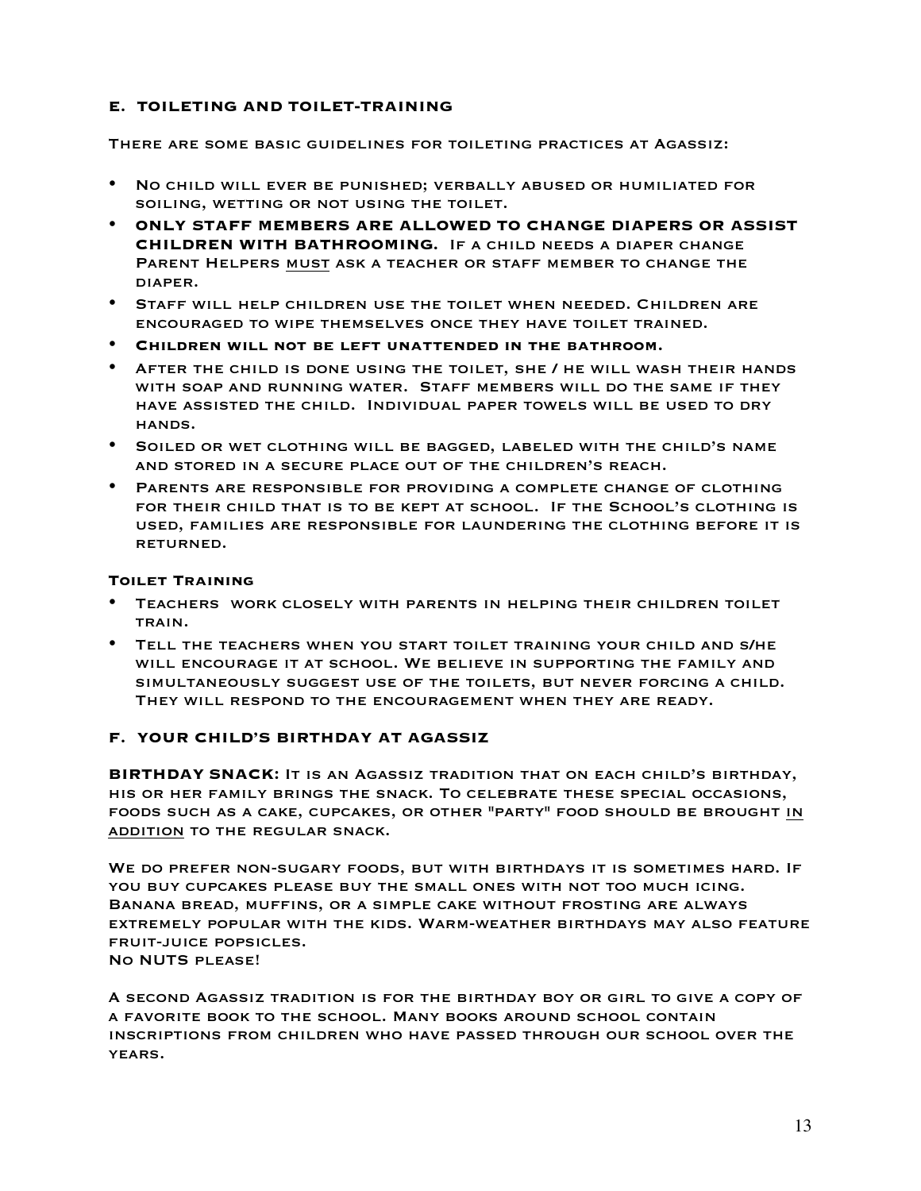# **E. TOILETING AND TOILET-TRAINING**

There are some basic guidelines for toileting practices at Agassiz:

- No child will ever be punished; verbally abused or humiliated for soiling, wetting or not using the toilet.
- **ONLY STAFF MEMBERS ARE ALLOWED TO CHANGE DIAPERS OR ASSIST CHILDREN WITH BATHROOMING.** If a child needs a diaper change Parent Helpers must ask a teacher or staff member to change the diaper.
- Staff will help children use the toilet when needed. Children are encouraged to wipe themselves once they have toilet trained.
- **Children will not be left unattended in the bathroom.**
- After the child is done using the toilet, she / he will wash their hands with soap and running water. Staff members will do the same if they have assisted the child. Individual paper towels will be used to dry hands.
- Soiled or wet clothing will be bagged, labeled with the child's name and stored in a secure place out of the children's reach.
- Parents are responsible for providing a complete change of clothing for their child that is to be kept at school. If the School's clothing is used, families are responsible for laundering the clothing before it is returned.

### **Toilet Training**

- Teachers work closely with parents in helping their children toilet train.
- Tell the teachers when you start toilet training your child and s/he will encourage it at school. We believe in supporting the family and simultaneously suggest use of the toilets, but never forcing a child. They will respond to the encouragement when they are ready.

### **F. YOUR CHILD'S BIRTHDAY AT AGASSIZ**

**BIRTHDAY SNACK:** It is an Agassiz tradition that on each child's birthday, his or her family brings the snack. To celebrate these special occasions, foods such as a cake, cupcakes, or other "party" food should be brought in addition to the regular snack.

WE DO PREFER NON-SUGARY FOODS, BUT WITH BIRTHDAYS IT IS SOMETIMES HARD. IF you buy cupcakes please buy the small ones with not too much icing. Banana bread, muffins, or a simple cake without frosting are always extremely popular with the kids. Warm-weather birthdays may also feature fruit-juice popsicles. No NUTS please!

A second Agassiz tradition is for the birthday boy or girl to give a copy of a favorite book to the school. Many books around school contain inscriptions from children who have passed through our school over the YEARS.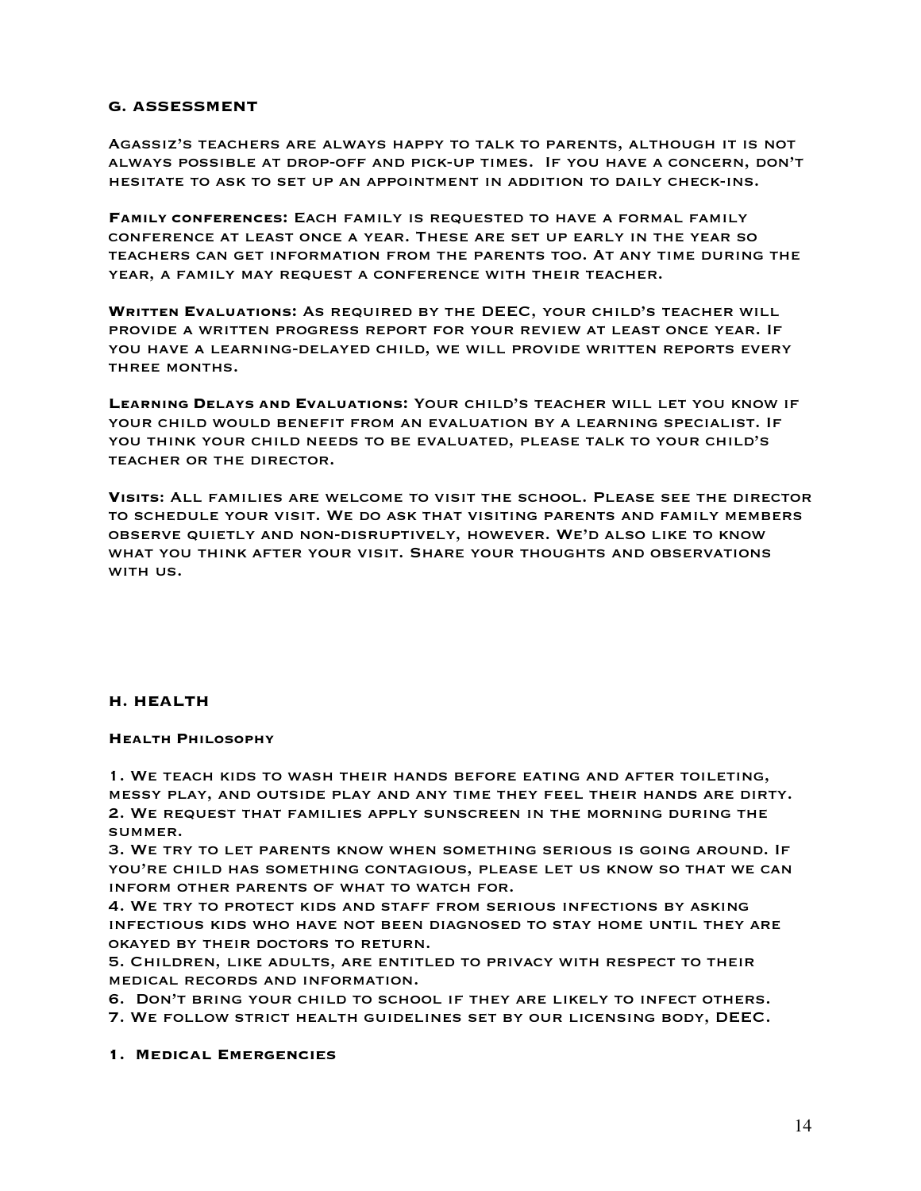### **G. ASSESSMENT**

Agassiz's teachers are always happy to talk to parents, although it is not always possible at drop-off and pick-up times. If you have a concern, don't hesitate to ask to set up an appointment in addition to daily check-ins.

**FAMILY CONFERENCES:** Each family is requested to have a formal family conference at least once a year. These are set up early in the year so teachers can get information from the parents too. At any time during the year, a family may request a conference with their teacher.

**WRITTEN EVALUATIONS:** As required by the DEEC, your child's teacher will provide a written progress report for your review at least once year. If you have a learning-delayed child, we will provide written reports every three months.

**LEARNING DELAYS AND EVALUATIONS:** Your child's teacher will let you know if your child would benefit from an evaluation by a learning specialist. If you think your child needs to be evaluated, please talk to your child's teacher or the director.

**VISITS**: All families are welcome to visit the school. Please see the director to schedule your visit. We do ask that visiting parents and family members observe quietly and non-disruptively, however. We'd also like to know what you think after your visit. Share your thoughts and observations with us.

### **H. HEALTH**

### **HEALTH PHILOSOPHY**

1. We teach kids to wash their hands before eating and after toileting, messy play, and outside play and any time they feel their hands are dirty. 2. We request that families apply sunscreen in the morning during the summer.

3. We try to let parents know when something serious is going around. If you're child has something contagious, please let us know so that we can inform other parents of what to watch for.

4. We try to protect kids and staff from serious infections by asking infectious kids who have not been diagnosed to stay home until they are okayed by their doctors to return.

5. Children, like adults, are entitled to privacy with respect to their medical records and information.

6. Don't bring your child to school if they are likely to infect others. 7. We follow strict health guidelines set by our licensing body, DEEC.

### **1. Medical Emergencies**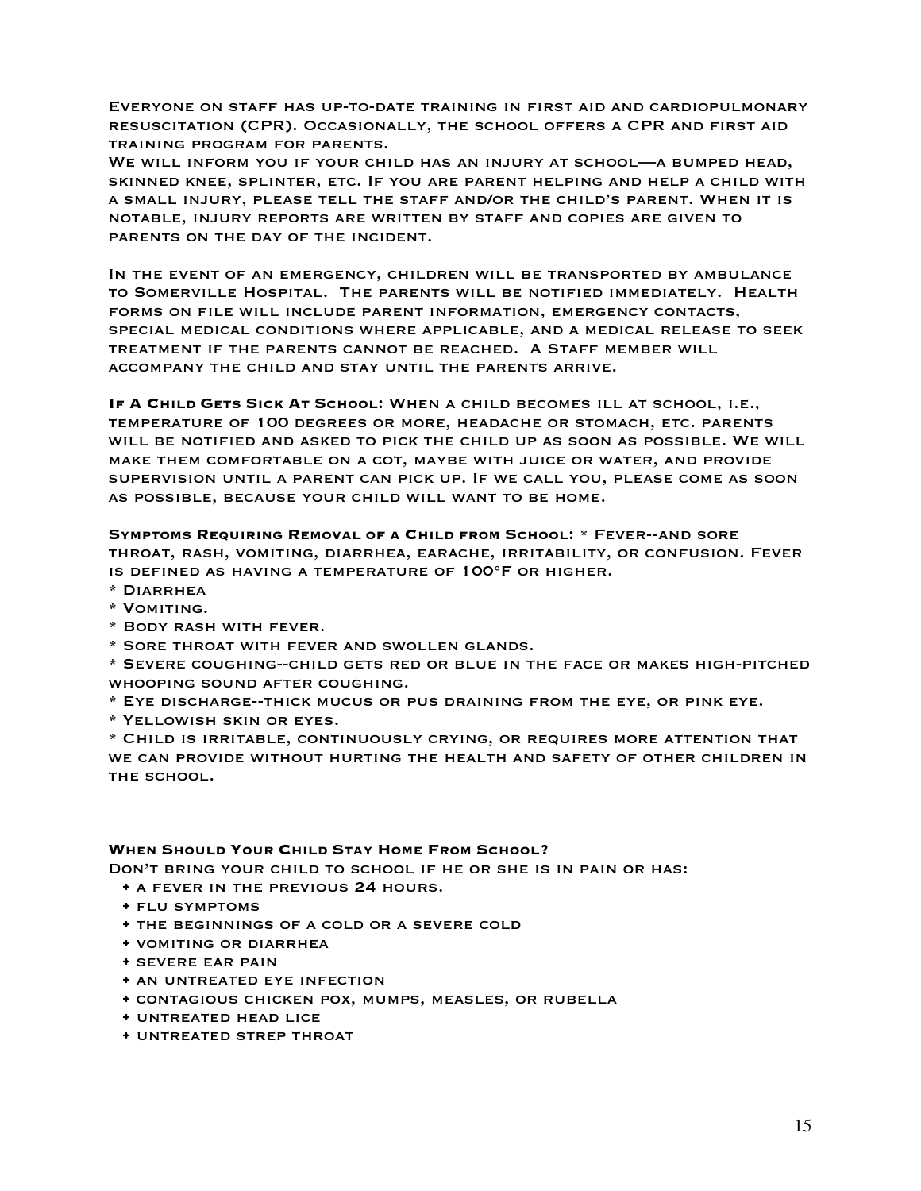Everyone on staff has up-to-date training in first aid and cardiopulmonary resuscitation (CPR). Occasionally, the school offers a CPR and first aid training program for parents.

We will inform you if your child has an injury at school—a bumped head, skinned knee, splinter, etc. If you are parent helping and help a child with a small injury, please tell the staff and/or the child's parent. When it is notable, injury reports are written by staff and copies are given to parents on the day of the incident.

In the event of an emergency, children will be transported by ambulance to Somerville Hospital. The parents will be notified immediately. Health forms on file will include parent information, emergency contacts, special medical conditions where applicable, and a medical release to seek treatment if the parents cannot be reached. A Staff member will accompany the child and stay until the parents arrive.

**IF A CHILD GETS SICK AT SCHOOL:** When a child becomes ill at school, i.e., temperature of 100 degrees or more, headache or stomach, etc. parents will be notified and asked to pick the child up as soon as possible. We will make them comfortable on a cot, maybe with juice or water, and provide supervision until a parent can pick up. If we call you, please come as soon as possible, because your child will want to be home.

**SYMPTOMS REQUIRING REMOVAL OF A CHILD FROM SCHOOL:** \* Fever--and sore throat, rash, vomiting, diarrhea, earache, irritability, or confusion. Fever is defined as having a temperature of 100°F or higher.

- \* Diarrhea
- \* Vomiting.
- \* Body rash with fever.
- \* Sore throat with fever and swollen glands.

\* Severe coughing--child gets red or blue in the face or makes high-pitched whooping sound after coughing.

\* Eye discharge--thick mucus or pus draining from the eye, or pink eye.

\* Yellowish skin or eyes.

\* Child is irritable, continuously crying, or requires more attention that we can provide without hurting the health and safety of other children in THE SCHOOL.

#### **WHEN SHOULD YOUR CHILD STAY HOME FROM SCHOOL?**

Don't bring your child to school if he or she is in pain or has:

- a fever in the previous 24 hours.
- flu symptoms
- the beginnings of a cold or a severe cold
- vomiting or diarrhea
- severe ear pain
- an untreated eye infection
- contagious chicken pox, mumps, measles, or rubella
- untreated head lice
- untreated strep throat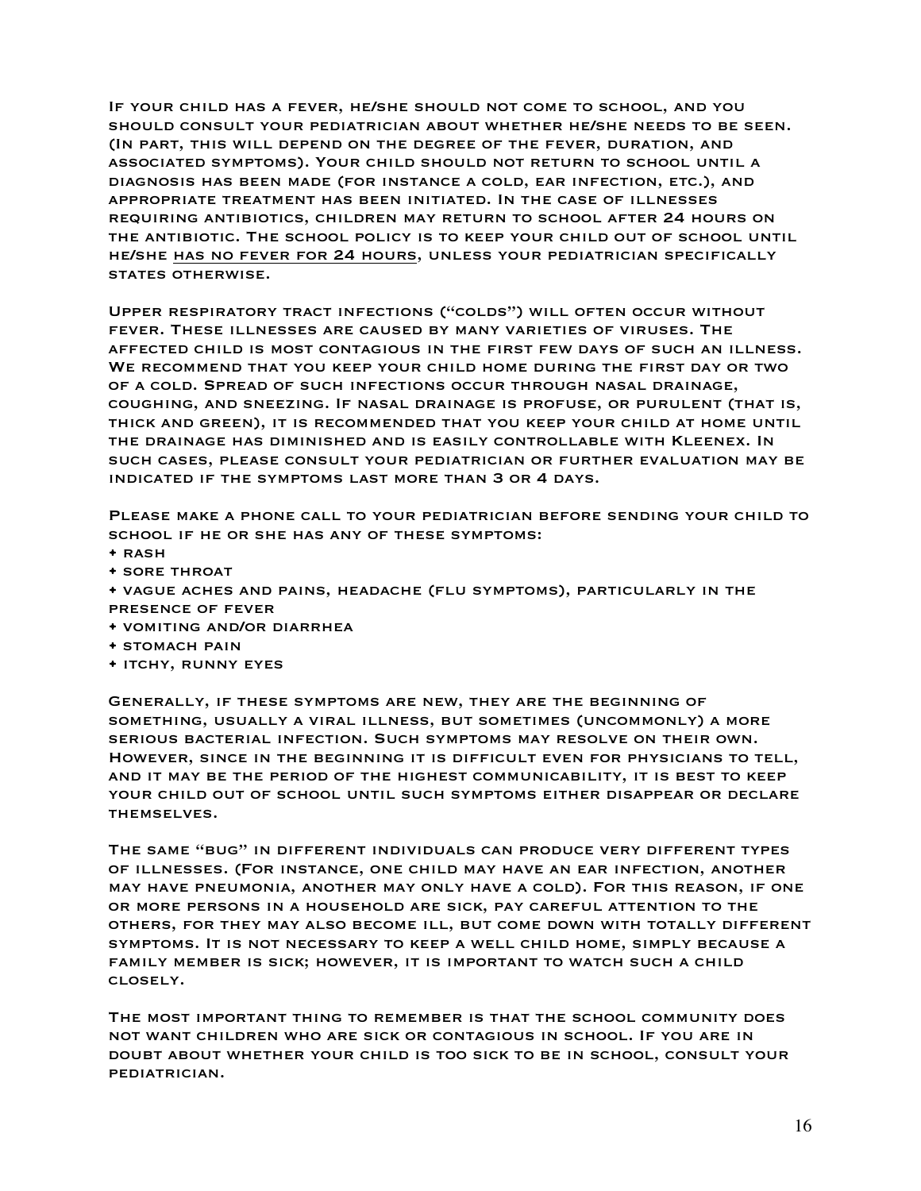If your child has a fever, he/she should not come to school, and you should consult your pediatrician about whether he/she needs to be seen. (In part, this will depend on the degree of the fever, duration, and associated symptoms). Your child should not return to school until a diagnosis has been made (for instance a cold, ear infection, etc.), and appropriate treatment has been initiated. In the case of illnesses requiring antibiotics, children may return to school after 24 hours on the antibiotic. The school policy is to keep your child out of school until he/she has no fever for 24 hours, unless your pediatrician specifically STATES OTHERWISE.

Upper respiratory tract infections ("colds") will often occur without fever. These illnesses are caused by many varieties of viruses. The affected child is most contagious in the first few days of such an illness. We recommend that you keep your child home during the first day or two of a cold. Spread of such infections occur through nasal drainage, coughing, and sneezing. If nasal drainage is profuse, or purulent (that is, thick and green), it is recommended that you keep your child at home until the drainage has diminished and is easily controllable with Kleenex. In such cases, please consult your pediatrician or further evaluation may be indicated if the symptoms last more than 3 or 4 days.

Please make a phone call to your pediatrician before sending your child to school if he or she has any of these symptoms:

- rash
- sore throat

• vague aches and pains, headache (flu symptoms), particularly in the presence of fever

- vomiting and/or diarrhea
- stomach pain
- itchy, runny eyes

Generally, if these symptoms are new, they are the beginning of something, usually a viral illness, but sometimes (uncommonly) a more serious bacterial infection. Such symptoms may resolve on their own. However, since in the beginning it is difficult even for physicians to tell, and it may be the period of the highest communicability, it is best to keep your child out of school until such symptoms either disappear or declare themselves.

The same "bug" in different individuals can produce very different types of illnesses. (For instance, one child may have an ear infection, another may have pneumonia, another may only have a cold). For this reason, if one or more persons in a household are sick, pay careful attention to the others, for they may also become ill, but come down with totally different symptoms. It is not necessary to keep a well child home, simply because a family member is sick; however, it is important to watch such a child closely.

The most important thing to remember is that the school community does not want children who are sick or contagious in school. If you are in doubt about whether your child is too sick to be in school, consult your pediatrician.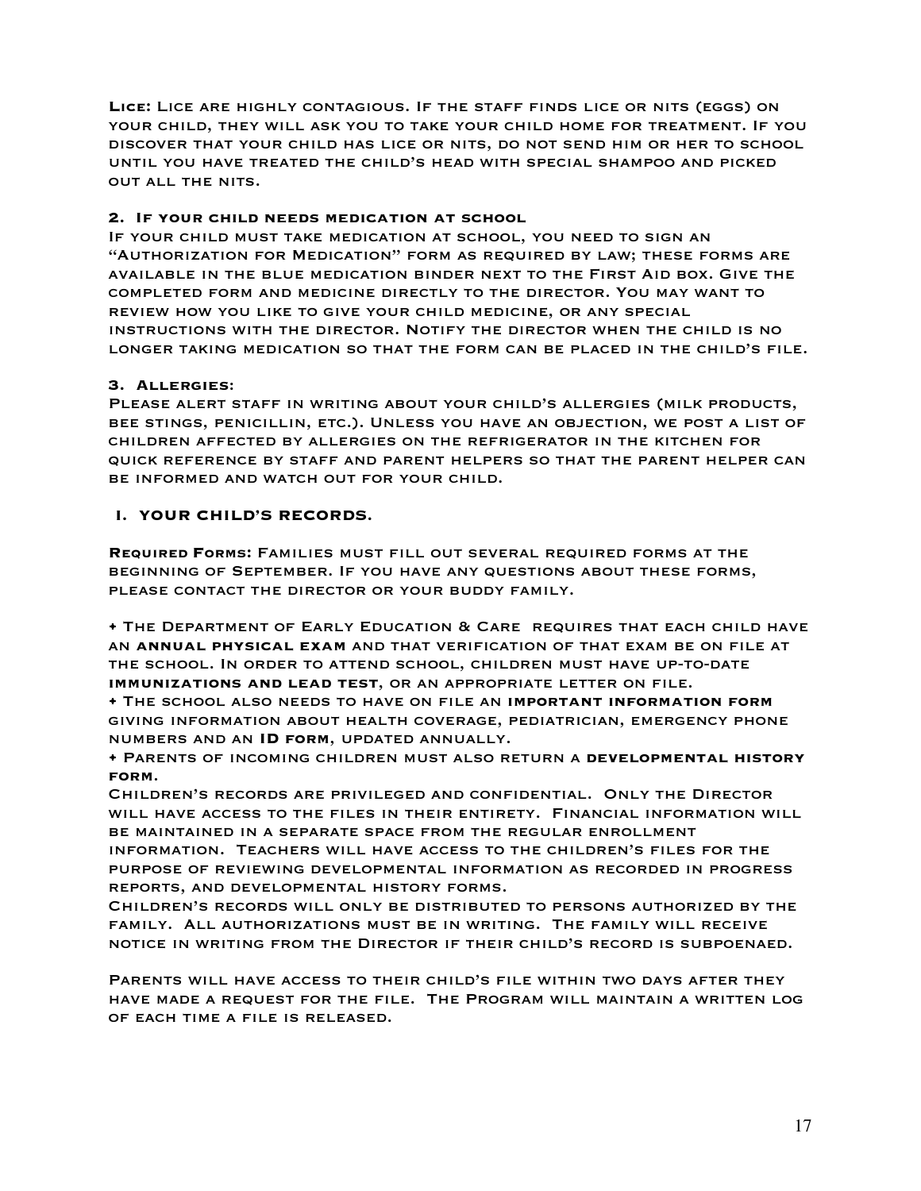**LICE:** Lice are highly contagious. If the staff finds lice or nits (eggs) on your child, they will ask you to take your child home for treatment. If you discover that your child has lice or nits, do not send him or her to school until you have treated the child's head with special shampoo and picked out all the nits.

# **2. If your child needs medication at school**

If your child must take medication at school, you need to sign an "Authorization for Medication" form as required by law; these forms are available in the blue medication binder next to the First Aid box. Give the completed form and medicine directly to the director. You may want to review how you like to give your child medicine, or any special instructions with the director. Notify the director when the child is no longer taking medication so that the form can be placed in the child's file.

# **3. Allergies**:

Please alert staff in writing about your child's allergies (milk products, bee stings, penicillin, etc.). Unless you have an objection, we post a list of children affected by allergies on the refrigerator in the kitchen for quick reference by staff and parent helpers so that the parent helper can be informed and watch out for your child.

# **I. YOUR CHILD'S RECORDS.**

**REQUIRED FORMS:** Families must fill out several required forms at the beginning of September. If you have any questions about these forms, please contact the director or your buddy family.

• The Department of Early Education & Care requires that each child have an **annual physical exam** and that verification of that exam be on file at the school. In order to attend school, children must have up-to-date **IMMUNIZATIONS AND LEAD TEST, OR AN APPROPRIATE LETTER ON FILE.** 

• The school also needs to have on file an **important information form** giving information about health coverage, pediatrician, emergency phone numbers and an **ID form**, updated annually.

• Parents of incoming children must also return a **developmental history form**.

Children's records are privileged and confidential. Only the Director will have access to the files in their entirety. Financial information will be maintained in a separate space from the regular enrollment information. Teachers will have access to the children's files for the purpose of reviewing developmental information as recorded in progress reports, and developmental history forms.

Children's records will only be distributed to persons authorized by the family. All authorizations must be in writing. The family will receive notice in writing from the Director if their child's record is subpoenaed.

PARENTS WILL HAVE ACCESS TO THEIR CHILD'S FILE WITHIN TWO DAYS AFTER THEY have made a request for the file. The Program will maintain a written log of each time a file is released.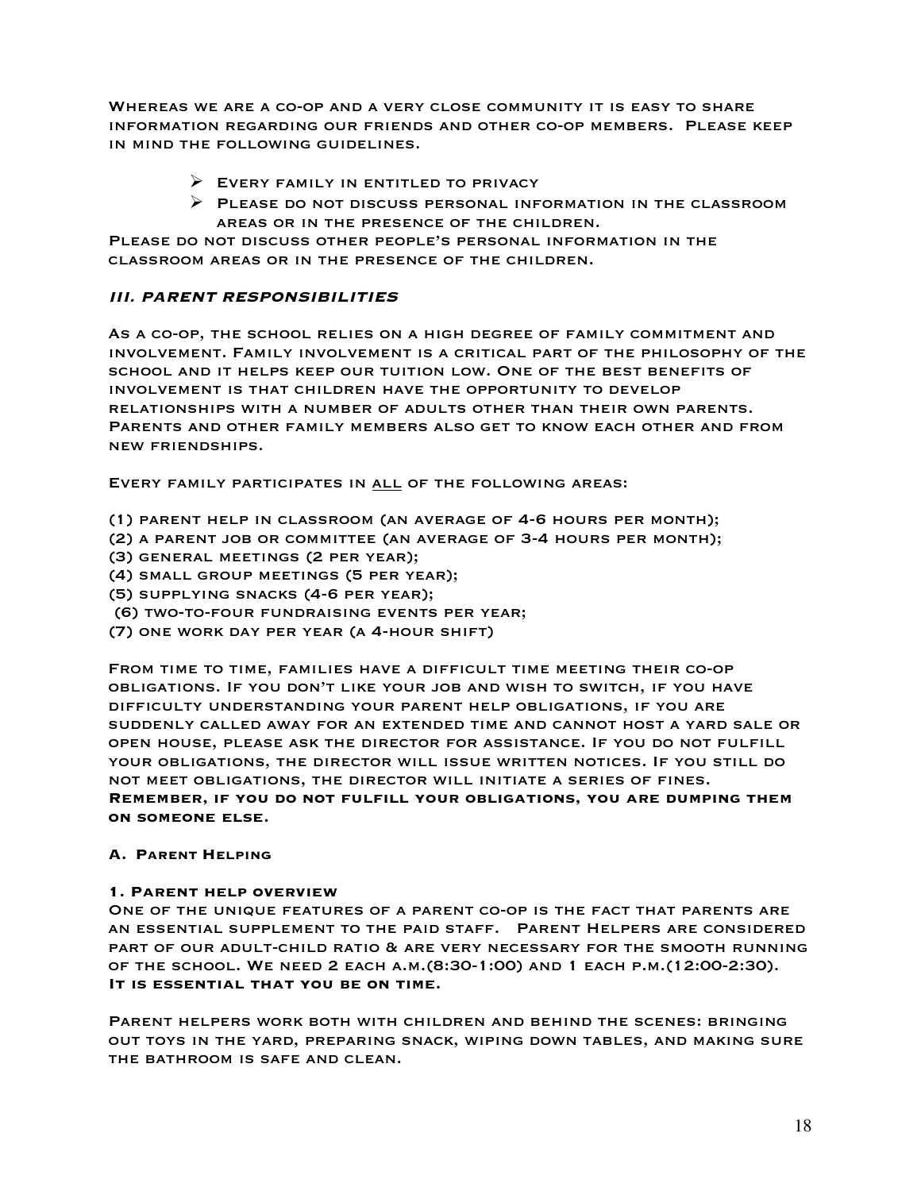WHEREAS WE ARE A CO-OP AND A VERY CLOSE COMMUNITY IT IS EASY TO SHARE information regarding our friends and other co-op members. Please keep in mind the following guidelines.

- $\triangleright$  EVERY FAMILY IN ENTITLED TO PRIVACY
- $\triangleright$  PLEASE DO NOT DISCUSS PERSONAL INFORMATION IN THE CLASSROOM areas or in the presence of the children.

Please do not discuss other people's personal information in the classroom areas or in the presence of the children.

# **III. PARENT RESPONSIBILITIES**

As a co-op, the school relies on a high degree of family commitment and involvement. Family involvement is a critical part of the philosophy of the school and it helps keep our tuition low. One of the best benefits of involvement is that children have the opportunity to develop relationships with a number of adults other than their own parents. PARENTS AND OTHER FAMILY MEMBERS ALSO GET TO KNOW EACH OTHER AND FROM new friendships.

Every family participates in all of the following areas:

- (1) parent help in classroom (an average of 4-6 hours per month);
- (2) a parent job or committee (an average of 3-4 hours per month);
- (3) general meetings (2 per year);
- (4) small group meetings (5 per year);
- (5) supplying snacks (4-6 per year);
- (6) two-to-four fundraising events per year;
- (7) one work day per year (a 4-hour shift)

From time to time, families have a difficult time meeting their co-op obligations. If you don't like your job and wish to switch, if you have difficulty understanding your parent help obligations, if you are suddenly called away for an extended time and cannot host a yard sale or open house, please ask the director for assistance. If you do not fulfill your obligations, the director will issue written notices. If you still do not meet obligations, the director will initiate a series of fines. **Remember, if you do not fulfill your obligations, you are dumping them on someone else.**

### **A. PARENT HELPING**

### **1. Parent help overview**

One of the unique features of a parent co-op is the fact that parents are an essential supplement to the paid staff. Parent Helpers are considered part of our adult-child ratio & are very necessary for the smooth running of the school. We need 2 each a.m.(8:30-1:00) and 1 each p.m.(12:00-2:30). **It is essential that you be on time.**

Parent helpers work both with children and behind the scenes: bringing out toys in the yard, preparing snack, wiping down tables, and making sure the bathroom is safe and clean.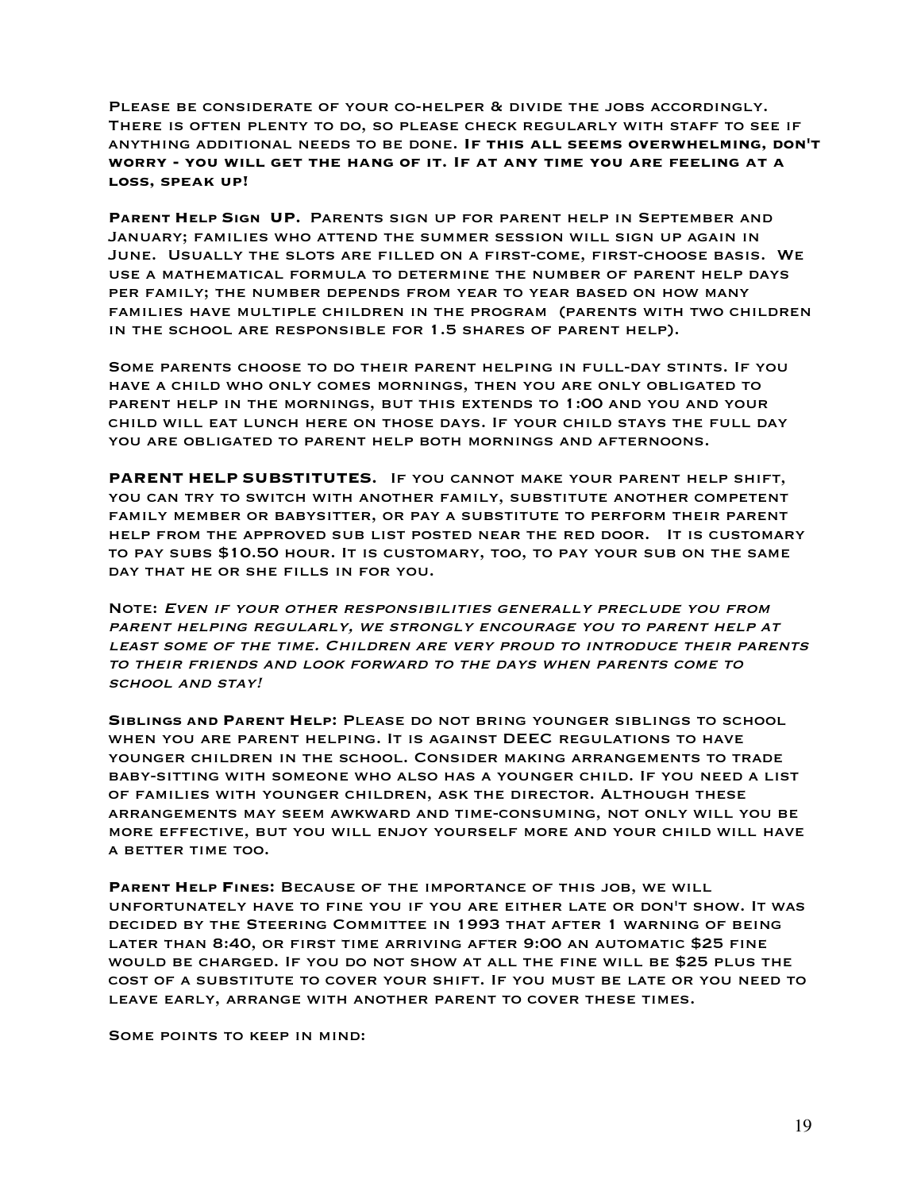Please be considerate of your co-helper & divide the jobs accordingly. There is often plenty to do, so please check regularly with staff to see if anything additional needs to be done. **If this all seems overwhelming, don't worry - you will get the hang of it. If at any time you are feeling at a loss, speak up!**

**PARENT HELP SIGN UP. PARENTS SIGN UP FOR PARENT HELP IN SEPTEMBER AND** January; families who attend the summer session will sign up again in June. Usually the slots are filled on a first-come, first-choose basis. We use a mathematical formula to determine the number of parent help days per family; the number depends from year to year based on how many families have multiple children in the program (parents with two children in the school are responsible for 1.5 shares of parent help).

Some parents choose to do their parent helping in full-day stints. If you have a child who only comes mornings, then you are only obligated to parent help in the mornings, but this extends to 1:00 and you and your child will eat lunch here on those days. If your child stays the full day you are obligated to parent help both mornings and afternoons.

**PARENT HELP SUBSTITUTES.** If you cannot make your parent help shift, you can try to switch with another family, substitute another competent family member or babysitter, or pay a substitute to perform their parent help from the approved sub list posted near the red door. It is customary to pay subs \$10.50 hour. It is customary, too, to pay your sub on the same DAY THAT HE OR SHE FILLS IN FOR YOU.

Note: Even if your other responsibilities generally preclude you from parent helping regularly, we strongly encourage you to parent help at least some of the time. Children are very proud to introduce their parents to their friends and look forward to the days when parents come to school and stay!

**SIBLINGS AND PARENT HELP:** Please do not bring younger siblings to school when you are parent helping. It is against DEEC regulations to have younger children in the school. Consider making arrangements to trade baby-sitting with someone who also has a younger child. If you need a list of families with younger children, ask the director. Although these arrangements may seem awkward and time-consuming, not only will you be more effective, but you will enjoy yourself more and your child will have a better time too.

PARENT HELP FINES: BECAUSE OF THE IMPORTANCE OF THIS JOB, WE WILL unfortunately have to fine you if you are either late or don't show. It was decided by the Steering Committee in 1993 that after 1 warning of being later than 8:40, or first time arriving after 9:00 an automatic \$25 fine would be charged. If you do not show at all the fine will be \$25 plus the cost of a substitute to cover your shift. If you must be late or you need to leave early, arrange with another parent to cover these times.

Some points to keep in mind: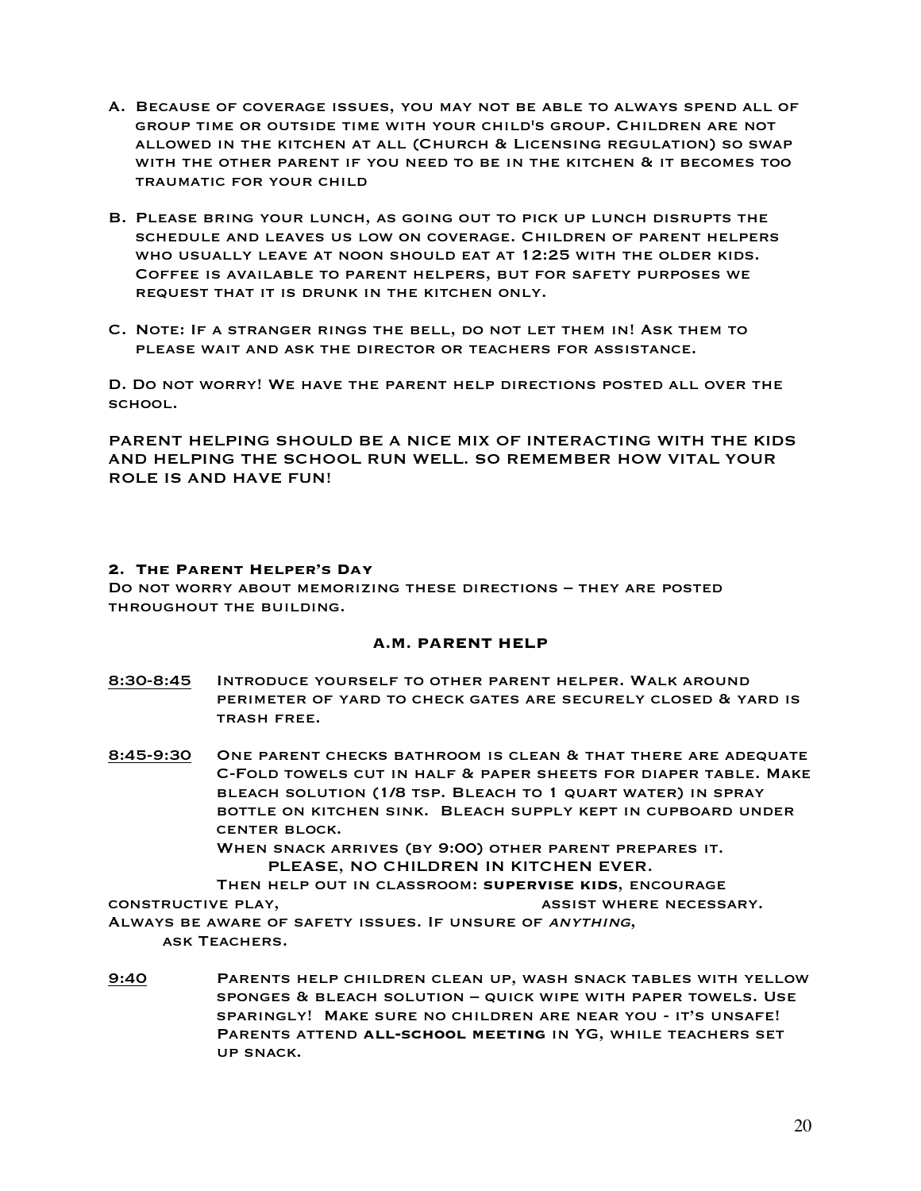- A. Because of coverage issues, you may not be able to always spend all of group time or outside time with your child's group. Children are not allowed in the kitchen at all (Church & Licensing regulation) so swap with the other parent if you need to be in the kitchen & it becomes too traumatic for your child
- B. Please bring your lunch, as going out to pick up lunch disrupts the schedule and leaves us low on coverage. Children of parent helpers who usually leave at noon should eat at 12:25 with the older kids. Coffee is available to parent helpers, but for safety purposes we request that it is drunk in the kitchen only.
- C. Note: If a stranger rings the bell, do not let them in! Ask them to please wait and ask the director or teachers for assistance.

D. Do not worry! We have the parent help directions posted all over the school.

PARENT HELPING SHOULD BE A NICE MIX OF INTERACTING WITH THE KIDS AND HELPING THE SCHOOL RUN WELL. SO REMEMBER HOW VITAL YOUR ROLE IS AND HAVE FUN!

### **2. The Parent Helper's Day**

Do not worry about memorizing these directions – they are posted throughout the building.

### **A.M. PARENT HELP**

- 8:30-8:45 Introduce yourself to other parent helper. Walk around perimeter of yard to check gates are securely closed & yard is trash free.
- 8:45-9:30 One parent checks bathroom is clean & that there are adequate C-Fold towels cut in half & paper sheets for diaper table. Make bleach solution (1/8 tsp. Bleach to 1 quart water) in spray bottle on kitchen sink. Bleach supply kept in cupboard under center block.

 When snack arrives (by 9:00) other parent prepares it. PLEASE, NO CHILDREN IN KITCHEN EVER.

Then help out in classroom: **supervise kids**, encourage constructive play, assist where necessary.

Always be aware of safety issues. If unsure of anything, ask Teachers.

9:40 Parents help children clean up, wash snack tables with yellow sponges & bleach solution – quick wipe with paper towels. Use sparingly! Make sure no children are near you - it's unsafe! Parents attend **all-school meeting** in YG, while teachers set up snack.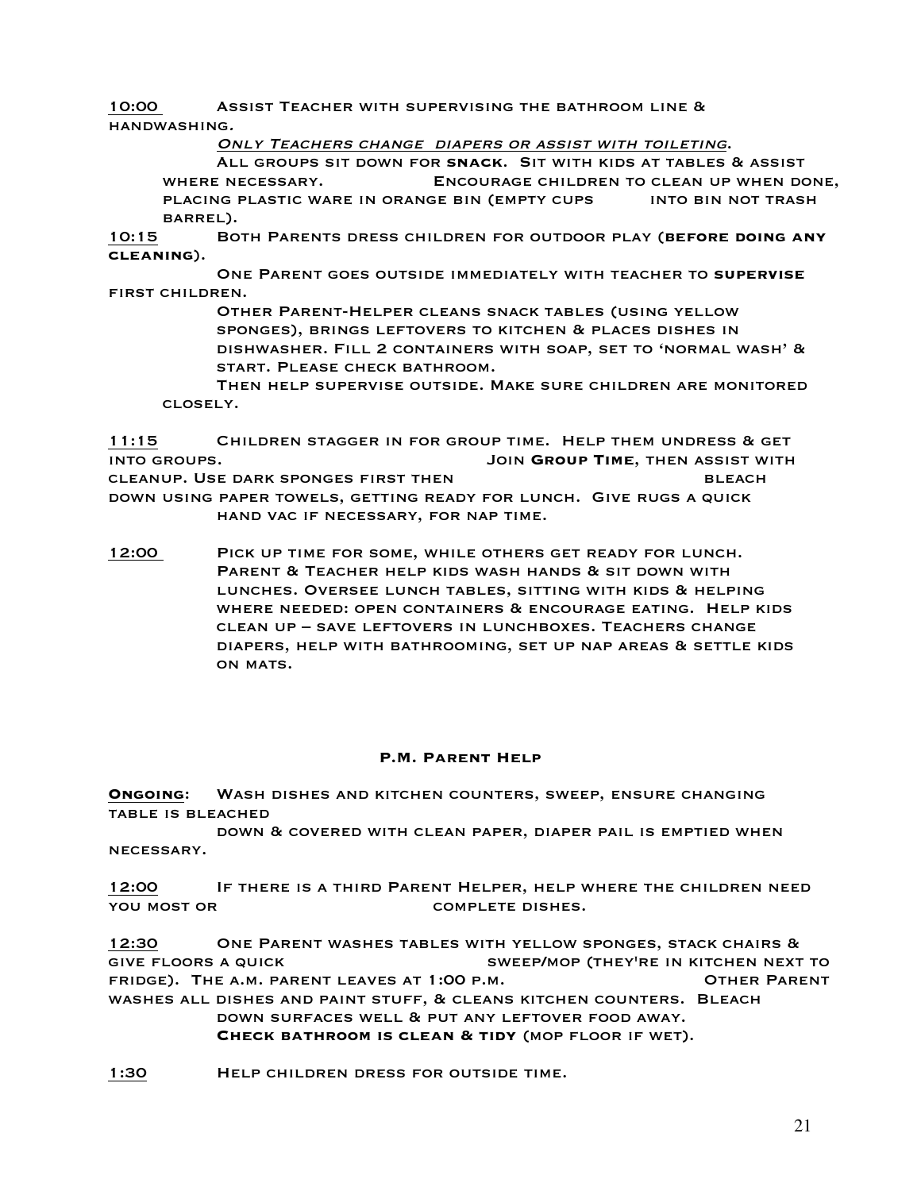10:00 Assist Teacher with supervising the bathroom line & handwashing.

ONLY TEACHERS CHANGE DIAPERS OR ASSIST WITH TOILETING.

All groups sit down for **snack**. Sit with kids at tables & assist WHERE NECESSARY. ENCOURAGE CHILDREN TO CLEAN UP WHEN DONE, placing plastic ware in orange bin (empty cups into bin not trash barrel).

10:15 Both Parents dress children for outdoor play (**before doing any cleaning**).

One Parent goes outside immediately with teacher to **supervise** first children.

> Other Parent-Helper cleans snack tables (using yellow sponges), brings leftovers to kitchen & places dishes in dishwasher. Fill 2 containers with soap, set to 'normal wash' & start. Please check bathroom.

Then help supervise outside. Make sure children are monitored closely.

11:15 Children stagger in for group time. Help them undress & get into groups. Join **Group Time**, then assist with cleanup. Use dark sponges first then bleach down using paper towels, getting ready for lunch. Give rugs a quick hand vac if necessary, for nap time.

12:00 Pick up time for some, while others get ready for lunch. Parent & Teacher help kids wash hands & sit down with lunches. Oversee lunch tables, sitting with kids & helping where needed: open containers & encourage eating. Help kids clean up – save leftovers in lunchboxes. Teachers change diapers, help with bathrooming, set up nap areas & settle kids ON MATS.

# **P.M. Parent Help**

**Ongoing**: Wash dishes and kitchen counters, sweep, ensure changing table is bleached

 down & covered with clean paper, diaper pail is emptied when necessary.

12:00 If there is a third Parent Helper, help where the children need you most or complete dishes.

12:30 One Parent washes tables with yellow sponges, stack chairs & GIVE FLOORS A QUICK SWEEP/MOP (THEY'RE IN KITCHEN NEXT TO FRIDGE). THE A.M. PARENT LEAVES AT 1:00 P.M. CHER OTHER PARENT washes all dishes and paint stuff, & cleans kitchen counters. Bleach down surfaces well & put any leftover food away. **Check bathroom is clean & tidy** (mop floor if wet).

1:30 Help children dress for outside time.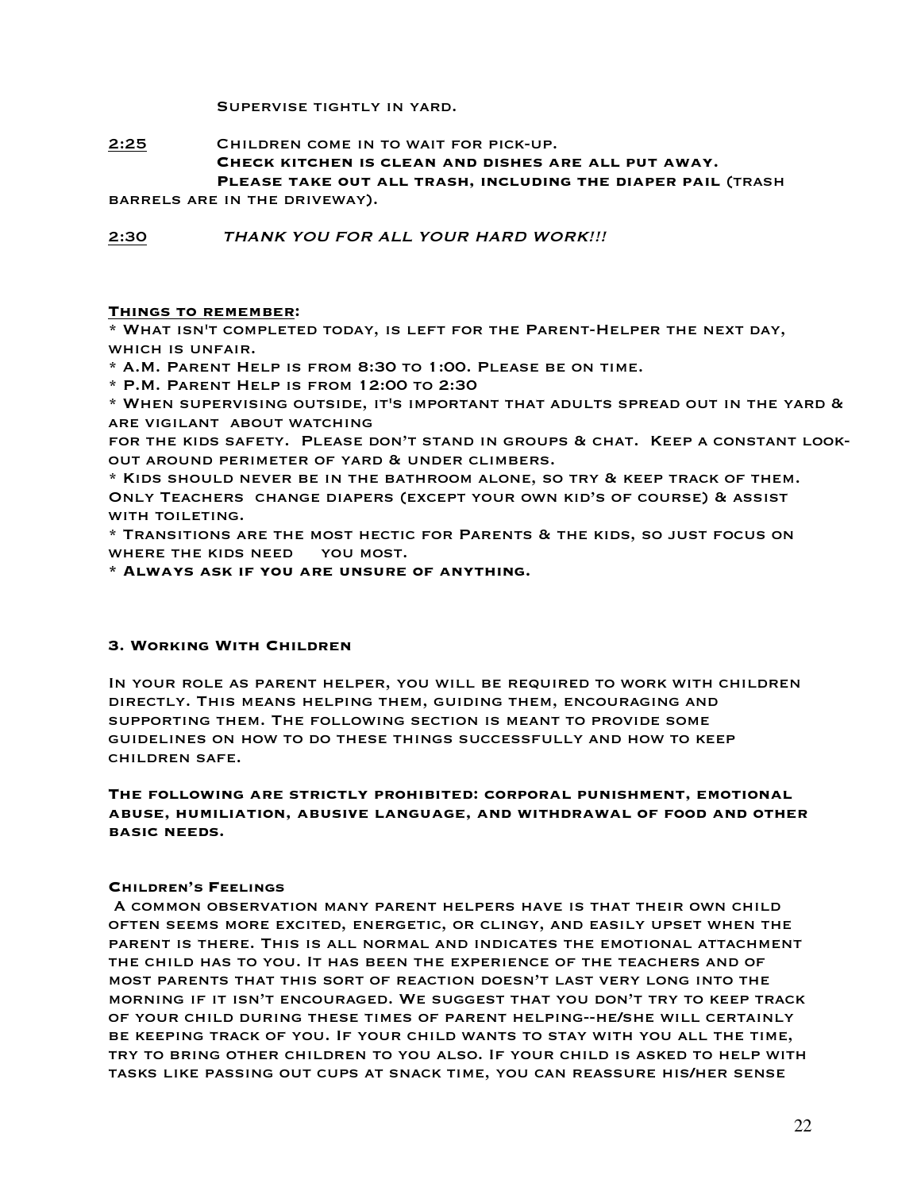Supervise tightly in yard.

# 2:25 Children come in to wait for pick-up. **Check kitchen is clean and dishes are all put away. Please take out all trash, including the diaper pail** (trash

barrels are in the driveway).

2:30 THANK YOU FOR ALL YOUR HARD WORK!!!

#### **Things to remember:**

\* What isn't completed today, is left for the Parent-Helper the next day, which is unfair.

\* A.M. Parent Help is from 8:30 to 1:00. Please be on time.

\* P.M. Parent Help is from 12:00 to 2:30

\* When supervising outside, it's important that adults spread out in the yard & are vigilant about watching

for the kids safety. Please don't stand in groups & chat. Keep a constant lookout around perimeter of yard & under climbers.

\* Kids should never be in the bathroom alone, so try & keep track of them. Only Teachers change diapers (except your own kid's of course) & assist WITH TOILETING.

\* Transitions are the most hectic for Parents & the kids, so just focus on WHERE THE KIDS NEED YOU MOST.

**\* Always ask if you are unsure of anything.**

### **3. Working With Children**

In your role as parent helper, you will be required to work with children directly. This means helping them, guiding them, encouraging and supporting them. The following section is meant to provide some guidelines on how to do these things successfully and how to keep children safe.

**The following are strictly prohibited: corporal punishment, emotional abuse, humiliation, abusive language, and withdrawal of food and other basic needs.**

#### **CHILDREN'S FEELINGS**

A common observation many parent helpers have is that their own child often seems more excited, energetic, or clingy, and easily upset when the parent is there. This is all normal and indicates the emotional attachment the child has to you. It has been the experience of the teachers and of most parents that this sort of reaction doesn't last very long into the morning if it isn't encouraged. We suggest that you don't try to keep track of your child during these times of parent helping--he/she will certainly be keeping track of you. If your child wants to stay with you all the time, try to bring other children to you also. If your child is asked to help with tasks like passing out cups at snack time, you can reassure his/her sense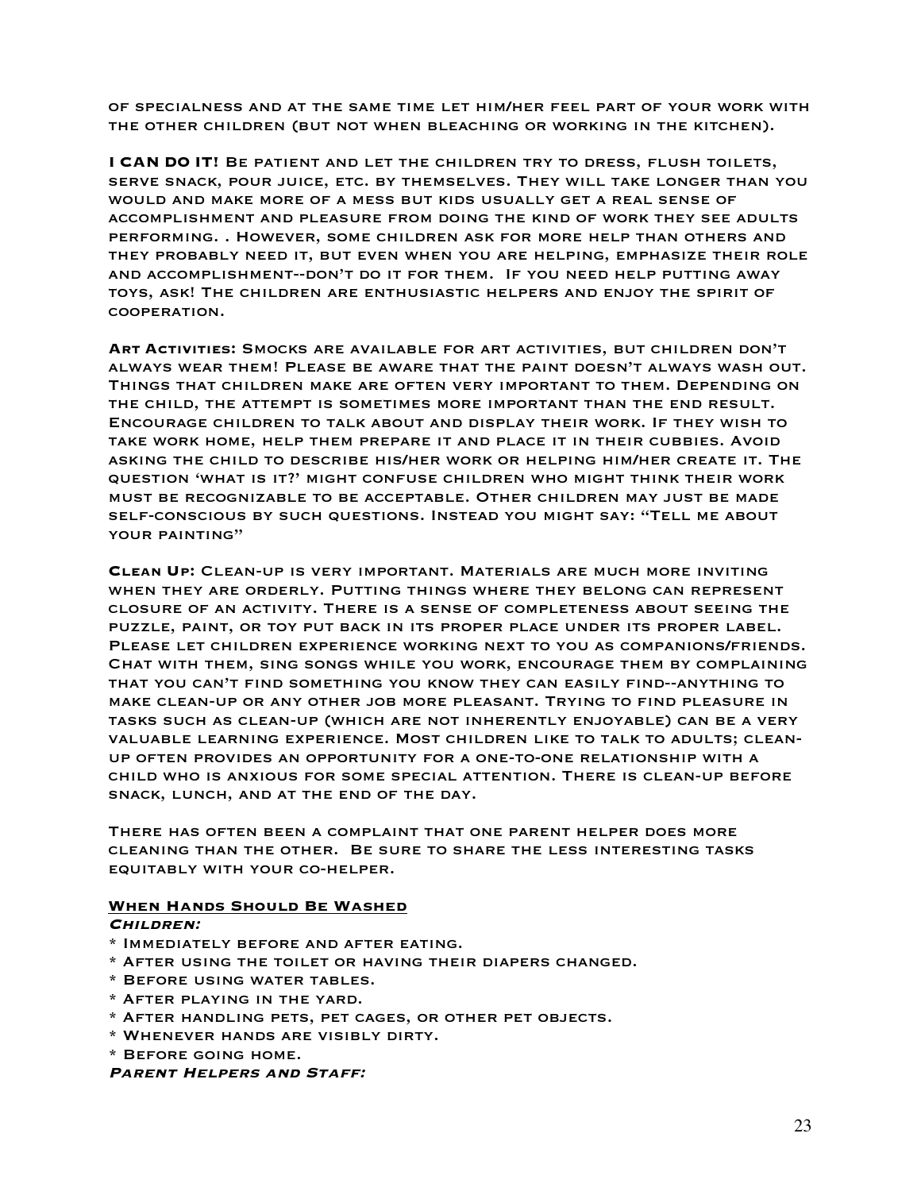of specialness and at the same time let him/her feel part of your work with the other children (but not when bleaching or working in the kitchen).

**I CAN DO IT!** Be patient and let the children try to dress, flush toilets, serve snack, pour juice, etc. by themselves. They will take longer than you would and make more of a mess but kids usually get a real sense of accomplishment and pleasure from doing the kind of work they see adults performing. . However, some children ask for more help than others and they probably need it, but even when you are helping, emphasize their role and accomplishment--don't do it for them. If you need help putting away toys, ask! The children are enthusiastic helpers and enjoy the spirit of cooperation.

**ART ACTIVITIES:** Smocks are available for art activities, but children don't always wear them! Please be aware that the paint doesn't always wash out. Things that children make are often very important to them. Depending on the child, the attempt is sometimes more important than the end result. Encourage children to talk about and display their work. If they wish to take work home, help them prepare it and place it in their cubbies. Avoid asking the child to describe his/her work or helping him/her create it. The question 'what is it?' might confuse children who might think their work must be recognizable to be acceptable. Other children may just be made self-conscious by such questions. Instead you might say: "Tell me about your painting"

**CLEAN UP:** Clean-up is very important. Materials are much more inviting when they are orderly. Putting things where they belong can represent closure of an activity. There is a sense of completeness about seeing the puzzle, paint, or toy put back in its proper place under its proper label. Please let children experience working next to you as companions/friends. Chat with them, sing songs while you work, encourage them by complaining that you can't find something you know they can easily find--anything to make clean-up or any other job more pleasant. Trying to find pleasure in tasks such as clean-up (which are not inherently enjoyable) can be a very valuable learning experience. Most children like to talk to adults; cleanup often provides an opportunity for a one-to-one relationship with a child who is anxious for some special attention. There is clean-up before snack, lunch, and at the end of the day.

There has often been a complaint that one parent helper does more cleaning than the other. Be sure to share the less interesting tasks equitably with your co-helper.

### **When Hands Should Be Washed**

#### **Children:**

- \* Immediately before and after eating.
- \* After using the toilet or having their diapers changed.
- \* Before using water tables.
- \* After playing in the yard.
- \* After handling pets, pet cages, or other pet objects.
- \* Whenever hands are visibly dirty.
- \* Before going home.

#### **Parent Helpers and Staff:**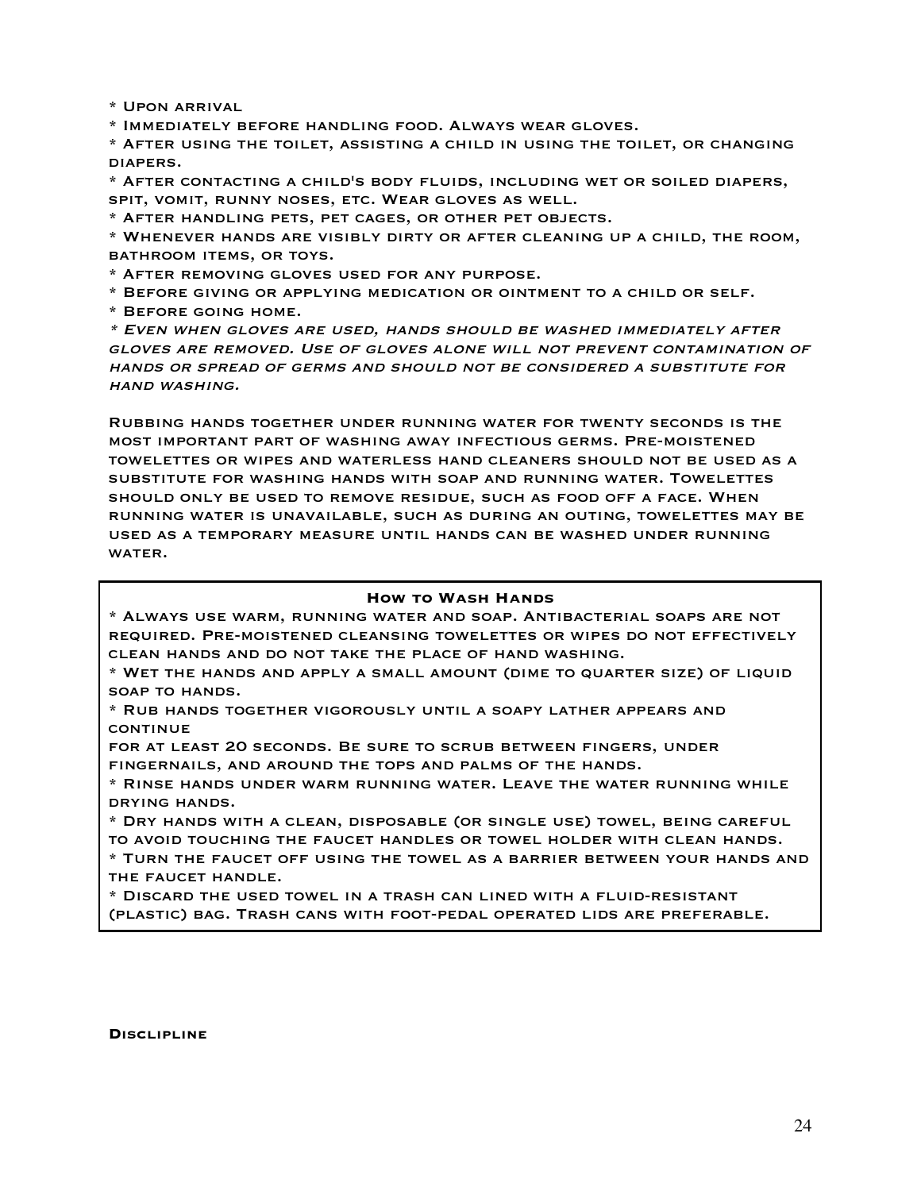\* Upon arrival

\* Immediately before handling food. Always wear gloves.

\* After using the toilet, assisting a child in using the toilet, or changing diapers.

\* After contacting a child's body fluids, including wet or soiled diapers, spit, vomit, runny noses, etc. Wear gloves as well.

\* After handling pets, pet cages, or other pet objects.

\* Whenever hands are visibly dirty or after cleaning up a child, the room, bathroom items, or toys.

\* After removing gloves used for any purpose.

\* Before giving or applying medication or ointment to a child or self.

\* Before going home.

\* Even when gloves are used, hands should be washed immediately after gloves are removed. Use of gloves alone will not prevent contamination of hands or spread of germs and should not be considered a substitute for hand washing.

Rubbing hands together under running water for twenty seconds is the most important part of washing away infectious germs. Pre-moistened towelettes or wipes and waterless hand cleaners should not be used as a substitute for washing hands with soap and running water. Towelettes should only be used to remove residue, such as food off a face. When running water is unavailable, such as during an outing, towelettes may be used as a temporary measure until hands can be washed under running WATER.

#### **How to Wash Hands**

\* Always use warm, running water and soap. Antibacterial soaps are not required. Pre-moistened cleansing towelettes or wipes do not effectively clean hands and do not take the place of hand washing.

\* Wet the hands and apply a small amount (dime to quarter size) of liquid soap to hands.

\* Rub hands together vigorously until a soapy lather appears and **CONTINUE** 

for at least 20 seconds. Be sure to scrub between fingers, under fingernails, and around the tops and palms of the hands.

\* Rinse hands under warm running water. Leave the water running while drying hands.

\* Dry hands with a clean, disposable (or single use) towel, being careful to avoid touching the faucet handles or towel holder with clean hands. \* Turn the faucet off using the towel as a barrier between your hands and the faucet handle.

\* Discard the used towel in a trash can lined with a fluid-resistant (plastic) bag. Trash cans with foot-pedal operated lids are preferable.

#### **DISCLIPLINE**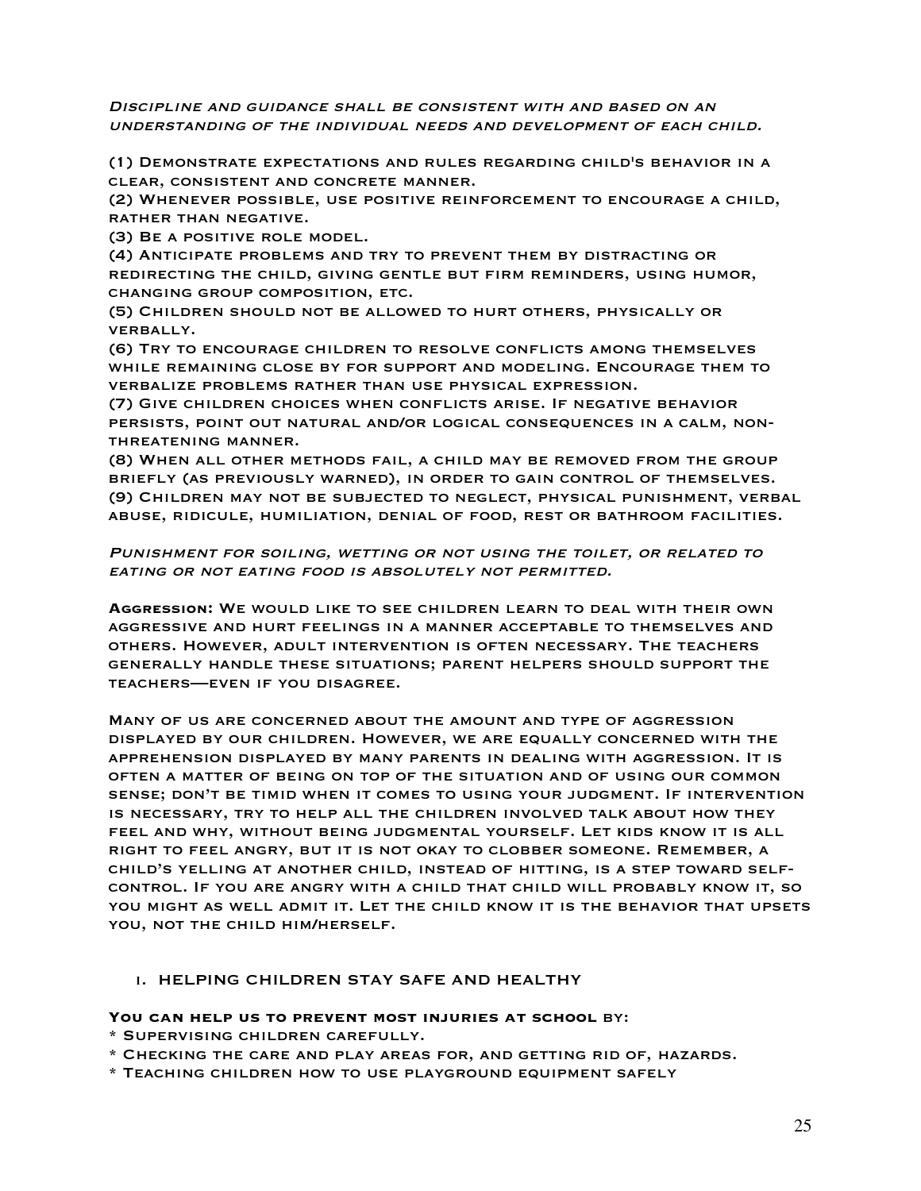Discipline and guidance shall be consistent with and based on an understanding of the individual needs and development of each child.

(1) Demonstrate expectations and rules regarding child's behavior in a clear, consistent and concrete manner.

(2) Whenever possible, use positive reinforcement to encourage a child, rather than negative.

(3) Be a positive role model.

(4) Anticipate problems and try to prevent them by distracting or redirecting the child, giving gentle but firm reminders, using humor, changing group composition, etc.

(5) Children should not be allowed to hurt others, physically or verbally.

(6) Try to encourage children to resolve conflicts among themselves while remaining close by for support and modeling. Encourage them to verbalize problems rather than use physical expression.

(7) Give children choices when conflicts arise. If negative behavior persists, point out natural and/or logical consequences in a calm, nonthreatening manner.

(8) When all other methods fail, a child may be removed from the group briefly (as previously warned), in order to gain control of themselves. (9) Children may not be subjected to neglect, physical punishment, verbal abuse, ridicule, humiliation, denial of food, rest or bathroom facilities.

PUNISHMENT FOR SOILING, WETTING OR NOT USING THE TOILET, OR RELATED TO eating or not eating food is absolutely not permitted.

**AGGRESSION:** We would like to see children learn to deal with their own aggressive and hurt feelings in a manner acceptable to themselves and others. However, adult intervention is often necessary. The teachers generally handle these situations; parent helpers should support the teachers—even if you disagree.

Many of us are concerned about the amount and type of aggression displayed by our children. However, we are equally concerned with the apprehension displayed by many parents in dealing with aggression. It is often a matter of being on top of the situation and of using our common sense; don't be timid when it comes to using your judgment. If intervention is necessary, try to help all the children involved talk about how they feel and why, without being judgmental yourself. Let kids know it is all right to feel angry, but it is not okay to clobber someone. Remember, a child's yelling at another child, instead of hitting, is a step toward selfcontrol. If you are angry with a child that child will probably know it, so you might as well admit it. Let the child know it is the behavior that upsets you, not the child him/herself.

### i. HELPING CHILDREN STAY SAFE AND HEALTHY

# **You can help us to prevent most injuries at school** by:

\* Supervising children carefully.

- \* Checking the care and play areas for, and getting rid of, hazards.
- \* Teaching children how to use playground equipment safely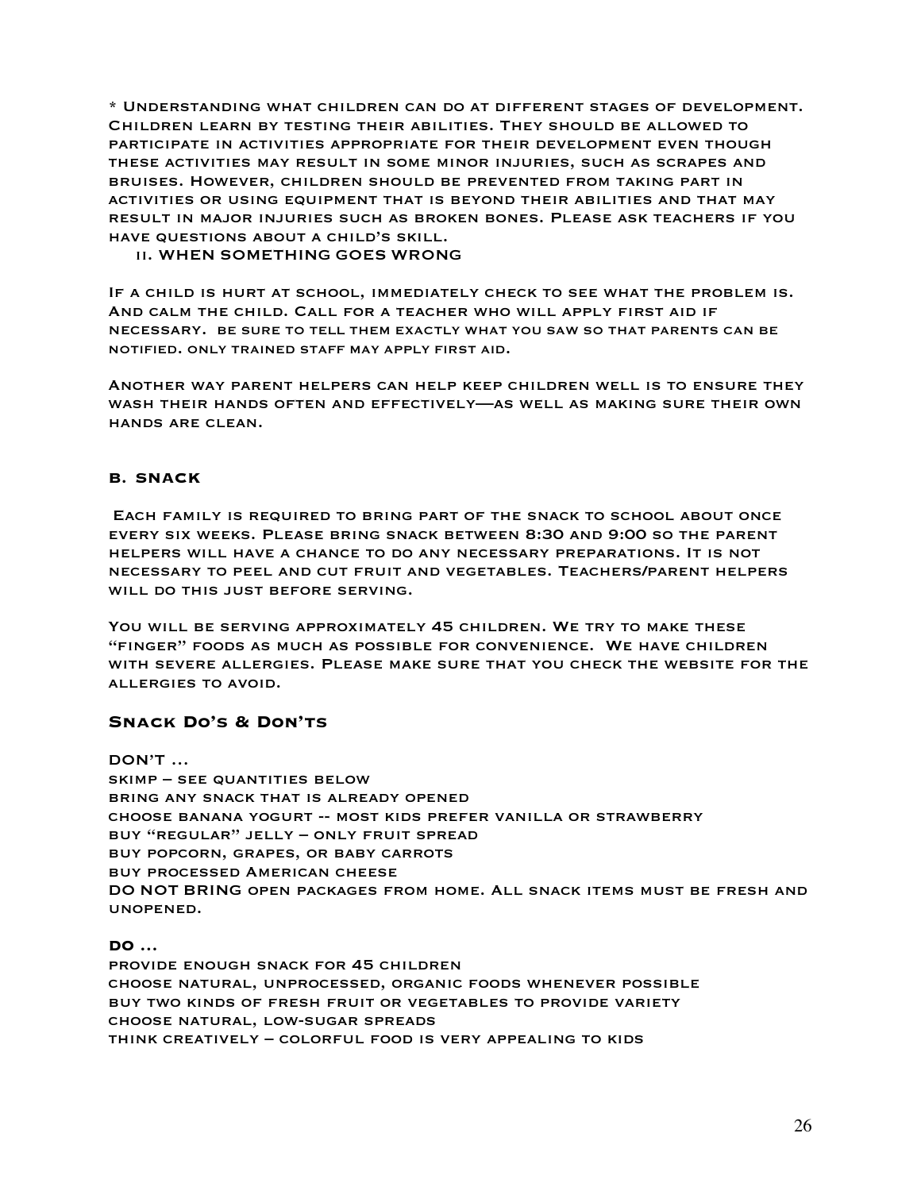\* Understanding what children can do at different stages of development. Children learn by testing their abilities. They should be allowed to participate in activities appropriate for their development even though these activities may result in some minor injuries, such as scrapes and bruises. However, children should be prevented from taking part in activities or using equipment that is beyond their abilities and that may result in major injuries such as broken bones. Please ask teachers if you have questions about a child's skill.

ii. WHEN SOMETHING GOES WRONG

If a child is hurt at school, immediately check to see what the problem is. And calm the child. Call for a teacher who will apply first aid if necessary. BE SURE TO TELL THEM EXACTLY WHAT YOU SAW SO THAT PARENTS CAN BE NOTIFIED. ONLY TRAINED STAFF MAY APPLY FIRST AID.

Another way parent helpers can help keep children well is to ensure they wash their hands often and effectively—as well as making sure their own hands are clean.

### **B. SNACK**

Each family is required to bring part of the snack to school about once every six weeks. Please bring snack between 8:30 and 9:00 so the parent helpers will have a chance to do any necessary preparations. It is not necessary to peel and cut fruit and vegetables. Teachers/parent helpers WILL DO THIS JUST BEFORE SERVING.

YOU WILL BE SERVING APPROXIMATELY 45 CHILDREN. WE TRY TO MAKE THESE "finger" foods as much as possible for convenience. We have children with severe allergies. Please make sure that you check the website for the allergies to avoid.

# **Snack Do's & Don'ts**

DON'T … skimp – see quantities below bring any snack that is already opened choose banana yogurt -- most kids prefer vanilla or strawberry buy "regular" jelly – only fruit spread buy popcorn, grapes, or baby carrots buy processed American cheese DO NOT BRING open packages from home. All snack items must be fresh and unopened.

**DO …** provide enough snack for 45 children choose natural, unprocessed, organic foods whenever possible buy two kinds of fresh fruit or vegetables to provide variety choose natural, low-sugar spreads think creatively – colorful food is very appealing to kids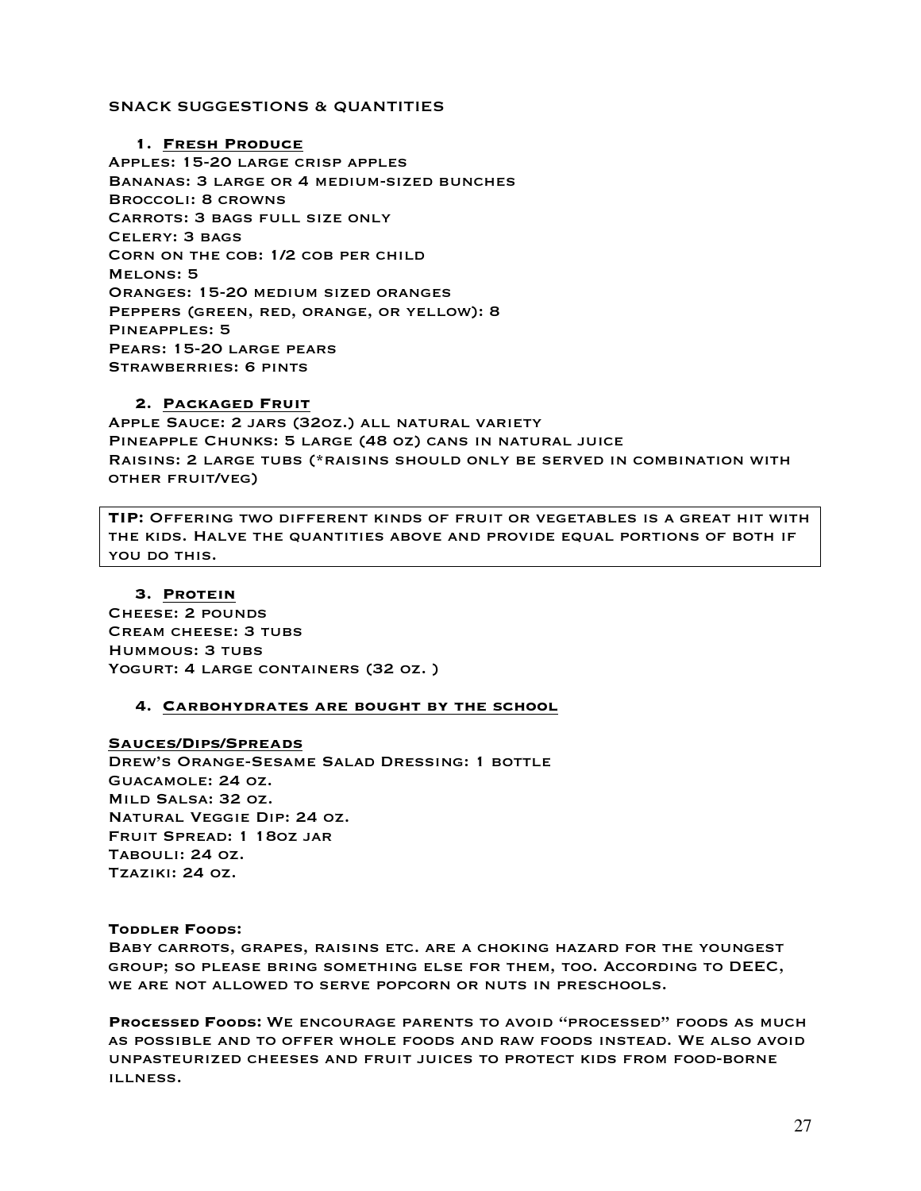#### SNACK SUGGESTIONS & QUANTITIES

#### **1. Fresh Produce**

Apples: 15-20 large crisp apples Bananas: 3 large or 4 medium-sized bunches Broccoli: 8 crowns Carrots: 3 bags full size only Celery: 3 bags CORN ON THE COB: 1/2 COB PER CHILD Melons: 5 Oranges: 15-20 medium sized oranges Peppers (green, red, orange, or yellow): 8 Pineapples: 5 Pears: 15-20 large pears Strawberries: 6 pints

#### **2. Packaged Fruit**

Apple Sauce: 2 jars (32oz.) all natural variety Pineapple Chunks: 5 large (48 oz) cans in natural juice Raisins: 2 large tubs (\*raisins should only be served in combination with other fruit/veg)

**TIP:** Offering two different kinds of fruit or vegetables is a great hit with the kids. Halve the quantities above and provide equal portions of both if YOU DO THIS.

#### **3. Protein**

Cheese: 2 pounds Cream cheese: 3 tubs Hummous: 3 tubs YOGURT: 4 LARGE CONTAINERS (32 OZ.)

#### **4. Carbohydrates are bought by the school**

#### **Sauces/Dips/Spreads**

Drew's Orange-Sesame Salad Dressing: 1 bottle Guacamole: 24 oz. Mild Salsa: 32 oz. Natural Veggie Dip: 24 oz. Fruit Spread: 1 18oz jar Tabouli: 24 oz. Tzaziki: 24 oz.

#### **TODDLER FOODS:**

Baby carrots, grapes, raisins etc. are a choking hazard for the youngest group; so please bring something else for them, too. According to DEEC, we are not allowed to serve popcorn or nuts in preschools.

**PROCESSED FOODS:** We encourage parents to avoid "processed" foods as much as possible and to offer whole foods and raw foods instead. We also avoid unpasteurized cheeses and fruit juices to protect kids from food-borne illness.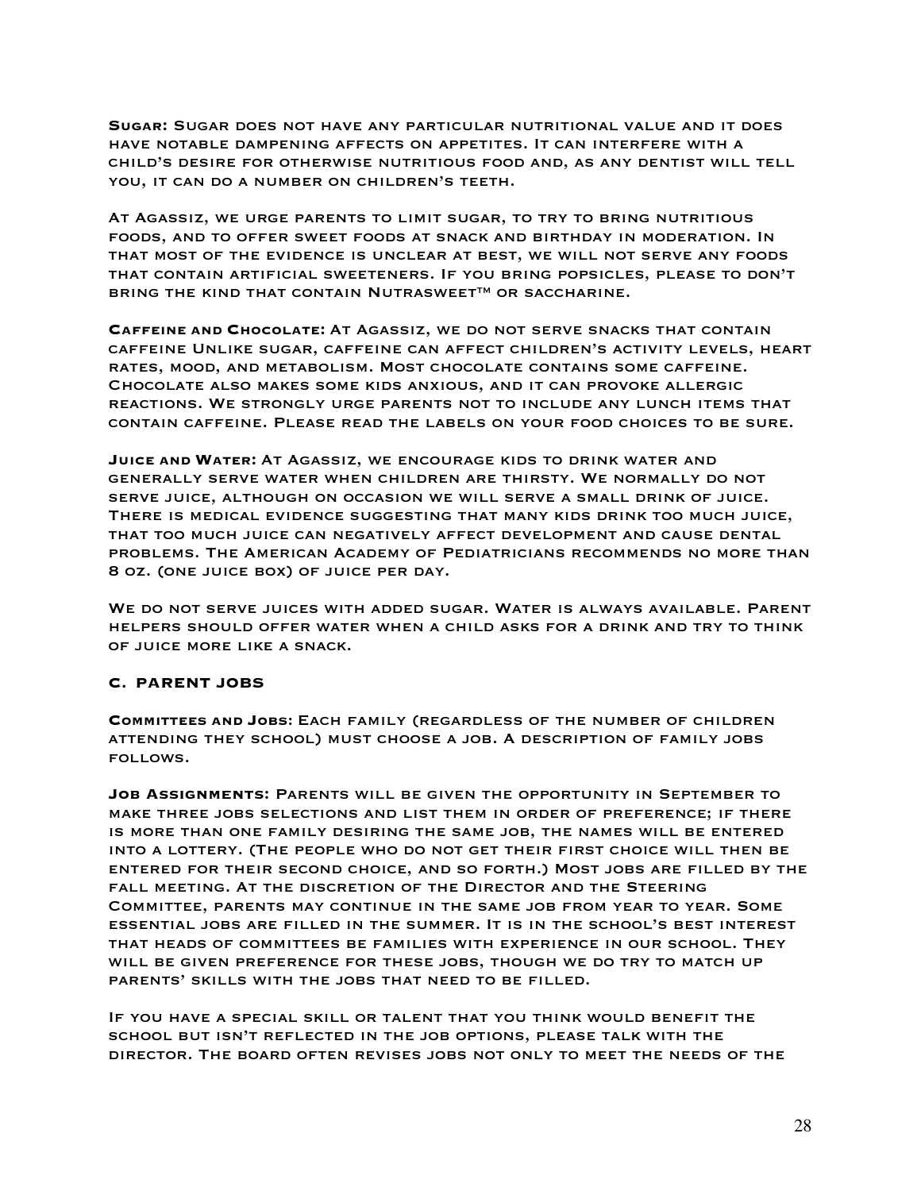**SUGAR:** Sugar does not have any particular nutritional value and it does have notable dampening affects on appetites. It can interfere with a child's desire for otherwise nutritious food and, as any dentist will tell you, it can do a number on children's teeth.

At Agassiz, we urge parents to limit sugar, to try to bring nutritious foods, and to offer sweet foods at snack and birthday in moderation. In that most of the evidence is unclear at best, we will not serve any foods that contain artificial sweeteners. If you bring popsicles, please to don't bring the kind that contain Nutrasweet™ or saccharine.

**CAFFEINE AND CHOCOLATE:** At Agassiz, we do not serve snacks that contain caffeine Unlike sugar, caffeine can affect children's activity levels, heart rates, mood, and metabolism. Most chocolate contains some caffeine. Chocolate also makes some kids anxious, and it can provoke allergic reactions. We strongly urge parents not to include any lunch items that contain caffeine. Please read the labels on your food choices to be sure.

**JUICE AND WATER:** At Agassiz, we encourage kids to drink water and generally serve water when children are thirsty. We normally do not serve juice, although on occasion we will serve a small drink of juice. There is medical evidence suggesting that many kids drink too much juice, that too much juice can negatively affect development and cause dental problems. The American Academy of Pediatricians recommends no more than 8 oz. (one juice box) of juice per day.

WE DO NOT SERVE JUICES WITH ADDED SUGAR. WATER IS ALWAYS AVAILABLE. PARENT helpers should offer water when a child asks for a drink and try to think of juice more like a snack.

### **C. PARENT JOBS**

**COMMITTEES AND JOBS**: Each family (regardless of the number of children attending they school) must choose a job. A description of family jobs follows.

**Job Assignments:** Parents will be given the opportunity in September to make three jobs selections and list them in order of preference; if there is more than one family desiring the same job, the names will be entered into a lottery. (The people who do not get their first choice will then be entered for their second choice, and so forth.) Most jobs are filled by the fall meeting. At the discretion of the Director and the Steering Committee, parents may continue in the same job from year to year. Some essential jobs are filled in the summer. It is in the school's best interest that heads of committees be families with experience in our school. They will be given preference for these jobs, though we do try to match up parents' skills with the jobs that need to be filled.

If you have a special skill or talent that you think would benefit the school but isn't reflected in the job options, please talk with the director. The board often revises jobs not only to meet the needs of the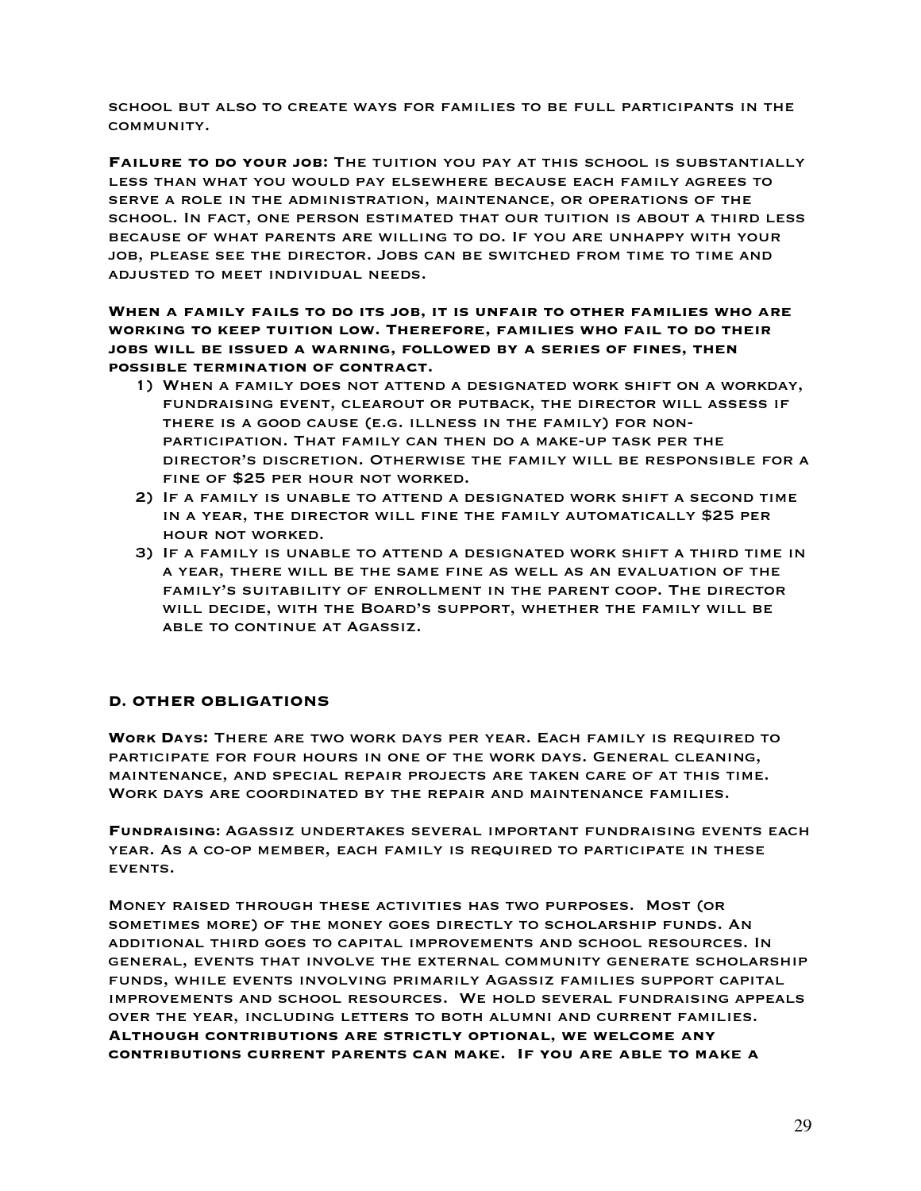school but also to create ways for families to be full participants in the community.

**Failure to do your job:** The tuition you pay at this school is substantially less than what you would pay elsewhere because each family agrees to serve a role in the administration, maintenance, or operations of the school. In fact, one person estimated that our tuition is about a third less because of what parents are willing to do. If you are unhappy with your job, please see the director. Jobs can be switched from time to time and adjusted to meet individual needs.

**When a family fails to do its job, it is unfair to other families who are working to keep tuition low. Therefore, families who fail to do their jobs will be issued a warning, followed by a series of fines, then possible termination of contract.**

- 1) When a family does not attend a designated work shift on a workday, fundraising event, clearout or putback, the director will assess if there is a good cause (e.g. illness in the family) for nonparticipation. That family can then do a make-up task per the director's discretion. Otherwise the family will be responsible for a fine of \$25 per hour not worked.
- 2) If a family is unable to attend a designated work shift a second time in a year, the director will fine the family automatically \$25 per hour not worked.
- 3) If a family is unable to attend a designated work shift a third time in a year, there will be the same fine as well as an evaluation of the family's suitability of enrollment in the parent coop. The director will decide, with the Board's support, whether the family will be able to continue at Agassiz.

# **D. OTHER OBLIGATIONS**

**WORK DAYS:** There are two work days per year. Each family is required to participate for four hours in one of the work days. General cleaning, maintenance, and special repair projects are taken care of at this time. Work days are coordinated by the repair and maintenance families.

**FUNDRAISING**: Agassiz undertakes several important fundraising events each year. As a co-op member, each family is required to participate in these events.

Money raised through these activities has two purposes. Most (or sometimes more) of the money goes directly to scholarship funds. An additional third goes to capital improvements and school resources. In general, events that involve the external community generate scholarship funds, while events involving primarily Agassiz families support capital improvements and school resources. We hold several fundraising appeals over the year, including letters to both alumni and current families. **Although contributions are strictly optional, we welcome any contributions current parents can make. If you are able to make a**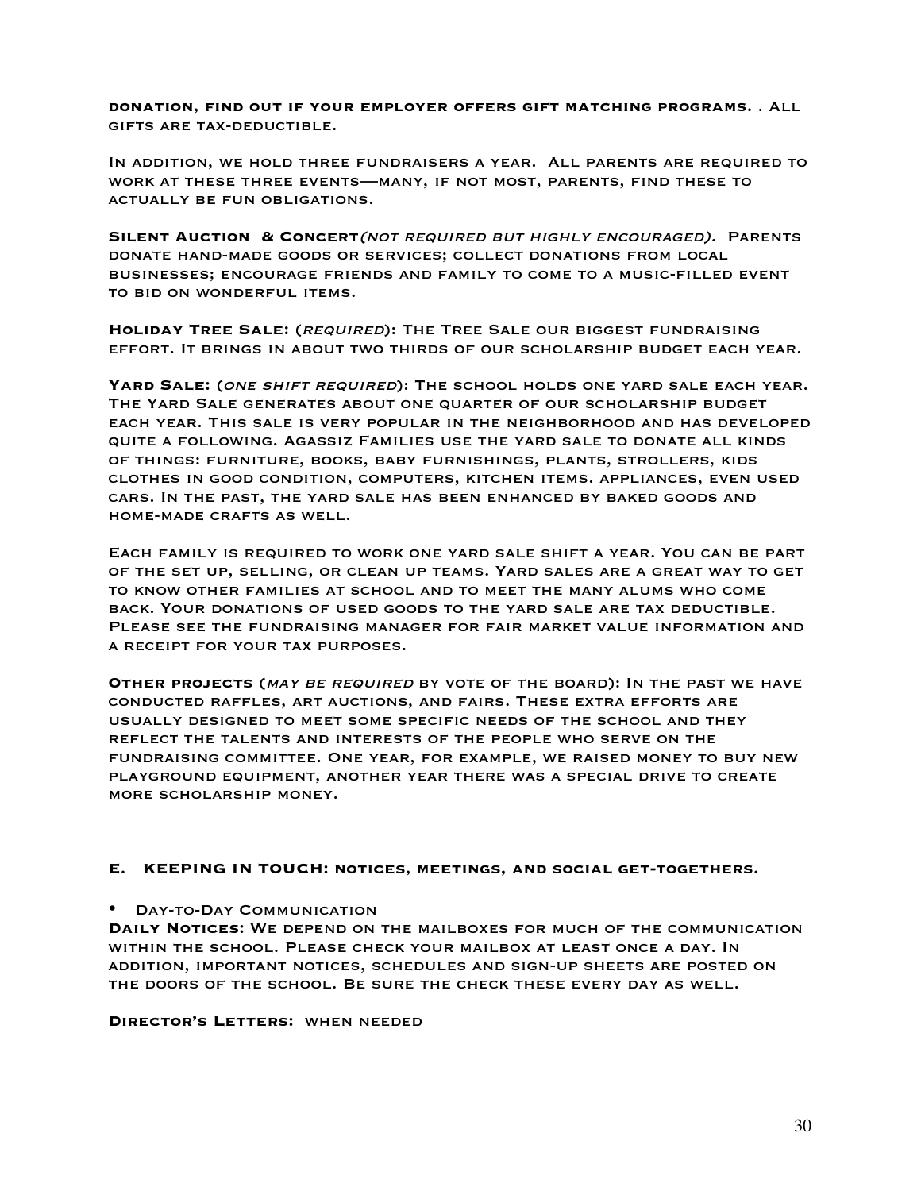**donation, find out if your employer offers gift matching programs.** . All gifts are tax-deductible.

In addition, we hold three fundraisers a year. All parents are required to work at these three events—many, if not most, parents, find these to actually be fun obligations.

**Silent Auction & Concert**(not required but highly encouraged). Parents donate hand-made goods or services; collect donations from local businesses; encourage friends and family to come to a music-filled event to bid on wonderful items.

**Holiday Tree Sale:** (required): The Tree Sale our biggest fundraising effort. It brings in about two thirds of our scholarship budget each year.

YARD SALE: (ONE SHIFT REQUIRED): THE SCHOOL HOLDS ONE YARD SALE EACH YEAR. The Yard Sale generates about one quarter of our scholarship budget each year. This sale is very popular in the neighborhood and has developed quite a following. Agassiz Families use the yard sale to donate all kinds of things: furniture, books, baby furnishings, plants, strollers, kids clothes in good condition, computers, kitchen items. appliances, even used cars. In the past, the yard sale has been enhanced by baked goods and home-made crafts as well.

Each family is required to work one yard sale shift a year. You can be part of the set up, selling, or clean up teams. Yard sales are a great way to get to know other families at school and to meet the many alums who come back. Your donations of used goods to the yard sale are tax deductible. Please see the fundraising manager for fair market value information and a receipt for your tax purposes.

**Other projects** (may be required by vote of the board): In the past we have conducted raffles, art auctions, and fairs. These extra efforts are usually designed to meet some specific needs of the school and they reflect the talents and interests of the people who serve on the fundraising committee. One year, for example, we raised money to buy new playground equipment, another year there was a special drive to create more scholarship money.

### **E. KEEPING IN TOUCH: notices, meetings, and social get-togethers.**

• Day-to-Day Communication

**Daily Notices:** We depend on the mailboxes for much of the communication within the school. Please check your mailbox at least once a day. In addition, important notices, schedules and sign-up sheets are posted on the doors of the school. Be sure the check these every day as well.

**Director's Letters:** when needed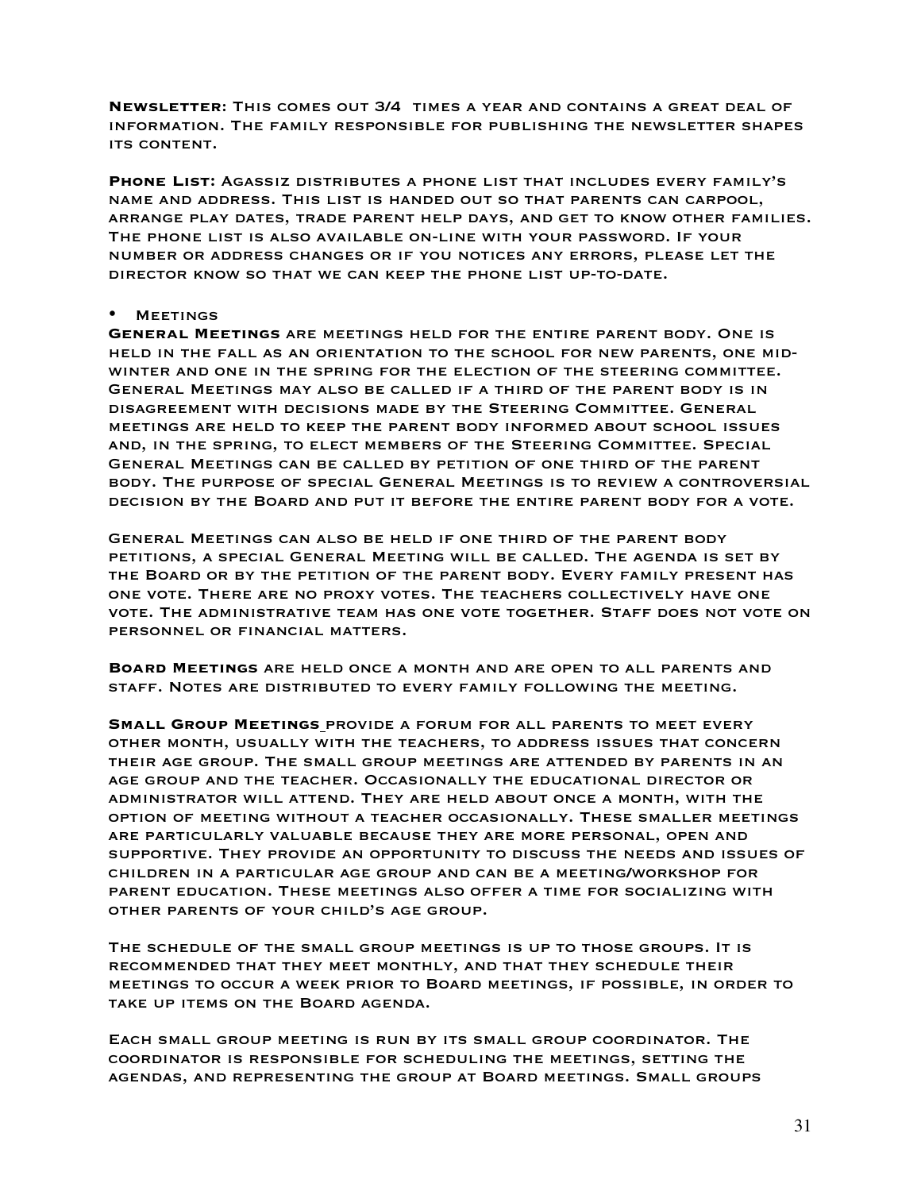**Newsletter**: This comes out 3/4 times a year and contains a great deal of information. The family responsible for publishing the newsletter shapes its content.

**Phone List:** Agassiz distributes a phone list that includes every family's name and address. This list is handed out so that parents can carpool, arrange play dates, trade parent help days, and get to know other families. The phone list is also available on-line with your password. If your number or address changes or if you notices any errors, please let the director know so that we can keep the phone list up-to-date.

#### **MEETINGS**

**General Meetings** are meetings held for the entire parent body. One is held in the fall as an orientation to the school for new parents, one midwinter and one in the spring for the election of the steering committee. General Meetings may also be called if a third of the parent body is in disagreement with decisions made by the Steering Committee. General meetings are held to keep the parent body informed about school issues and, in the spring, to elect members of the Steering Committee. Special General Meetings can be called by petition of one third of the parent body. The purpose of special General Meetings is to review a controversial decision by the Board and put it before the entire parent body for a vote.

General Meetings can also be held if one third of the parent body petitions, a special General Meeting will be called. The agenda is set by the Board or by the petition of the parent body. Every family present has one vote. There are no proxy votes. The teachers collectively have one vote. The administrative team has one vote together. Staff does not vote on personnel or financial matters.

**Board Meetings** are held once a month and are open to all parents and staff. Notes are distributed to every family following the meeting.

**Small Group Meetings** provide a forum for all parents to meet every other month, usually with the teachers, to address issues that concern their age group. The small group meetings are attended by parents in an age group and the teacher. Occasionally the educational director or administrator will attend. They are held about once a month, with the option of meeting without a teacher occasionally. These smaller meetings are particularly valuable because they are more personal, open and supportive. They provide an opportunity to discuss the needs and issues of children in a particular age group and can be a meeting/workshop for parent education. These meetings also offer a time for socializing with other parents of your child's age group.

The schedule of the small group meetings is up to those groups. It is recommended that they meet monthly, and that they schedule their meetings to occur a week prior to Board meetings, if possible, in order to take up items on the Board agenda.

Each small group meeting is run by its small group coordinator. The coordinator is responsible for scheduling the meetings, setting the agendas, and representing the group at Board meetings. Small groups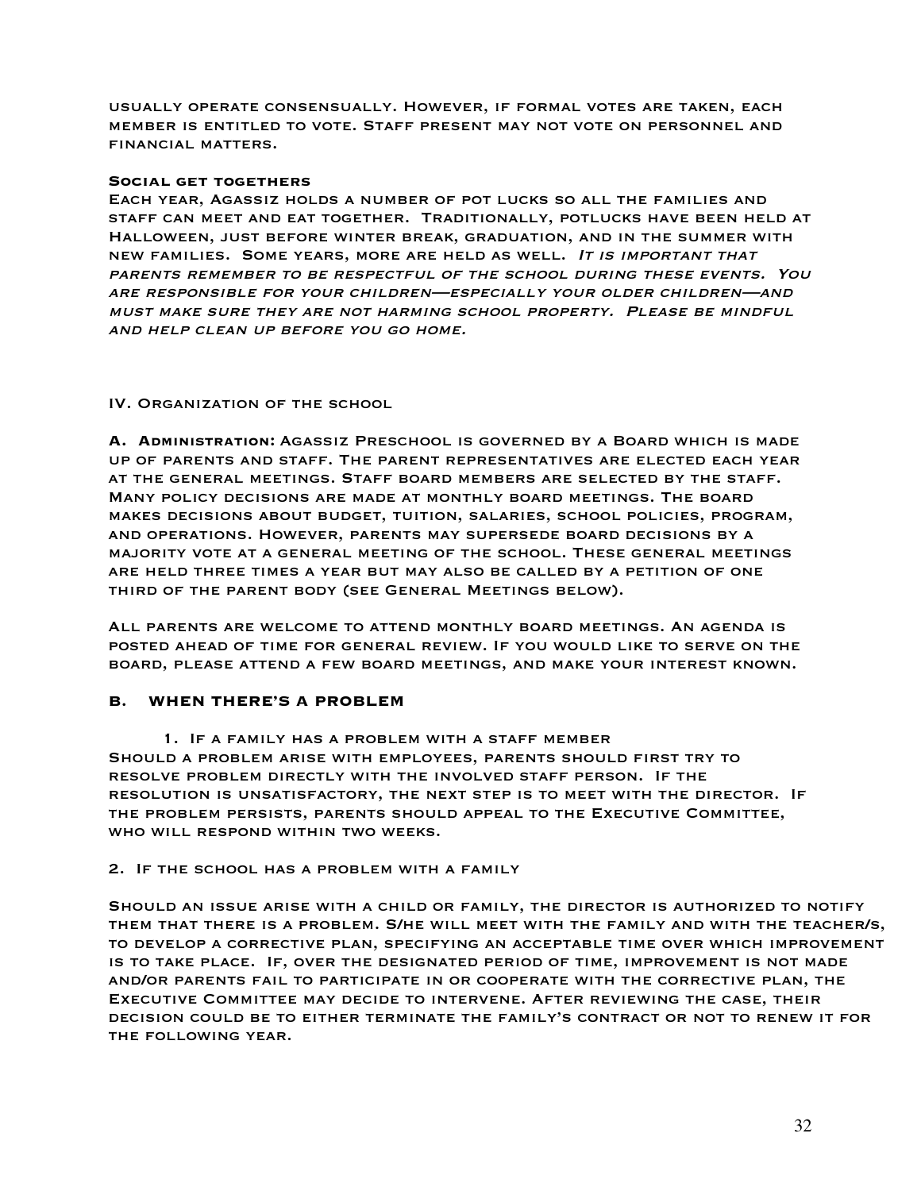usually operate consensually. However, if formal votes are taken, each member is entitled to vote. Staff present may not vote on personnel and financial matters.

#### **Social get togethers**

Each year, Agassiz holds a number of pot lucks so all the families and staff can meet and eat together. Traditionally, potlucks have been held at Halloween, just before winter break, graduation, and in the summer with NEW FAMILIES. SOME YEARS, MORE ARE HELD AS WELL. IT IS IMPORTANT THAT parents remember to be respectful of the school during these events. You are responsible for your children—especially your older children—and must make sure they are not harming school property. Please be mindful and help clean up before you go home.

#### IV. Organization of the school

**A. ADMINISTRATION:** Agassiz Preschool is governed by a Board which is made up of parents and staff. The parent representatives are elected each year at the general meetings. Staff board members are selected by the staff. Many policy decisions are made at monthly board meetings. The board makes decisions about budget, tuition, salaries, school policies, program, and operations. However, parents may supersede board decisions by a majority vote at a general meeting of the school. These general meetings are held three times a year but may also be called by a petition of one third of the parent body (see General Meetings below).

All parents are welcome to attend monthly board meetings. An agenda is posted ahead of time for general review. If you would like to serve on the board, please attend a few board meetings, and make your interest known.

### **B. WHEN THERE'S A PROBLEM**

1. If a family has a problem with a staff member Should a problem arise with employees, parents should first try to resolve problem directly with the involved staff person. If the resolution is unsatisfactory, the next step is to meet with the director. If the problem persists, parents should appeal to the Executive Committee, WHO WILL RESPOND WITHIN TWO WEEKS.

### 2. If the school has a problem with a family

Should an issue arise with a child or family, the director is authorized to notify them that there is a problem. S/he will meet with the family and with the teacher/s, to develop a corrective plan, specifying an acceptable time over which improvement is to take place. If, over the designated period of time, improvement is not made and/or parents fail to participate in or cooperate with the corrective plan, the Executive Committee may decide to intervene. After reviewing the case, their decision could be to either terminate the family's contract or not to renew it for the following year.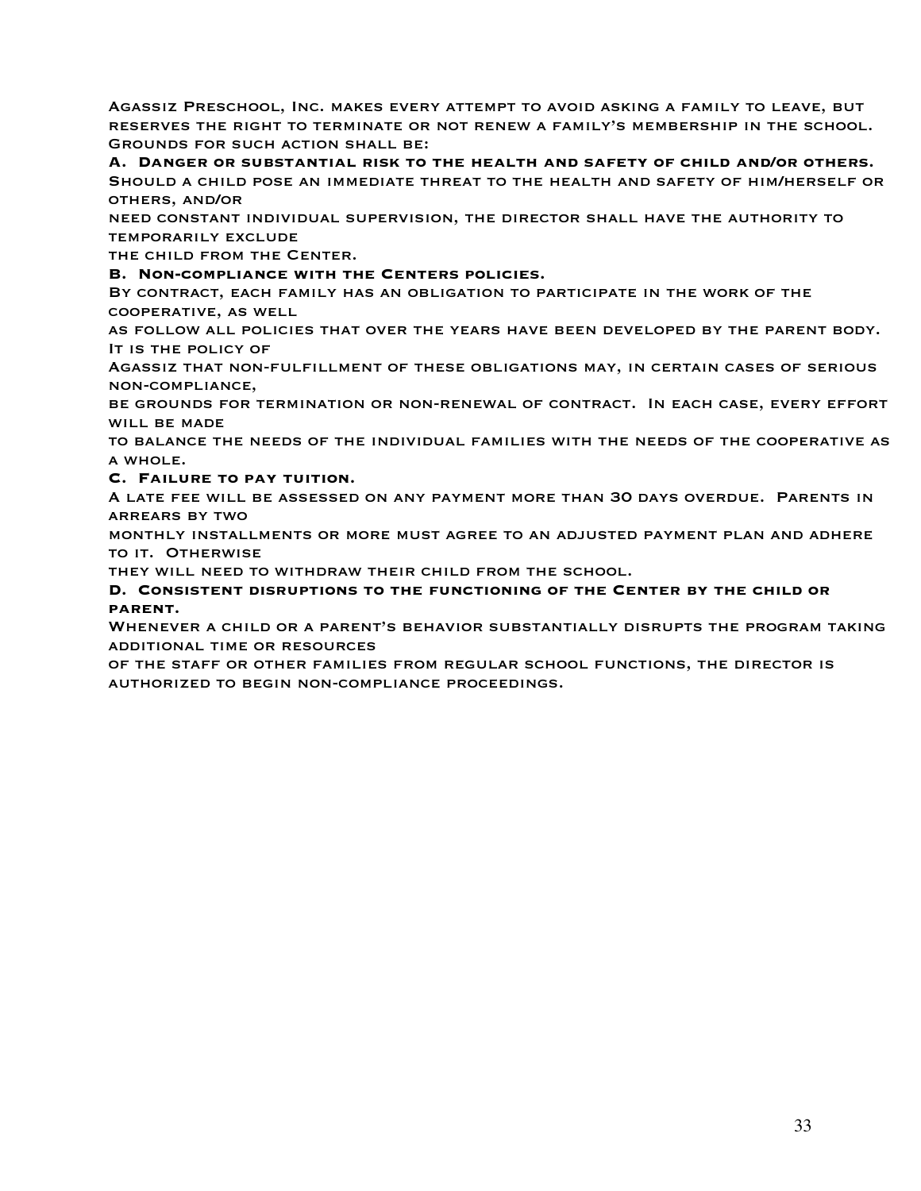Agassiz Preschool, Inc. makes every attempt to avoid asking a family to leave, but reserves the right to terminate or not renew a family's membership in the school. Grounds for such action shall be:

**A. Danger or substantial risk to the health and safety of child and/or others.** Should a child pose an immediate threat to the health and safety of him/herself or others, and/or

need constant individual supervision, the director shall have the authority to temporarily exclude

the child from the Center.

**B. Non-compliance with the Centers policies.**

By contract, each family has an obligation to participate in the work of the cooperative, as well

as follow all policies that over the years have been developed by the parent body. IT IS THE POLICY OF

Agassiz that non-fulfillment of these obligations may, in certain cases of serious non-compliance,

be grounds for termination or non-renewal of contract. In each case, every effort WILL BE MADE

to balance the needs of the individual families with the needs of the cooperative as a whole.

### **C. Failure to pay tuition.**

A late fee will be assessed on any payment more than 30 days overdue. Parents in arrears by two

monthly installments or more must agree to an adjusted payment plan and adhere to it. Otherwise

they will need to withdraw their child from the school.

**D. Consistent disruptions to the functioning of the Center by the child or parent.**

Whenever a child or a parent's behavior substantially disrupts the program taking additional time or resources

of the staff or other families from regular school functions, the director is authorized to begin non-compliance proceedings.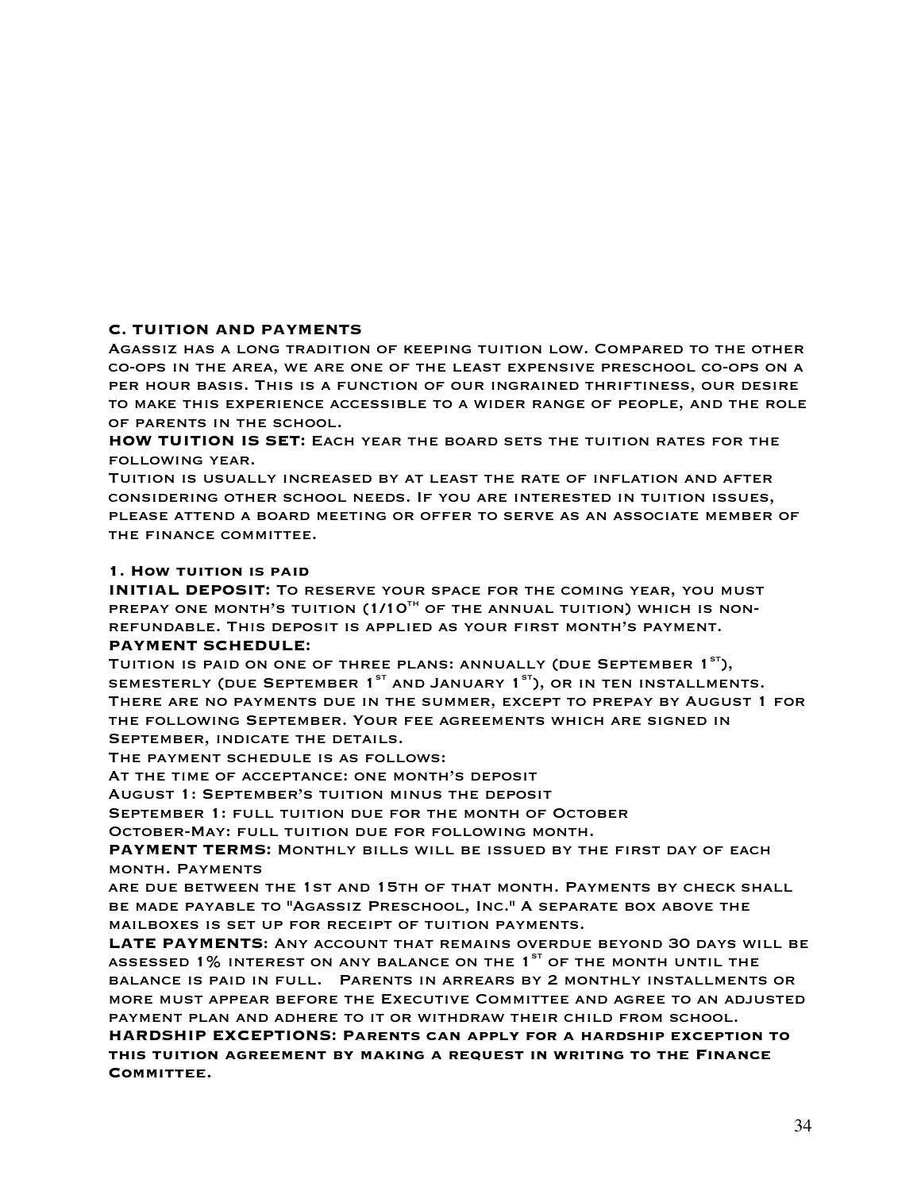# **C. TUITION AND PAYMENTS**

Agassiz has a long tradition of keeping tuition low. Compared to the other co-ops in the area, we are one of the least expensive preschool co-ops on a per hour basis. This is a function of our ingrained thriftiness, our desire to make this experience accessible to a wider range of people, and the role of parents in the school.

**HOW TUITION IS SET:** Each year the board sets the tuition rates for the following year.

Tuition is usually increased by at least the rate of inflation and after considering other school needs. If you are interested in tuition issues, please attend a board meeting or offer to serve as an associate member of the finance committee.

### **1. How tuition is paid**

**INITIAL DEPOSIT:** To reserve your space for the coming year, you must PREPAY ONE MONTH'S TUITION  $(1/10^{th}$  OF THE ANNUAL TUITION) WHICH IS NONrefundable. This deposit is applied as your first month's payment. **PAYMENT SCHEDULE:**

TUITION IS PAID ON ONE OF THREE PLANS: ANNUALLY (DUE SEPTEMBER 1<sup>st</sup>), SEMESTERLY (DUE SEPTEMBER  $1^{st}$  and January  $1^{st}$ ), or in ten installments. There are no payments due in the summer, except to prepay by August 1 for the following September. Your fee agreements which are signed in

September, indicate the details.

The payment schedule is as follows:

At the time of acceptance: one month's deposit

August 1: September's tuition minus the deposit

September 1: full tuition due for the month of October

October-May: full tuition due for following month.

**PAYMENT TERMS:** Monthly bills will be issued by the first day of each month. Payments

are due between the 1st and 15th of that month. Payments by check shall be made payable to "Agassiz Preschool, Inc." A separate box above the mailboxes is set up for receipt of tuition payments.

**LATE PAYMENTS**: Any account that remains overdue beyond 30 days will be ASSESSED 1% INTEREST ON ANY BALANCE ON THE 1<sup>st</sup> of the month until the balance is paid in full. Parents in arrears by 2 monthly installments or more must appear before the Executive Committee and agree to an adjusted payment plan and adhere to it or withdraw their child from school.

**HARDSHIP EXCEPTIONS: Parents can apply for a hardship exception to this tuition agreement by making a request in writing to the Finance Committee.**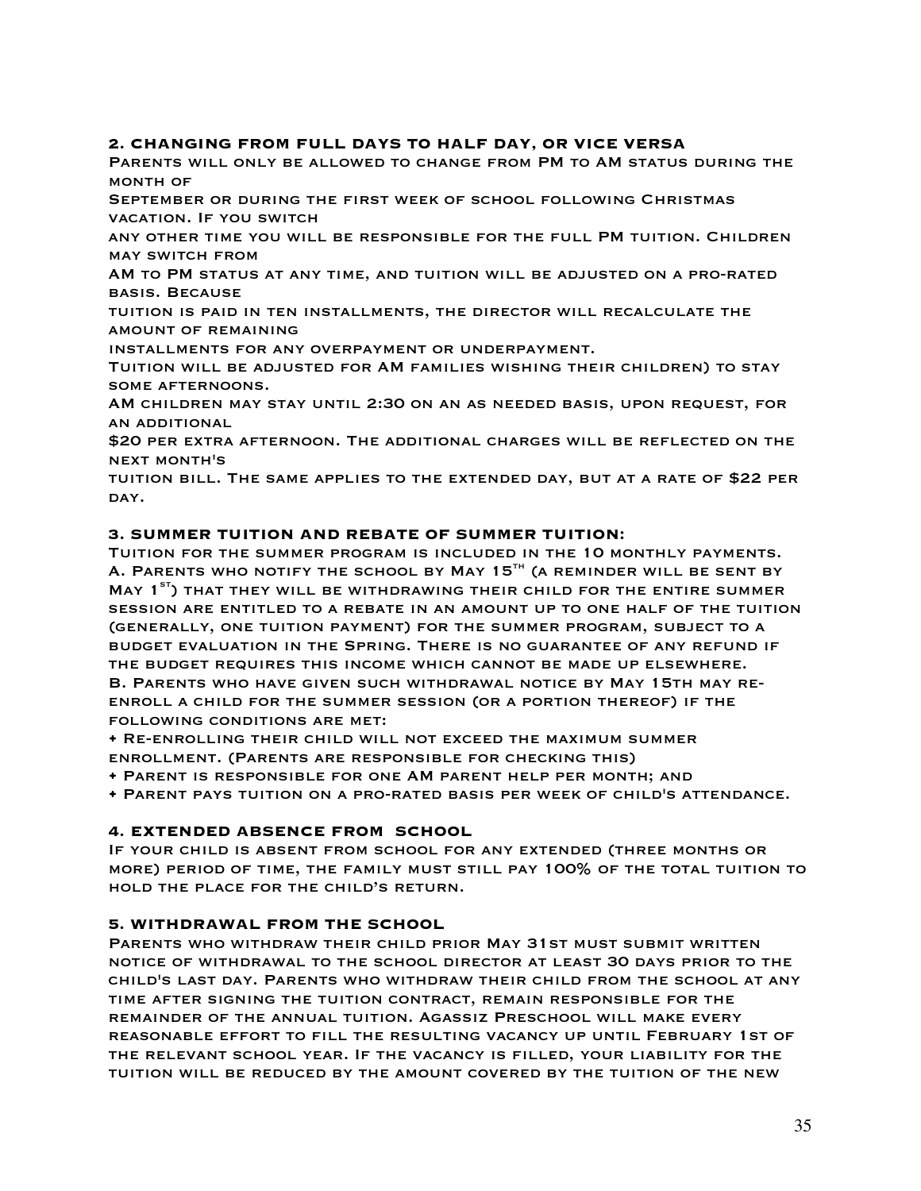# **2. CHANGING FROM FULL DAYS TO HALF DAY, OR VICE VERSA**

Parents will only be allowed to change from PM to AM status during the MONTH OF

September or during the first week of school following Christmas vacation. If you switch

any other time you will be responsible for the full PM tuition. Children may switch from

AM to PM status at any time, and tuition will be adjusted on a pro-rated basis. Because

tuition is paid in ten installments, the director will recalculate the amount of remaining

installments for any overpayment or underpayment.

Tuition will be adjusted for AM families wishing their children) to stay some afternoons.

AM children may stay until 2:30 on an as needed basis, upon request, for an additional

\$20 per extra afternoon. The additional charges will be reflected on the next month's

tuition bill. The same applies to the extended day, but at a rate of \$22 per DAY.

#### **3. SUMMER TUITION AND REBATE OF SUMMER TUITION:**

Tuition for the summer program is included in the 10 monthly payments. A. PARENTS WHO NOTIFY THE SCHOOL BY MAY  $15<sup>TH</sup>$  (A REMINDER WILL BE SENT BY MAY  $1^{sT}$ ) THAT THEY WILL BE WITHDRAWING THEIR CHILD FOR THE ENTIRE SUMMER session are entitled to a rebate in an amount up to one half of the tuition (generally, one tuition payment) for the summer program, subject to a budget evaluation in the Spring. There is no guarantee of any refund if the budget requires this income which cannot be made up elsewhere. B. Parents who have given such withdrawal notice by May 15th may reenroll a child for the summer session (or a portion thereof) if the following conditions are met:

• Re-enrolling their child will not exceed the maximum summer enrollment. (Parents are responsible for checking this)

• Parent is responsible for one AM parent help per month; and

• Parent pays tuition on a pro-rated basis per week of child's attendance.

#### **4. EXTENDED ABSENCE FROM SCHOOL**

If your child is absent from school for any extended (three months or more) period of time, the family must still pay 100% of the total tuition to hold the place for the child's return.

#### **5. WITHDRAWAL FROM THE SCHOOL**

Parents who withdraw their child prior May 31st must submit written notice of withdrawal to the school director at least 30 days prior to the child's last day. Parents who withdraw their child from the school at any time after signing the tuition contract, remain responsible for the remainder of the annual tuition. Agassiz Preschool will make every reasonable effort to fill the resulting vacancy up until February 1st of the relevant school year. If the vacancy is filled, your liability for the tuition will be reduced by the amount covered by the tuition of the new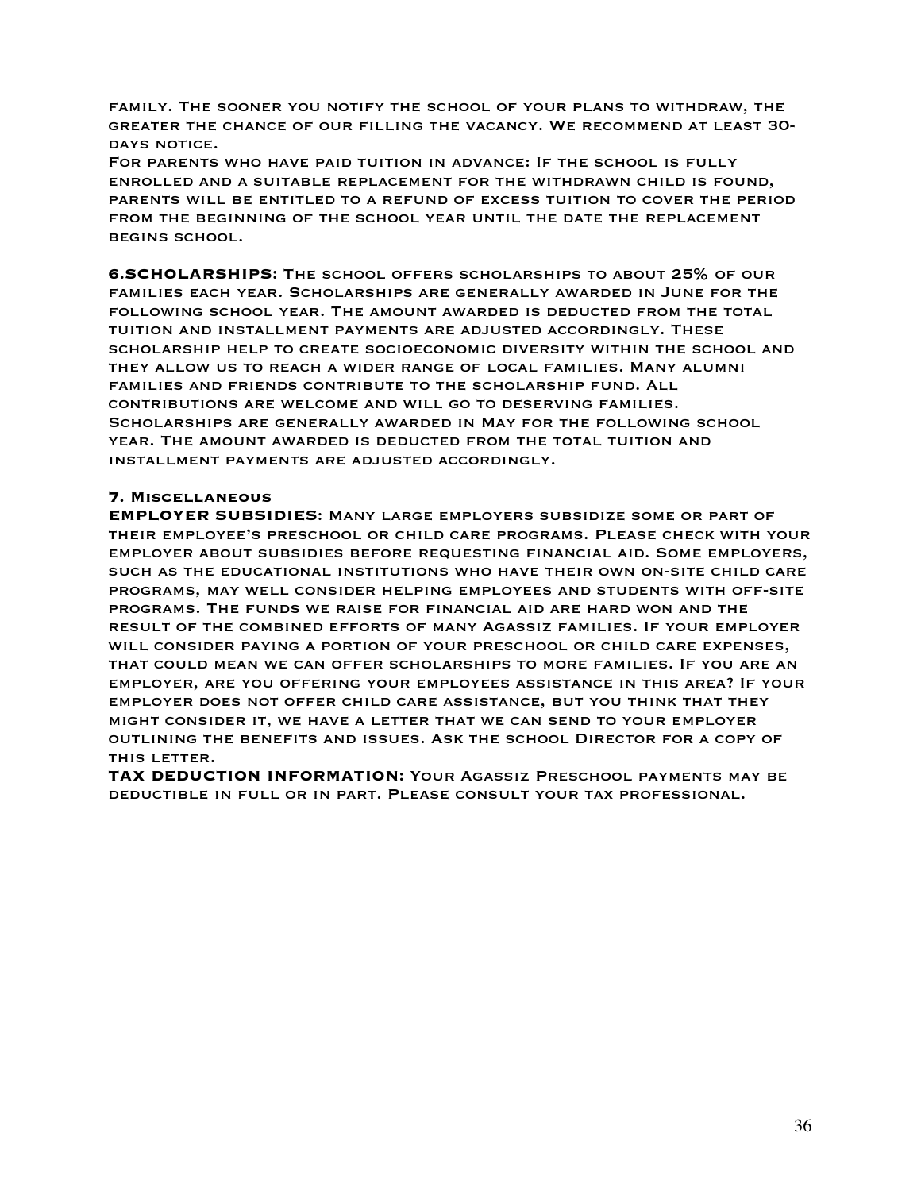family. The sooner you notify the school of your plans to withdraw, the greater the chance of our filling the vacancy. We recommend at least 30 days notice.

For parents who have paid tuition in advance: If the school is fully enrolled and a suitable replacement for the withdrawn child is found, parents will be entitled to a refund of excess tuition to cover the period from the beginning of the school year until the date the replacement begins school.

**6.SCHOLARSHIPS:** The school offers scholarships to about 25% of our families each year. Scholarships are generally awarded in June for the following school year. The amount awarded is deducted from the total tuition and installment payments are adjusted accordingly. These scholarship help to create socioeconomic diversity within the school and they allow us to reach a wider range of local families. Many alumni families and friends contribute to the scholarship fund. All contributions are welcome and will go to deserving families. Scholarships are generally awarded in May for the following school year. The amount awarded is deducted from the total tuition and installment payments are adjusted accordingly.

# **7. Miscellaneous**

**EMPLOYER SUBSIDIES**: Many large employers subsidize some or part of their employee's preschool or child care programs. Please check with your employer about subsidies before requesting financial aid. Some employers, such as the educational institutions who have their own on-site child care programs, may well consider helping employees and students with off-site programs. The funds we raise for financial aid are hard won and the result of the combined efforts of many Agassiz families. If your employer will consider paying a portion of your preschool or child care expenses, that could mean we can offer scholarships to more families. If you are an employer, are you offering your employees assistance in this area? If your employer does not offer child care assistance, but you think that they might consider it, we have a letter that we can send to your employer outlining the benefits and issues. Ask the school Director for a copy of this letter.

**TAX DEDUCTION INFORMATION:** Your Agassiz Preschool payments may be deductible in full or in part. Please consult your tax professional.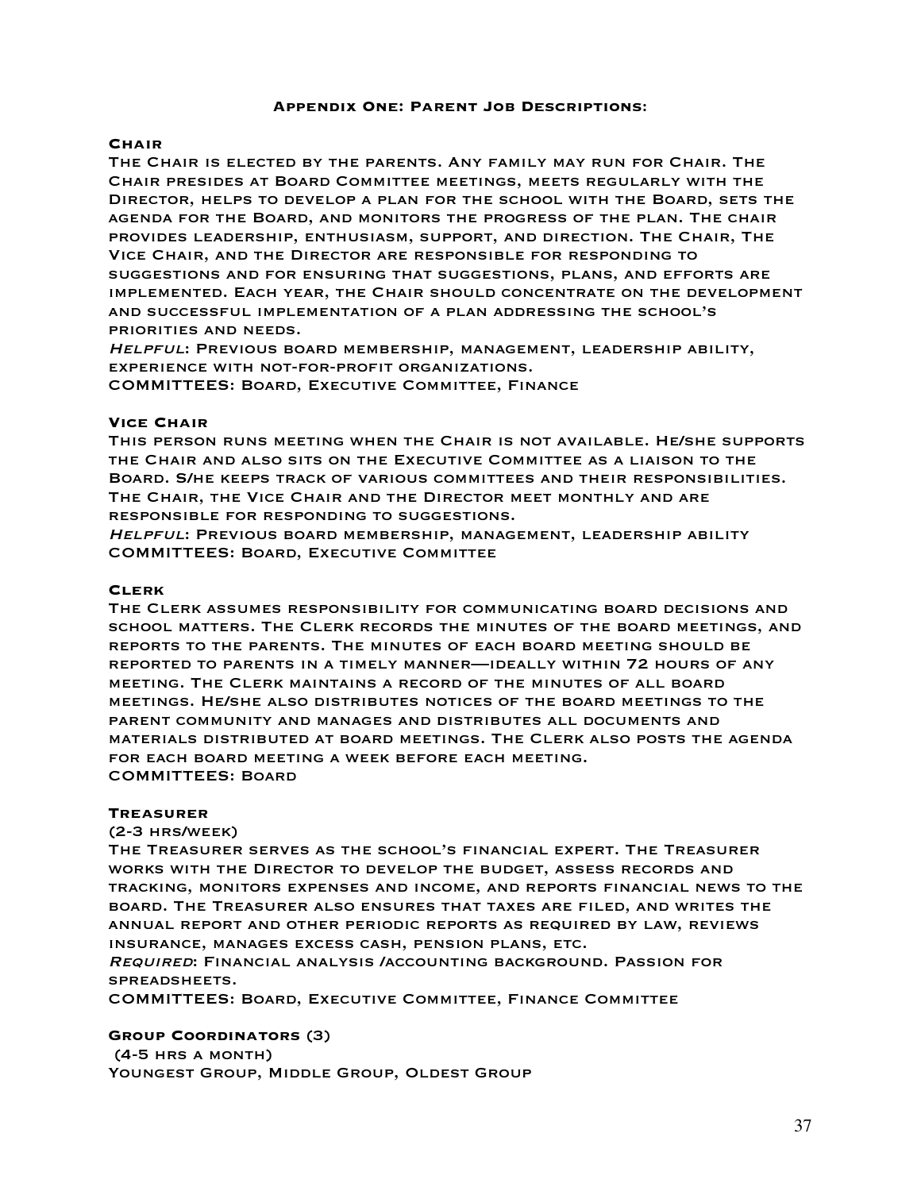#### **Appendix One: Parent Job Descriptions**:

### **Chair**

The Chair is elected by the parents. Any family may run for Chair. The Chair presides at Board Committee meetings, meets regularly with the Director, helps to develop a plan for the school with the Board, sets the agenda for the Board, and monitors the progress of the plan. The chair provides leadership, enthusiasm, support, and direction. The Chair, The Vice Chair, and the Director are responsible for responding to suggestions and for ensuring that suggestions, plans, and efforts are implemented. Each year, the Chair should concentrate on the development and successful implementation of a plan addressing the school's priorities and needs.

Helpful: Previous board membership, management, leadership ability, experience with not-for-profit organizations. COMMITTEES: Board, Executive Committee, Finance

#### **Vice Chair**

This person runs meeting when the Chair is not available. He/she supports the Chair and also sits on the Executive Committee as a liaison to the Board. S/he keeps track of various committees and their responsibilities. The Chair, the Vice Chair and the Director meet monthly and are responsible for responding to suggestions.

Helpful: Previous board membership, management, leadership ability COMMITTEES: Board, Executive Committee

#### **Clerk**

The Clerk assumes responsibility for communicating board decisions and school matters. The Clerk records the minutes of the board meetings, and reports to the parents. The minutes of each board meeting should be reported to parents in a timely manner—ideally within 72 hours of any meeting. The Clerk maintains a record of the minutes of all board meetings. He/she also distributes notices of the board meetings to the parent community and manages and distributes all documents and materials distributed at board meetings. The Clerk also posts the agenda for each board meeting a week before each meeting. COMMITTEES: Board

#### **Treasurer**

#### (2-3 hrs/week)

The Treasurer serves as the school's financial expert. The Treasurer works with the Director to develop the budget, assess records and tracking, monitors expenses and income, and reports financial news to the board. The Treasurer also ensures that taxes are filed, and writes the annual report and other periodic reports as required by law, reviews insurance, manages excess cash, pension plans, etc.

Required: Financial analysis /accounting background. Passion for spreadsheets.

COMMITTEES: Board, Executive Committee, Finance Committee

### **Group Coordinators** (3)

(4-5 hrs a month) Youngest Group, Middle Group, Oldest Group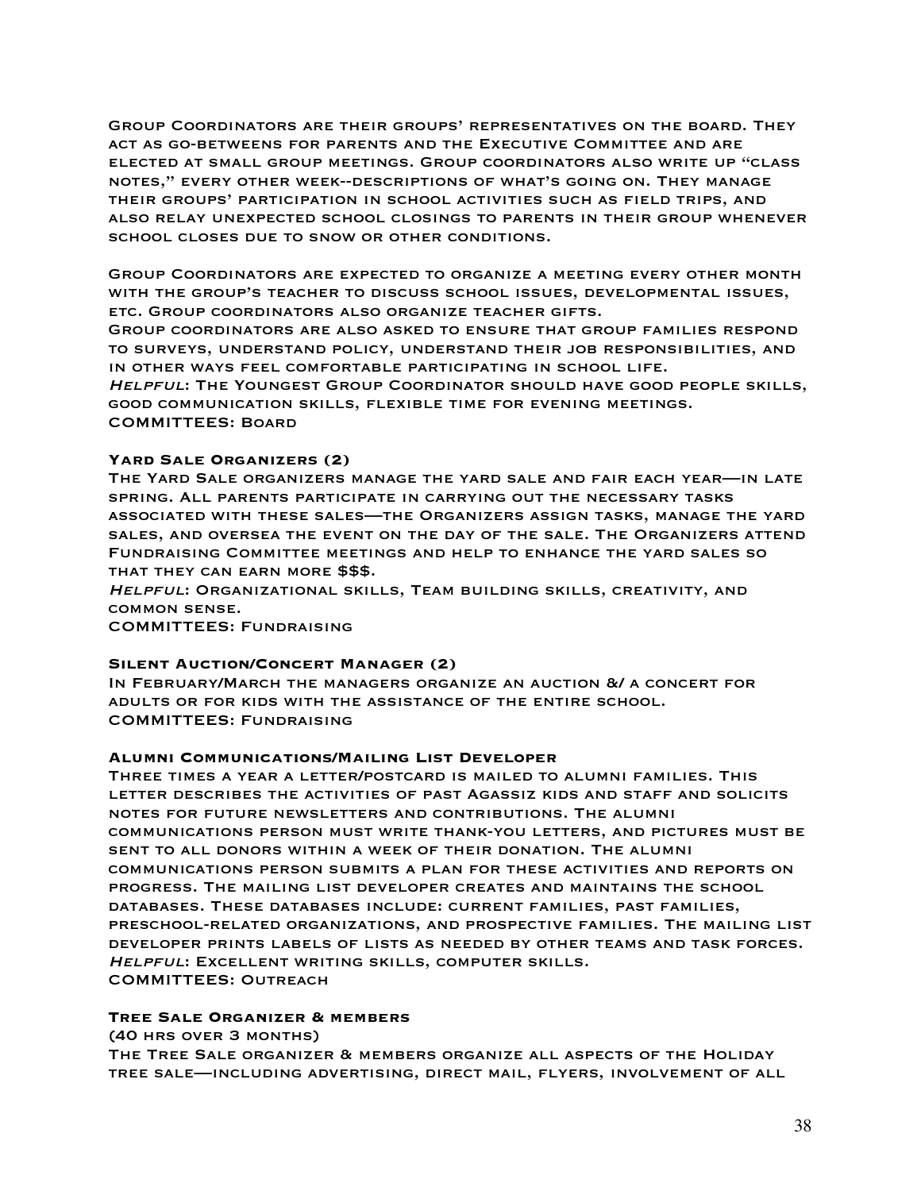Group Coordinators are their groups' representatives on the board. They act as go-betweens for parents and the Executive Committee and are elected at small group meetings. Group coordinators also write up "class notes," every other week--descriptions of what's going on. They manage their groups' participation in school activities such as field trips, and also relay unexpected school closings to parents in their group whenever school closes due to snow or other conditions.

Group Coordinators are expected to organize a meeting every other month with the group's teacher to discuss school issues, developmental issues, etc. Group coordinators also organize teacher gifts.

Group coordinators are also asked to ensure that group families respond to surveys, understand policy, understand their job responsibilities, and in other ways feel comfortable participating in school life.

Helpful: The Youngest Group Coordinator should have good people skills, good communication skills, flexible time for evening meetings. COMMITTEES: Board

#### **Yard Sale Organizers (2)**

The Yard Sale organizers manage the yard sale and fair each year—in late spring. All parents participate in carrying out the necessary tasks associated with these sales—the Organizers assign tasks, manage the yard sales, and oversea the event on the day of the sale. The Organizers attend Fundraising Committee meetings and help to enhance the yard sales so that they can earn more \$\$\$.

HELPFUL: ORGANIZATIONAL SKILLS, TEAM BUILDING SKILLS, CREATIVITY, AND common sense.

COMMITTEES: Fundraising

#### **Silent Auction/Concert Manager (2)**

In February/March the managers organize an auction &/ a concert for adults or for kids with the assistance of the entire school. COMMITTEES: Fundraising

#### **Alumni Communications/Mailing List Developer**

Three times a year a letter/postcard is mailed to alumni families. This letter describes the activities of past Agassiz kids and staff and solicits notes for future newsletters and contributions. The alumni communications person must write thank-you letters, and pictures must be sent to all donors within a week of their donation. The alumni communications person submits a plan for these activities and reports on progress. The mailing list developer creates and maintains the school databases. These databases include: current families, past families, preschool-related organizations, and prospective families. The mailing list developer prints labels of lists as needed by other teams and task forces. HELPFUL: EXCELLENT WRITING SKILLS, COMPUTER SKILLS. COMMITTEES: Outreach

#### **Tree Sale Organizer & members**

(40 hrs over 3 months)

The Tree Sale organizer & members organize all aspects of the Holiday tree sale—including advertising, direct mail, flyers, involvement of all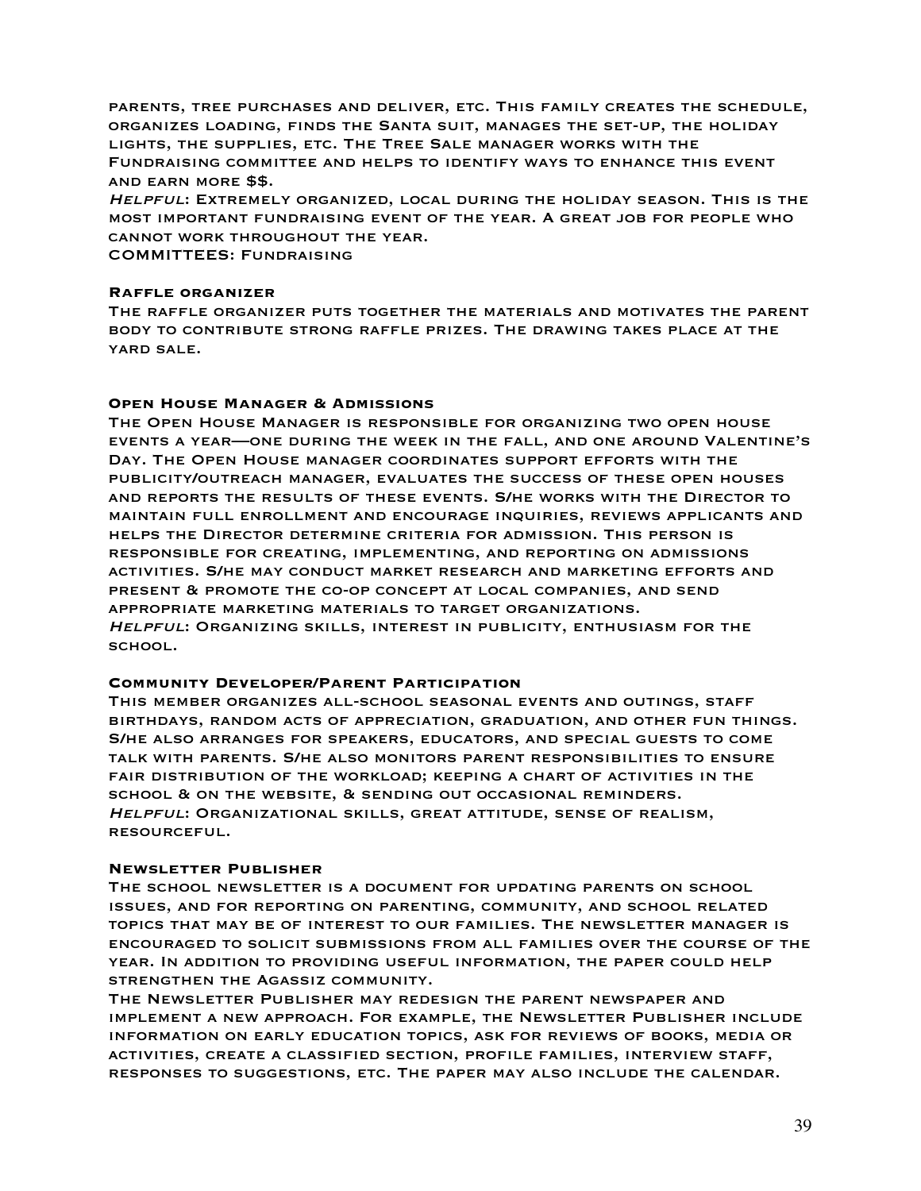parents, tree purchases and deliver, etc. This family creates the schedule, organizes loading, finds the Santa suit, manages the set-up, the holiday lights, the supplies, etc. The Tree Sale manager works with the Fundraising committee and helps to identify ways to enhance this event and earn more \$\$.

HELPFUL: EXTREMELY ORGANIZED, LOCAL DURING THE HOLIDAY SEASON. THIS IS THE most important fundraising event of the year. A great job for people who cannot work throughout the year.

COMMITTEES: Fundraising

#### **Raffle organizer**

The raffle organizer puts together the materials and motivates the parent body to contribute strong raffle prizes. The drawing takes place at the YARD SALE.

### **Open House Manager & Admissions**

The Open House Manager is responsible for organizing two open house events a year—one during the week in the fall, and one around Valentine's Day. The Open House manager coordinates support efforts with the publicity/outreach manager, evaluates the success of these open houses and reports the results of these events. S/he works with the Director to maintain full enrollment and encourage inquiries, reviews applicants and helps the Director determine criteria for admission. This person is responsible for creating, implementing, and reporting on admissions activities. S/he may conduct market research and marketing efforts and present & promote the co-op concept at local companies, and send appropriate marketing materials to target organizations. Helpful: Organizing skills, interest in publicity, enthusiasm for the school.

#### **Community Developer/Parent Participation**

This member organizes all-school seasonal events and outings, staff birthdays, random acts of appreciation, graduation, and other fun things. S/he also arranges for speakers, educators, and special guests to come talk with parents. S/he also monitors parent responsibilities to ensure fair distribution of the workload; keeping a chart of activities in the school & on the website, & sending out occasional reminders. Helpful: Organizational skills, great attitude, sense of realism, resourceful.

### **Newsletter Publisher**

The school newsletter is a document for updating parents on school issues, and for reporting on parenting, community, and school related topics that may be of interest to our families. The newsletter manager is encouraged to solicit submissions from all families over the course of the year. In addition to providing useful information, the paper could help strengthen the Agassiz community.

The Newsletter Publisher may redesign the parent newspaper and implement a new approach. For example, the Newsletter Publisher include information on early education topics, ask for reviews of books, media or activities, create a classified section, profile families, interview staff, responses to suggestions, etc. The paper may also include the calendar.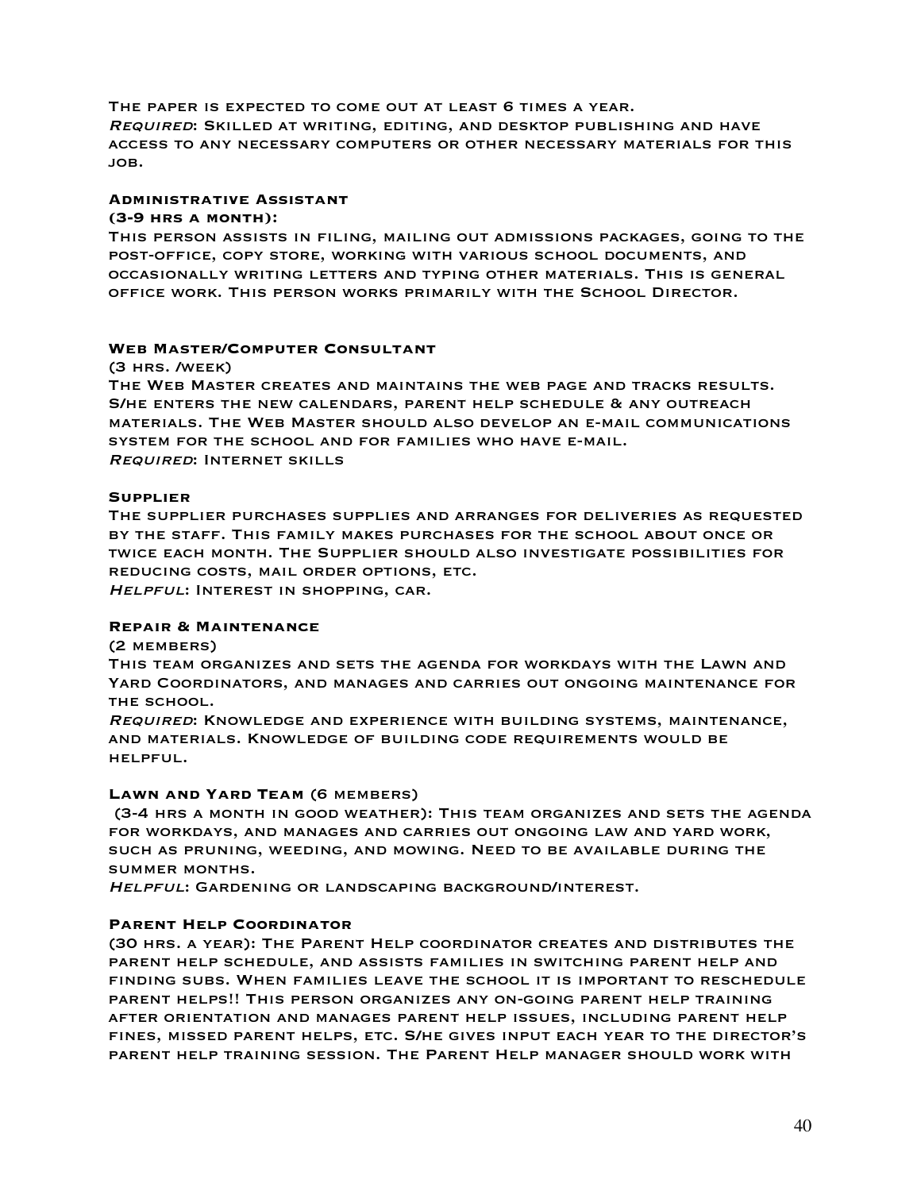The paper is expected to come out at least 6 times a year. REQUIRED: SKILLED AT WRITING, EDITING, AND DESKTOP PUBLISHING AND HAVE access to any necessary computers or other necessary materials for this job.

### **Administrative Assistant**

### **(3-9 hrs a month):**

This person assists in filing, mailing out admissions packages, going to the post-office, copy store, working with various school documents, and occasionally writing letters and typing other materials. This is general office work. This person works primarily with the School Director.

#### **Web Master/Computer Consultant**

#### (3 hrs. /week)

The Web Master creates and maintains the web page and tracks results. S/he enters the new calendars, parent help schedule & any outreach materials. The Web Master should also develop an e-mail communications system for the school and for families who have e-mail. Required: Internet skills

#### **Supplier**

The supplier purchases supplies and arranges for deliveries as requested by the staff. This family makes purchases for the school about once or twice each month. The Supplier should also investigate possibilities for reducing costs, mail order options, etc. Helpful: Interest in shopping, car.

### **Repair & Maintenance**

(2 members)

This team organizes and sets the agenda for workdays with the Lawn and Yard Coordinators, and manages and carries out ongoing maintenance for THE SCHOOL.

Required: Knowledge and experience with building systems, maintenance, and materials. Knowledge of building code requirements would be helpful.

#### **Lawn and Yard Team** (6 members)

(3-4 hrs a month in good weather): This team organizes and sets the agenda for workdays, and manages and carries out ongoing law and yard work, such as pruning, weeding, and mowing. Need to be available during the summer months.

Helpful: Gardening or landscaping background/interest.

### **Parent Help Coordinator**

(30 hrs. a year): The Parent Help coordinator creates and distributes the parent help schedule, and assists families in switching parent help and finding subs. When families leave the school it is important to reschedule parent helps!! This person organizes any on-going parent help training after orientation and manages parent help issues, including parent help fines, missed parent helps, etc. S/he gives input each year to the director's parent help training session. The Parent Help manager should work with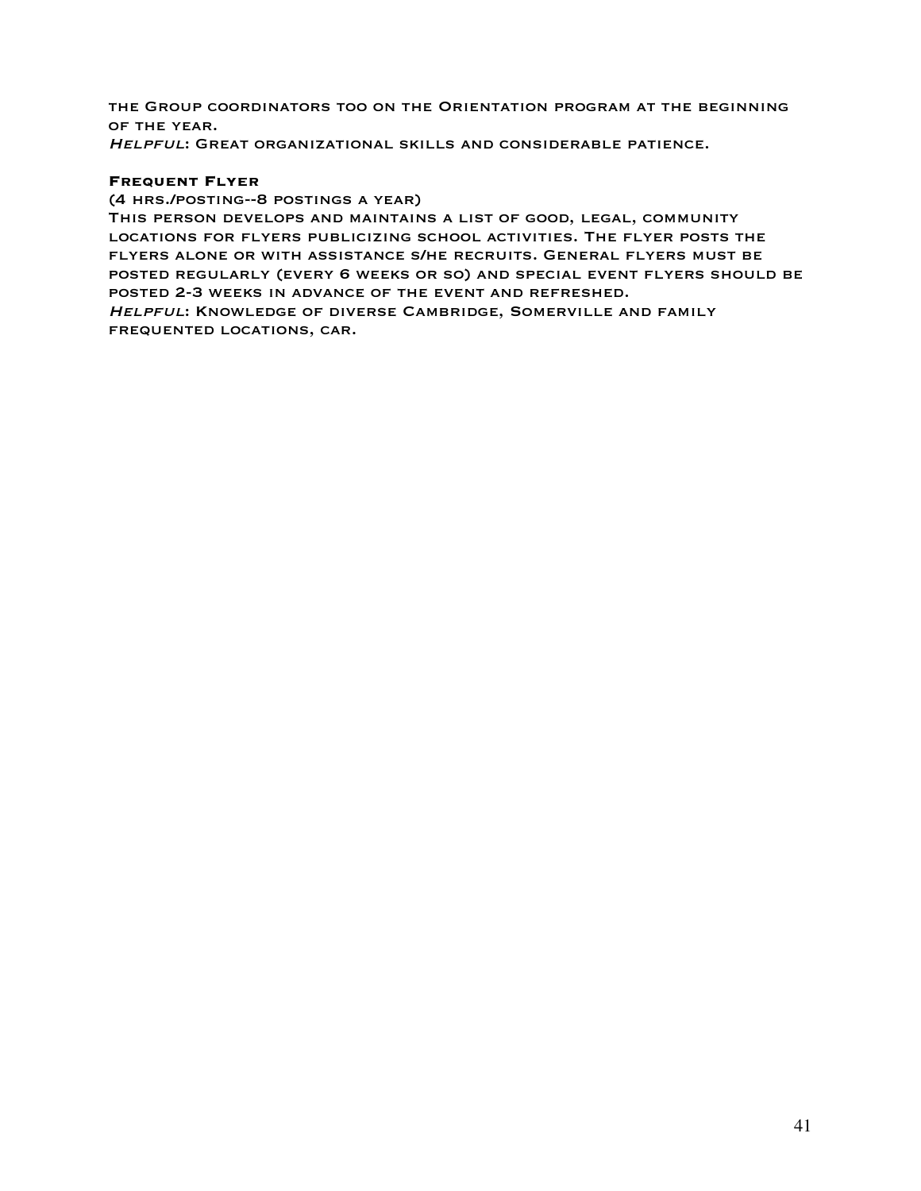the Group coordinators too on the Orientation program at the beginning of the year.

Helpful: Great organizational skills and considerable patience.

### **Frequent Flyer**

(4 hrs./posting--8 postings a year)

This person develops and maintains a list of good, legal, community locations for flyers publicizing school activities. The flyer posts the flyers alone or with assistance s/he recruits. General flyers must be posted regularly (every 6 weeks or so) and special event flyers should be posted 2-3 weeks in advance of the event and refreshed. Helpful: Knowledge of diverse Cambridge, Somerville and family frequented locations, car.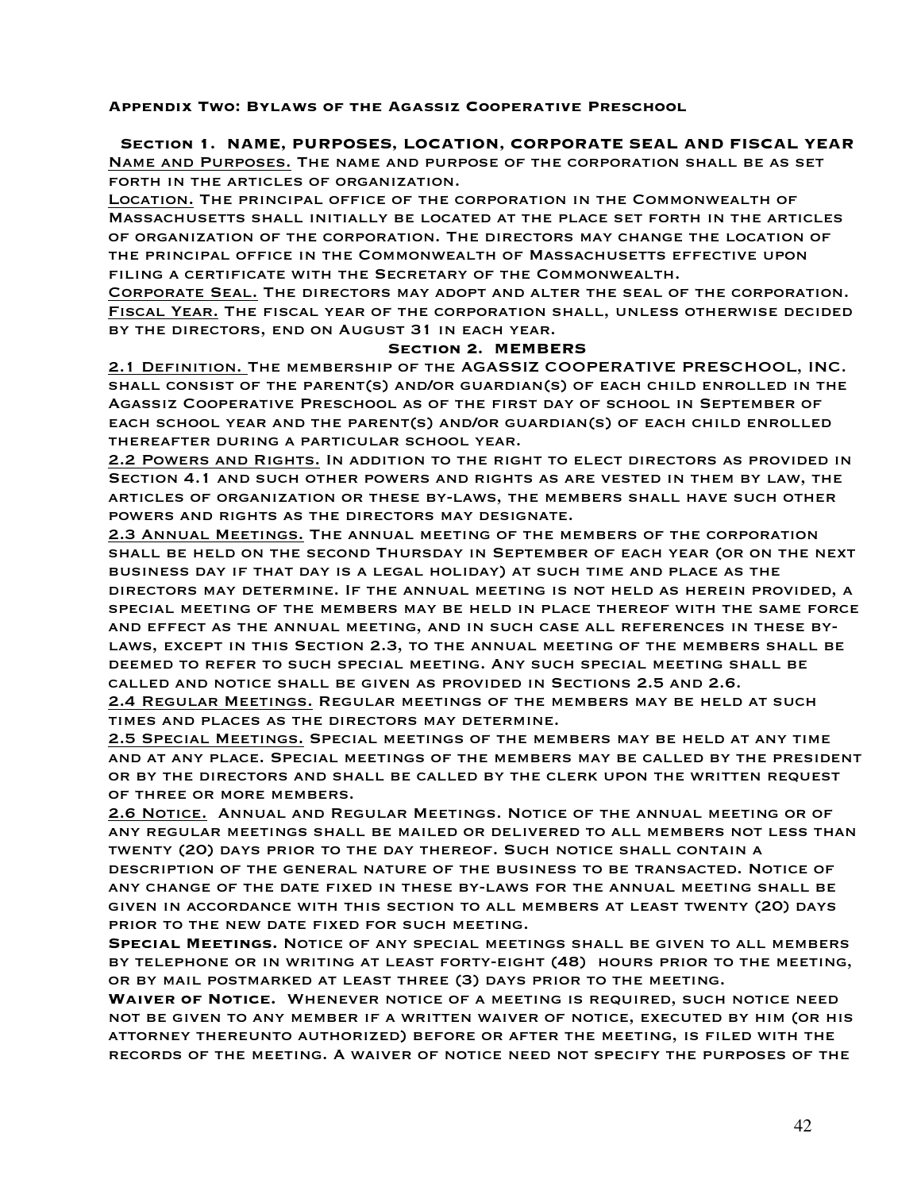#### **Appendix Two: Bylaws of the Agassiz Cooperative Preschool**

### **Section 1. NAME, PURPOSES, LOCATION, CORPORATE SEAL AND FISCAL YEAR** Name and Purposes. The name and purpose of the corporation shall be as set forth in the articles of organization.

Location. The principal office of the corporation in the Commonwealth of Massachusetts shall initially be located at the place set forth in the articles of organization of the corporation. The directors may change the location of the principal office in the Commonwealth of Massachusetts effective upon filing a certificate with the Secretary of the Commonwealth.

Corporate Seal. The directors may adopt and alter the seal of the corporation. Fiscal Year. The fiscal year of the corporation shall, unless otherwise decided by the directors, end on August 31 in each year.

#### **Section 2. MEMBERS**

2.1 Definition. The membership of the AGASSIZ COOPERATIVE PRESCHOOL, INC. shall consist of the parent(s) and/or guardian(s) of each child enrolled in the Agassiz Cooperative Preschool as of the first day of school in September of each school year and the parent(s) and/or guardian(s) of each child enrolled thereafter during a particular school year.

2.2 Powers and Rights. In addition to the right to elect directors as provided in Section 4.1 and such other powers and rights as are vested in them by law, the articles of organization or these by-laws, the members shall have such other powers and rights as the directors may designate.

2.3 Annual Meetings. The annual meeting of the members of the corporation shall be held on the second Thursday in September of each year (or on the next business day if that day is a legal holiday) at such time and place as the directors may determine. If the annual meeting is not held as herein provided, a special meeting of the members may be held in place thereof with the same force and effect as the annual meeting, and in such case all references in these bylaws, except in this Section 2.3, to the annual meeting of the members shall be deemed to refer to such special meeting. Any such special meeting shall be called and notice shall be given as provided in Sections 2.5 and 2.6.

2.4 Regular Meetings. Regular meetings of the members may be held at such times and places as the directors may determine.

2.5 Special Meetings. Special meetings of the members may be held at any time and at any place. Special meetings of the members may be called by the president or by the directors and shall be called by the clerk upon the written request of three or more members.

2.6 Notice. Annual and Regular Meetings. Notice of the annual meeting or of any regular meetings shall be mailed or delivered to all members not less than twenty (20) days prior to the day thereof. Such notice shall contain a description of the general nature of the business to be transacted. Notice of any change of the date fixed in these by-laws for the annual meeting shall be given in accordance with this section to all members at least twenty (20) days prior to the new date fixed for such meeting.

**Special Meetings.** Notice of any special meetings shall be given to all members by telephone or in writing at least forty-eight (48) hours prior to the meeting, or by mail postmarked at least three (3) days prior to the meeting.

**Waiver of Notice.** Whenever notice of a meeting is required, such notice need not be given to any member if a written waiver of notice, executed by him (or his attorney thereunto authorized) before or after the meeting, is filed with the records of the meeting. A waiver of notice need not specify the purposes of the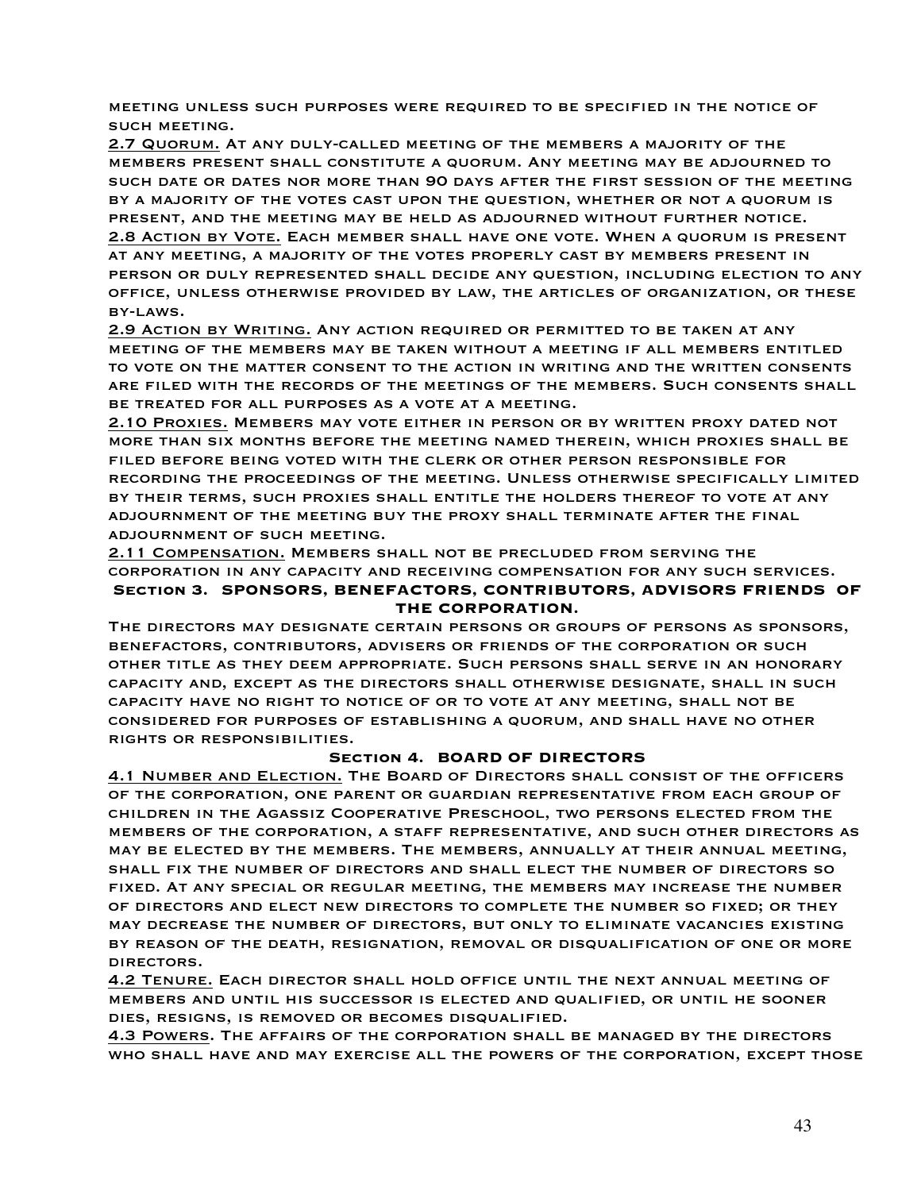meeting unless such purposes were required to be specified in the notice of such meeting.

2.7 Quorum. At any duly-called meeting of the members a majority of the members present shall constitute a quorum. Any meeting may be adjourned to such date or dates nor more than 90 days after the first session of the meeting by a majority of the votes cast upon the question, whether or not a quorum is present, and the meeting may be held as adjourned without further notice. 2.8 Action by Vote. Each member shall have one vote. When a quorum is present at any meeting, a majority of the votes properly cast by members present in person or duly represented shall decide any question, including election to any office, unless otherwise provided by law, the articles of organization, or these by-laws.

2.9 Action by Writing. Any action required or permitted to be taken at any meeting of the members may be taken without a meeting if all members entitled to vote on the matter consent to the action in writing and the written consents are filed with the records of the meetings of the members. Such consents shall be treated for all purposes as a vote at a meeting.

2.10 Proxies. Members may vote either in person or by written proxy dated not more than six months before the meeting named therein, which proxies shall be filed before being voted with the clerk or other person responsible for recording the proceedings of the meeting. Unless otherwise specifically limited by their terms, such proxies shall entitle the holders thereof to vote at any adjournment of the meeting buy the proxy shall terminate after the final adjournment of such meeting.

2.11 Compensation. Members shall not be precluded from serving the corporation in any capacity and receiving compensation for any such services. **Section 3. SPONSORS, BENEFACTORS, CONTRIBUTORS, ADVISORS FRIENDS OF THE CORPORATION.**

The directors may designate certain persons or groups of persons as sponsors, benefactors, contributors, advisers or friends of the corporation or such other title as they deem appropriate. Such persons shall serve in an honorary capacity and, except as the directors shall otherwise designate, shall in such capacity have no right to notice of or to vote at any meeting, shall not be considered for purposes of establishing a quorum, and shall have no other rights or responsibilities.

### **Section 4. BOARD OF DIRECTORS**

4.1 Number and Election. The Board of Directors shall consist of the officers of the corporation, one parent or guardian representative from each group of children in the Agassiz Cooperative Preschool, two persons elected from the members of the corporation, a staff representative, and such other directors as may be elected by the members. The members, annually at their annual meeting, shall fix the number of directors and shall elect the number of directors so fixed. At any special or regular meeting, the members may increase the number of directors and elect new directors to complete the number so fixed; or they may decrease the number of directors, but only to eliminate vacancies existing by reason of the death, resignation, removal or disqualification of one or more directors.

4.2 Tenure. Each director shall hold office until the next annual meeting of members and until his successor is elected and qualified, or until he sooner dies, resigns, is removed or becomes disqualified.

4.3 Powers. The affairs of the corporation shall be managed by the directors who shall have and may exercise all the powers of the corporation, except those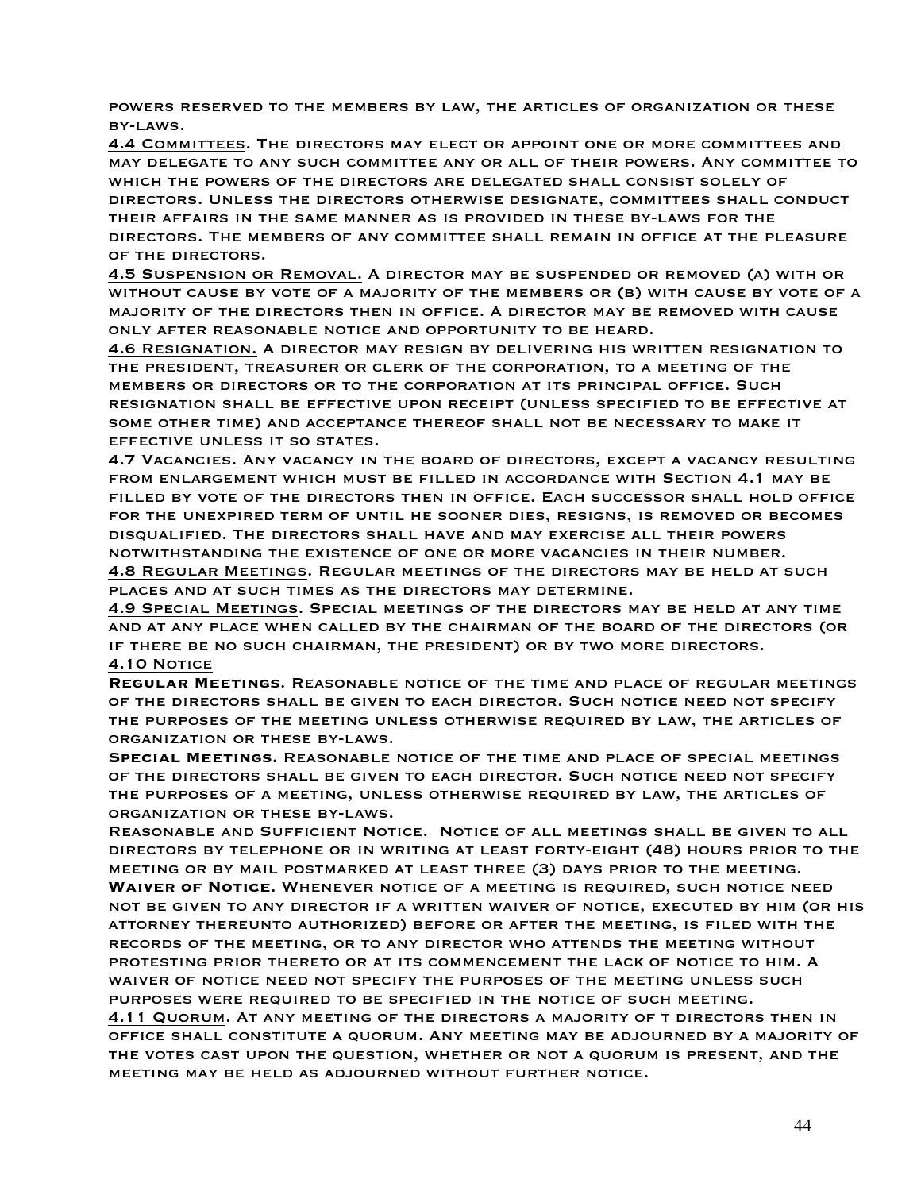powers reserved to the members by law, the articles of organization or these by-laws.

4.4 Committees. The directors may elect or appoint one or more committees and may delegate to any such committee any or all of their powers. Any committee to which the powers of the directors are delegated shall consist solely of directors. Unless the directors otherwise designate, committees shall conduct their affairs in the same manner as is provided in these by-laws for the directors. The members of any committee shall remain in office at the pleasure of the directors.

4.5 Suspension or Removal. A director may be suspended or removed (a) with or without cause by vote of a majority of the members or (b) with cause by vote of a majority of the directors then in office. A director may be removed with cause only after reasonable notice and opportunity to be heard.

4.6 Resignation. A director may resign by delivering his written resignation to the president, treasurer or clerk of the corporation, to a meeting of the members or directors or to the corporation at its principal office. Such resignation shall be effective upon receipt (unless specified to be effective at some other time) and acceptance thereof shall not be necessary to make it effective unless it so states.

4.7 Vacancies. Any vacancy in the board of directors, except a vacancy resulting from enlargement which must be filled in accordance with Section 4.1 may be filled by vote of the directors then in office. Each successor shall hold office for the unexpired term of until he sooner dies, resigns, is removed or becomes disqualified. The directors shall have and may exercise all their powers notwithstanding the existence of one or more vacancies in their number. 4.8 Regular Meetings. Regular meetings of the directors may be held at such places and at such times as the directors may determine.

4.9 Special Meetings. Special meetings of the directors may be held at any time and at any place when called by the chairman of the board of the directors (or if there be no such chairman, the president) or by two more directors. **4.10 NOTICE** 

**Regular Meetings**. Reasonable notice of the time and place of regular meetings of the directors shall be given to each director. Such notice need not specify the purposes of the meeting unless otherwise required by law, the articles of organization or these by-laws.

**Special Meetings.** Reasonable notice of the time and place of special meetings of the directors shall be given to each director. Such notice need not specify the purposes of a meeting, unless otherwise required by law, the articles of organization or these by-laws.

Reasonable and Sufficient Notice. Notice of all meetings shall be given to all directors by telephone or in writing at least forty-eight (48) hours prior to the meeting or by mail postmarked at least three (3) days prior to the meeting. **Waiver of Notice**. Whenever notice of a meeting is required, such notice need not be given to any director if a written waiver of notice, executed by him (or his attorney thereunto authorized) before or after the meeting, is filed with the records of the meeting, or to any director who attends the meeting without protesting prior thereto or at its commencement the lack of notice to him. A waiver of notice need not specify the purposes of the meeting unless such purposes were required to be specified in the notice of such meeting.

4.11 Quorum. At any meeting of the directors a majority of t directors then in office shall constitute a quorum. Any meeting may be adjourned by a majority of the votes cast upon the question, whether or not a quorum is present, and the meeting may be held as adjourned without further notice.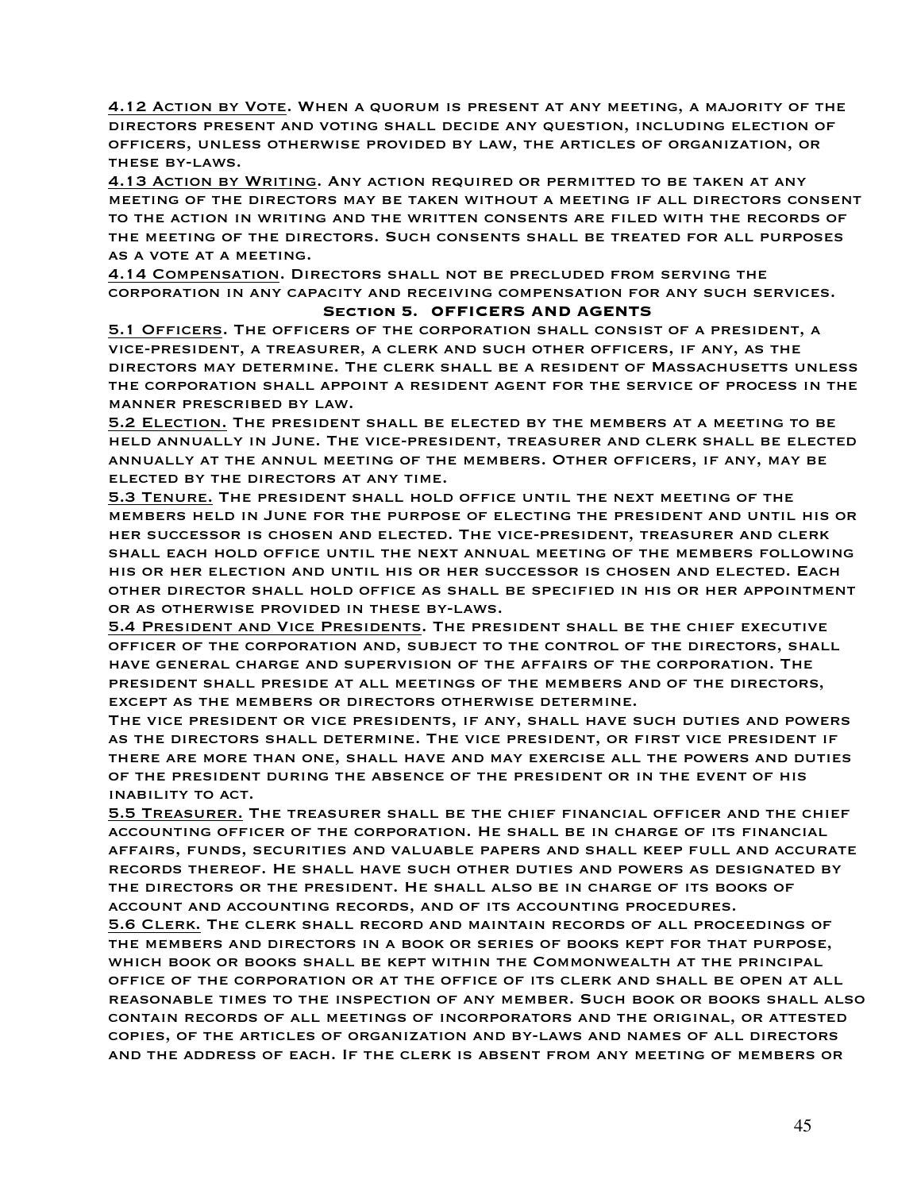4.12 Action by Vote. When a quorum is present at any meeting, a majority of the directors present and voting shall decide any question, including election of officers, unless otherwise provided by law, the articles of organization, or these by-laws.

4.13 Action by Writing. Any action required or permitted to be taken at any meeting of the directors may be taken without a meeting if all directors consent to the action in writing and the written consents are filed with the records of the meeting of the directors. Such consents shall be treated for all purposes as a vote at a meeting.

4.14 Compensation. Directors shall not be precluded from serving the corporation in any capacity and receiving compensation for any such services. **Section 5. OFFICERS AND AGENTS**

5.1 Officers. The officers of the corporation shall consist of a president, a vice-president, a treasurer, a clerk and such other officers, if any, as the directors may determine. The clerk shall be a resident of Massachusetts unless the corporation shall appoint a resident agent for the service of process in the manner prescribed by law.

5.2 Election. The president shall be elected by the members at a meeting to be held annually in June. The vice-president, treasurer and clerk shall be elected annually at the annul meeting of the members. Other officers, if any, may be elected by the directors at any time.

5.3 Tenure. The president shall hold office until the next meeting of the members held in June for the purpose of electing the president and until his or her successor is chosen and elected. The vice-president, treasurer and clerk shall each hold office until the next annual meeting of the members following his or her election and until his or her successor is chosen and elected. Each other director shall hold office as shall be specified in his or her appointment or as otherwise provided in these by-laws.

5.4 President and Vice Presidents. The president shall be the chief executive officer of the corporation and, subject to the control of the directors, shall have general charge and supervision of the affairs of the corporation. The president shall preside at all meetings of the members and of the directors, except as the members or directors otherwise determine.

The vice president or vice presidents, if any, shall have such duties and powers as the directors shall determine. The vice president, or first vice president if there are more than one, shall have and may exercise all the powers and duties of the president during the absence of the president or in the event of his inability to act.

5.5 Treasurer. The treasurer shall be the chief financial officer and the chief accounting officer of the corporation. He shall be in charge of its financial affairs, funds, securities and valuable papers and shall keep full and accurate records thereof. He shall have such other duties and powers as designated by the directors or the president. He shall also be in charge of its books of account and accounting records, and of its accounting procedures.

5.6 Clerk. The clerk shall record and maintain records of all proceedings of the members and directors in a book or series of books kept for that purpose, which book or books shall be kept within the Commonwealth at the principal office of the corporation or at the office of its clerk and shall be open at all reasonable times to the inspection of any member. Such book or books shall also contain records of all meetings of incorporators and the original, or attested copies, of the articles of organization and by-laws and names of all directors and the address of each. If the clerk is absent from any meeting of members or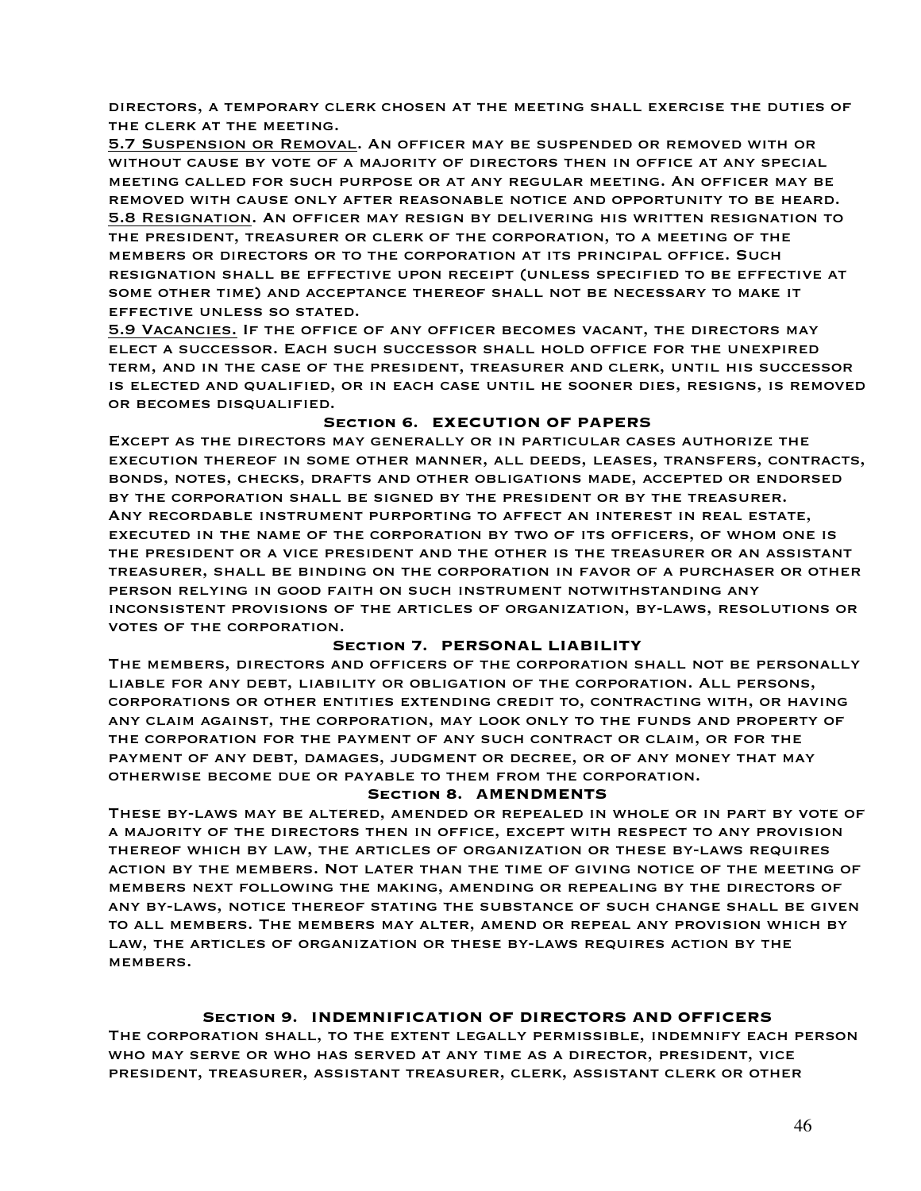directors, a temporary clerk chosen at the meeting shall exercise the duties of the clerk at the meeting.

5.7 Suspension or Removal. An officer may be suspended or removed with or without cause by vote of a majority of directors then in office at any special meeting called for such purpose or at any regular meeting. An officer may be removed with cause only after reasonable notice and opportunity to be heard. 5.8 Resignation. An officer may resign by delivering his written resignation to the president, treasurer or clerk of the corporation, to a meeting of the members or directors or to the corporation at its principal office. Such resignation shall be effective upon receipt (unless specified to be effective at some other time) and acceptance thereof shall not be necessary to make it effective unless so stated.

5.9 Vacancies. If the office of any officer becomes vacant, the directors may elect a successor. Each such successor shall hold office for the unexpired term, and in the case of the president, treasurer and clerk, until his successor is elected and qualified, or in each case until he sooner dies, resigns, is removed or becomes disqualified.

### **Section 6. EXECUTION OF PAPERS**

Except as the directors may generally or in particular cases authorize the execution thereof in some other manner, all deeds, leases, transfers, contracts, bonds, notes, checks, drafts and other obligations made, accepted or endorsed by the corporation shall be signed by the president or by the treasurer. Any recordable instrument purporting to affect an interest in real estate, executed in the name of the corporation by two of its officers, of whom one is the president or a vice president and the other is the treasurer or an assistant treasurer, shall be binding on the corporation in favor of a purchaser or other person relying in good faith on such instrument notwithstanding any inconsistent provisions of the articles of organization, by-laws, resolutions or votes of the corporation.

### **Section 7. PERSONAL LIABILITY**

The members, directors and officers of the corporation shall not be personally liable for any debt, liability or obligation of the corporation. All persons, corporations or other entities extending credit to, contracting with, or having any claim against, the corporation, may look only to the funds and property of the corporation for the payment of any such contract or claim, or for the payment of any debt, damages, judgment or decree, or of any money that may otherwise become due or payable to them from the corporation.

#### **Section 8. AMENDMENTS**

These by-laws may be altered, amended or repealed in whole or in part by vote of a majority of the directors then in office, except with respect to any provision thereof which by law, the articles of organization or these by-laws requires action by the members. Not later than the time of giving notice of the meeting of members next following the making, amending or repealing by the directors of any by-laws, notice thereof stating the substance of such change shall be given to all members. The members may alter, amend or repeal any provision which by law, the articles of organization or these by-laws requires action by the members.

#### **Section 9. INDEMNIFICATION OF DIRECTORS AND OFFICERS**

The corporation shall, to the extent legally permissible, indemnify each person who may serve or who has served at any time as a director, president, vice president, treasurer, assistant treasurer, clerk, assistant clerk or other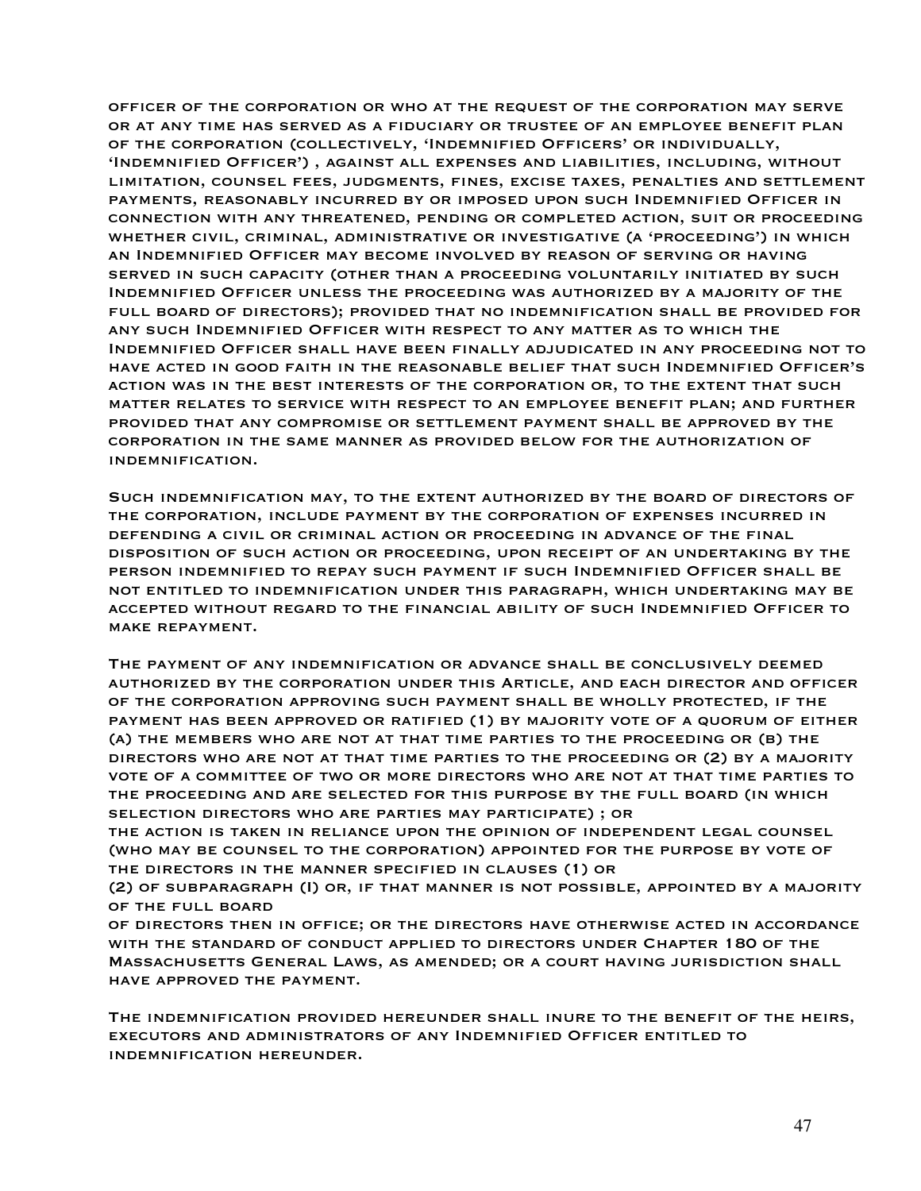officer of the corporation or who at the request of the corporation may serve or at any time has served as a fiduciary or trustee of an employee benefit plan of the corporation (collectively, 'Indemnified Officers' or individually, 'Indemnified Officer') , against all expenses and liabilities, including, without limitation, counsel fees, judgments, fines, excise taxes, penalties and settlement payments, reasonably incurred by or imposed upon such Indemnified Officer in connection with any threatened, pending or completed action, suit or proceeding whether civil, criminal, administrative or investigative (a 'proceeding') in which an Indemnified Officer may become involved by reason of serving or having served in such capacity (other than a proceeding voluntarily initiated by such Indemnified Officer unless the proceeding was authorized by a majority of the full board of directors); provided that no indemnification shall be provided for any such Indemnified Officer with respect to any matter as to which the Indemnified Officer shall have been finally adjudicated in any proceeding not to have acted in good faith in the reasonable belief that such Indemnified Officer's action was in the best interests of the corporation or, to the extent that such matter relates to service with respect to an employee benefit plan; and further provided that any compromise or settlement payment shall be approved by the corporation in the same manner as provided below for the authorization of indemnification.

Such indemnification may, to the extent authorized by the board of directors of the corporation, include payment by the corporation of expenses incurred in defending a civil or criminal action or proceeding in advance of the final disposition of such action or proceeding, upon receipt of an undertaking by the person indemnified to repay such payment if such Indemnified Officer shall be not entitled to indemnification under this paragraph, which undertaking may be accepted without regard to the financial ability of such Indemnified Officer to make repayment.

The payment of any indemnification or advance shall be conclusively deemed authorized by the corporation under this Article, and each director and officer of the corporation approving such payment shall be wholly protected, if the payment has been approved or ratified (1) by majority vote of a quorum of either (a) the members who are not at that time parties to the proceeding or (b) the directors who are not at that time parties to the proceeding or (2) by a majority vote of a committee of two or more directors who are not at that time parties to the proceeding and are selected for this purpose by the full board (in which selection directors who are parties may participate) ; or

the action is taken in reliance upon the opinion of independent legal counsel (who may be counsel to the corporation) appointed for the purpose by vote of the directors in the manner specified in clauses (1) or

(2) of subparagraph (I) or, if that manner is not possible, appointed by a majority of the full board

of directors then in office; or the directors have otherwise acted in accordance with the standard of conduct applied to directors under Chapter 180 of the Massachusetts General Laws, as amended; or a court having jurisdiction shall have approved the payment.

The indemnification provided hereunder shall inure to the benefit of the heirs, executors and administrators of any Indemnified Officer entitled to indemnification hereunder.